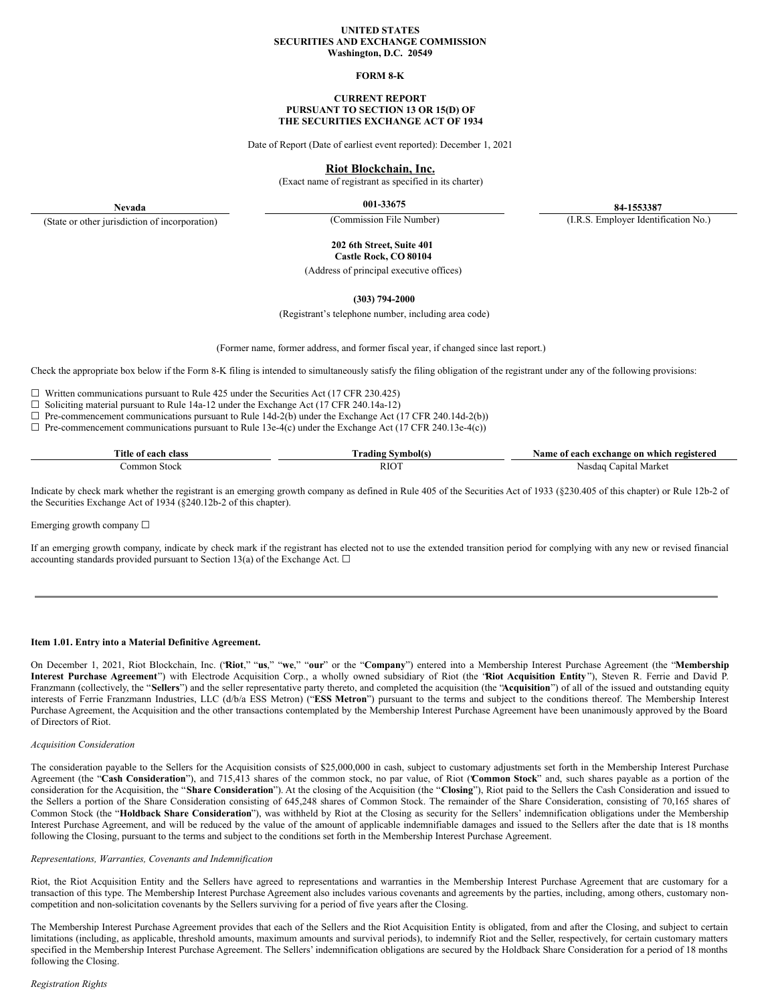#### **UNITED STATES SECURITIES AND EXCHANGE COMMISSION Washington, D.C. 20549**

#### **FORM 8-K**

#### **CURRENT REPORT PURSUANT TO SECTION 13 OR 15(D) OF THE SECURITIES EXCHANGE ACT OF 1934**

Date of Report (Date of earliest event reported): December 1, 2021

#### **Riot Blockchain, Inc.**

(Exact name of registrant as specified in its charter)

**Nevada** (State or other jurisdiction of incorporation)

**001-33675 84-1553387**

(Commission File Number) (I.R.S. Employer Identification No.)

**202 6th Street, Suite 401 Castle Rock, CO 80104**

(Address of principal executive offices)

**(303) 794-2000**

(Registrant's telephone number, including area code)

(Former name, former address, and former fiscal year, if changed since last report.)

Check the appropriate box below if the Form 8-K filing is intended to simultaneously satisfy the filing obligation of the registrant under any of the following provisions:

☐ Written communications pursuant to Rule 425 under the Securities Act (17 CFR 230.425)

☐ Soliciting material pursuant to Rule 14a-12 under the Exchange Act (17 CFR 240.14a-12)

 $\Box$  Pre-commencement communications pursuant to Rule 14d-2(b) under the Exchange Act (17 CFR 240.14d-2(b))

 $\Box$  Pre-commencement communications pursuant to Rule 13e-4(c) under the Exchange Act (17 CFR 240.13e-4(c))

| more.<br>1tle<br>-eloc<br>aaat | mboll<br>$rad$ in | registereo<br>on which<br>vame<br>ı exchange<br>each<br>01 |
|--------------------------------|-------------------|------------------------------------------------------------|
| Stock<br>mor                   | RIOT              | Nasdaq<br>.apita<br>Market<br>.                            |

Indicate by check mark whether the registrant is an emerging growth company as defined in Rule 405 of the Securities Act of 1933 (§230.405 of this chapter) or Rule 12b-2 of the Securities Exchange Act of 1934 (§240.12b-2 of this chapter).

Emerging growth company  $\Box$ 

If an emerging growth company, indicate by check mark if the registrant has elected not to use the extended transition period for complying with any new or revised financial accounting standards provided pursuant to Section 13(a) of the Exchange Act.  $\Box$ 

#### **Item 1.01. Entry into a Material Definitive Agreement.**

On December 1, 2021, Riot Blockchain, Inc. ("**Riot**," "**us**," "**we**," "**our**" or the "**Company**") entered into a Membership Interest Purchase Agreement (the "**Membership Interest Purchase Agreement**") with Electrode Acquisition Corp., a wholly owned subsidiary of Riot (the "**Riot Acquisition Entity**"), Steven R. Ferrie and David P. Franzmann (collectively, the "**Sellers**") and the seller representative party thereto, and completed the acquisition (the "**Acquisition**") of all of the issued and outstanding equity interests of Ferrie Franzmann Industries, LLC (d/b/a ESS Metron) ("**ESS Metron**") pursuant to the terms and subject to the conditions thereof. The Membership Interest Purchase Agreement, the Acquisition and the other transactions contemplated by the Membership Interest Purchase Agreement have been unanimously approved by the Board of Directors of Riot.

#### *Acquisition Consideration*

The consideration payable to the Sellers for the Acquisition consists of \$25,000,000 in cash, subject to customary adjustments set forth in the Membership Interest Purchase Agreement (the "**Cash Consideration**"), and 715,413 shares of the common stock, no par value, of Riot ("**Common Stock**" and, such shares payable as a portion of the consideration for the Acquisition, the "**Share Consideration**"). At the closing of the Acquisition (the "**Closing**"), Riot paid to the Sellers the Cash Consideration and issued to the Sellers a portion of the Share Consideration consisting of 645,248 shares of Common Stock. The remainder of the Share Consideration, consisting of 70,165 shares of Common Stock (the "**Holdback Share Consideration**"), was withheld by Riot at the Closing as security for the Sellers' indemnification obligations under the Membership Interest Purchase Agreement, and will be reduced by the value of the amount of applicable indemnifiable damages and issued to the Sellers after the date that is 18 months following the Closing, pursuant to the terms and subject to the conditions set forth in the Membership Interest Purchase Agreement.

#### *Representations, Warranties, Covenants and Indemnification*

Riot, the Riot Acquisition Entity and the Sellers have agreed to representations and warranties in the Membership Interest Purchase Agreement that are customary for a transaction of this type. The Membership Interest Purchase Agreement also includes various covenants and agreements by the parties, including, among others, customary noncompetition and non-solicitation covenants by the Sellers surviving for a period of five years after the Closing.

The Membership Interest Purchase Agreement provides that each of the Sellers and the Riot Acquisition Entity is obligated, from and after the Closing, and subject to certain limitations (including, as applicable, threshold amounts, maximum amounts and survival periods), to indemnify Riot and the Seller, respectively, for certain customary matters specified in the Membership Interest Purchase Agreement. The Sellers' indemnification obligations are secured by the Holdback Share Consideration for a period of 18 months following the Closing.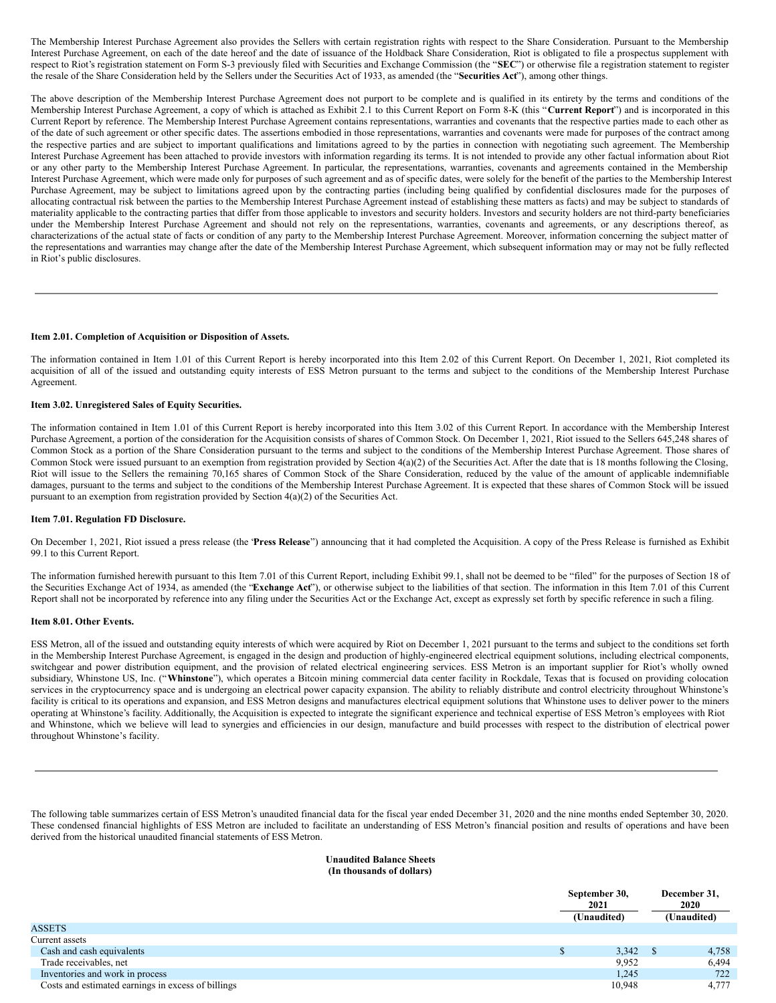The Membership Interest Purchase Agreement also provides the Sellers with certain registration rights with respect to the Share Consideration. Pursuant to the Membership Interest Purchase Agreement, on each of the date hereof and the date of issuance of the Holdback Share Consideration, Riot is obligated to file a prospectus supplement with respect to Riot's registration statement on Form S-3 previously filed with Securities and Exchange Commission (the "**SEC**") or otherwise file a registration statement to register the resale of the Share Consideration held by the Sellers under the Securities Act of 1933, as amended (the "**Securities Act**"), among other things.

The above description of the Membership Interest Purchase Agreement does not purport to be complete and is qualified in its entirety by the terms and conditions of the Membership Interest Purchase Agreement, a copy of which is attached as Exhibit 2.1 to this Current Report on Form 8-K (this "**Current Report**") and is incorporated in this Current Report by reference. The Membership Interest Purchase Agreement contains representations, warranties and covenants that the respective parties made to each other as of the date of such agreement or other specific dates. The assertions embodied in those representations, warranties and covenants were made for purposes of the contract among the respective parties and are subject to important qualifications and limitations agreed to by the parties in connection with negotiating such agreement. The Membership Interest Purchase Agreement has been attached to provide investors with information regarding its terms. It is not intended to provide any other factual information about Riot or any other party to the Membership Interest Purchase Agreement. In particular, the representations, warranties, covenants and agreements contained in the Membership Interest Purchase Agreement, which were made only for purposes of such agreement and as of specific dates, were solely for the benefit of the parties to the Membership Interest Purchase Agreement, may be subject to limitations agreed upon by the contracting parties (including being qualified by confidential disclosures made for the purposes of allocating contractual risk between the parties to the Membership Interest Purchase Agreement instead of establishing these matters as facts) and may be subject to standards of materiality applicable to the contracting parties that differ from those applicable to investors and security holders. Investors and security holders are not third-party beneficiaries under the Membership Interest Purchase Agreement and should not rely on the representations, warranties, covenants and agreements, or any descriptions thereof, as characterizations of the actual state of facts or condition of any party to the Membership Interest Purchase Agreement. Moreover, information concerning the subject matter of the representations and warranties may change after the date of the Membership Interest Purchase Agreement, which subsequent information may or may not be fully reflected in Riot's public disclosures.

#### **Item 2.01. Completion of Acquisition or Disposition of Assets.**

The information contained in Item 1.01 of this Current Report is hereby incorporated into this Item 2.02 of this Current Report. On December 1, 2021, Riot completed its acquisition of all of the issued and outstanding equity interests of ESS Metron pursuant to the terms and subject to the conditions of the Membership Interest Purchase Agreement.

#### **Item 3.02. Unregistered Sales of Equity Securities.**

The information contained in Item 1.01 of this Current Report is hereby incorporated into this Item 3.02 of this Current Report. In accordance with the Membership Interest Purchase Agreement, a portion of the consideration for the Acquisition consists of shares of Common Stock. On December 1, 2021, Riot issued to the Sellers 645,248 shares of Common Stock as a portion of the Share Consideration pursuant to the terms and subject to the conditions of the Membership Interest Purchase Agreement. Those shares of Common Stock were issued pursuant to an exemption from registration provided by Section 4(a)(2) of the Securities Act. After the date that is 18 months following the Closing, Riot will issue to the Sellers the remaining 70,165 shares of Common Stock of the Share Consideration, reduced by the value of the amount of applicable indemnifiable damages, pursuant to the terms and subject to the conditions of the Membership Interest Purchase Agreement. It is expected that these shares of Common Stock will be issued pursuant to an exemption from registration provided by Section 4(a)(2) of the Securities Act.

#### **Item 7.01. Regulation FD Disclosure.**

On December 1, 2021, Riot issued a press release (the "**Press Release**") announcing that it had completed the Acquisition. A copy of the Press Release is furnished as Exhibit 99.1 to this Current Report.

The information furnished herewith pursuant to this Item 7.01 of this Current Report, including Exhibit 99.1, shall not be deemed to be "filed" for the purposes of Section 18 of the Securities Exchange Act of 1934, as amended (the "**Exchange Act**"), or otherwise subject to the liabilities of that section. The information in this Item 7.01 of this Current Report shall not be incorporated by reference into any filing under the Securities Act or the Exchange Act, except as expressly set forth by specific reference in such a filing.

#### **Item 8.01. Other Events.**

ESS Metron, all of the issued and outstanding equity interests of which were acquired by Riot on December 1, 2021 pursuant to the terms and subject to the conditions set forth in the Membership Interest Purchase Agreement, is engaged in the design and production of highly-engineered electrical equipment solutions, including electrical components, switchgear and power distribution equipment, and the provision of related electrical engineering services. ESS Metron is an important supplier for Riot's wholly owned subsidiary, Whinstone US, Inc. ("**Whinstone**"), which operates a Bitcoin mining commercial data center facility in Rockdale, Texas that is focused on providing colocation services in the cryptocurrency space and is undergoing an electrical power capacity expansion. The ability to reliably distribute and control electricity throughout Whinstone's facility is critical to its operations and expansion, and ESS Metron designs and manufactures electrical equipment solutions that Whinstone uses to deliver power to the miners operating at Whinstone's facility. Additionally, the Acquisition is expected to integrate the significant experience and technical expertise of ESS Metron's employees with Riot and Whinstone, which we believe will lead to synergies and efficiencies in our design, manufacture and build processes with respect to the distribution of electrical power throughout Whinstone's facility.

The following table summarizes certain of ESS Metron's unaudited financial data for the fiscal year ended December 31, 2020 and the nine months ended September 30, 2020. These condensed financial highlights of ESS Metron are included to facilitate an understanding of ESS Metron's financial position and results of operations and have been derived from the historical unaudited financial statements of ESS Metron.

#### **Unaudited Balance Sheets (In thousands of dollars)**

|                                                    | September 30,<br>December 31,<br>2020<br>2021<br>(Unaudited)<br>(Unaudited) |  |       |
|----------------------------------------------------|-----------------------------------------------------------------------------|--|-------|
| ASSETS                                             |                                                                             |  |       |
| Current assets                                     |                                                                             |  |       |
| Cash and cash equivalents                          | 3,342                                                                       |  | 4,758 |
| Trade receivables, net                             | 9,952                                                                       |  | 6,494 |
| Inventories and work in process                    | 1,245                                                                       |  | 722   |
| Costs and estimated earnings in excess of billings | 10,948                                                                      |  | 4,777 |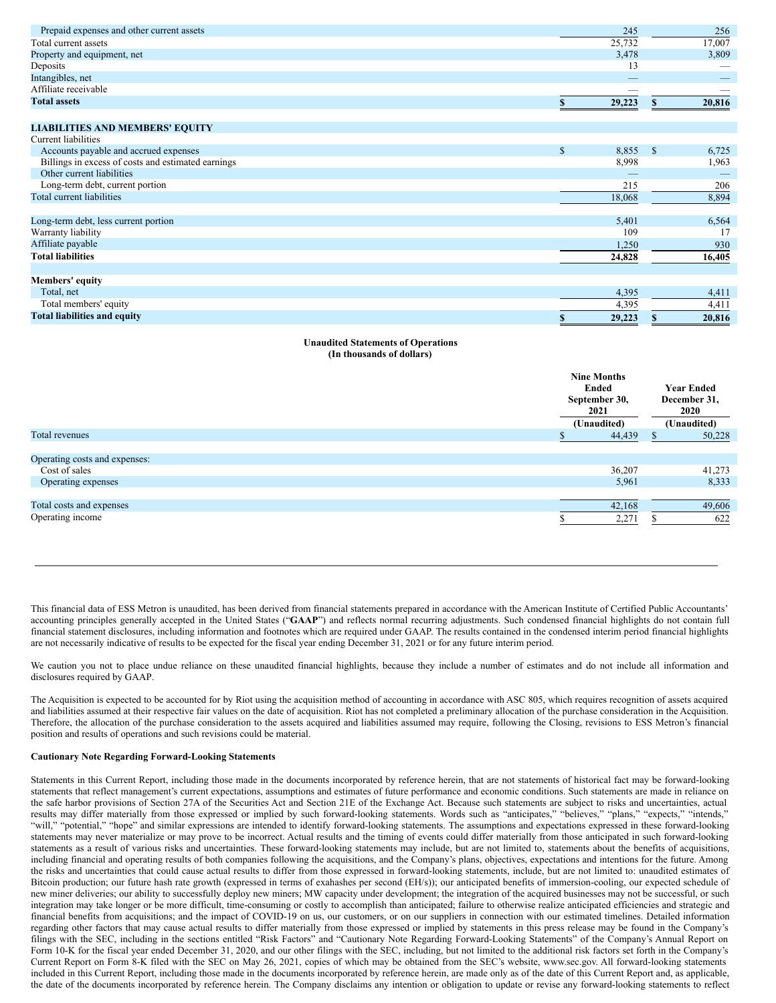| Prepaid expenses and other current assets          |    | 245    |    | 256    |
|----------------------------------------------------|----|--------|----|--------|
| Total current assets                               |    | 25,732 |    | 17,007 |
| Property and equipment, net                        |    | 3,478  |    | 3,809  |
| Deposits                                           |    | 13     |    |        |
| Intangibles, net                                   |    |        |    |        |
| Affiliate receivable                               |    |        |    |        |
| <b>Total assets</b>                                |    | 29,223 |    | 20,816 |
| <b>LIABILITIES AND MEMBERS' EQUITY</b>             |    |        |    |        |
| <b>Current liabilities</b>                         |    |        |    |        |
| Accounts payable and accrued expenses              | \$ | 8,855  | S  | 6,725  |
| Billings in excess of costs and estimated earnings |    | 8,998  |    | 1,963  |
| Other current liabilities                          |    |        |    |        |
| Long-term debt, current portion                    |    | 215    |    | 206    |
| Total current liabilities                          |    | 18,068 |    | 8,894  |
| Long-term debt, less current portion               |    | 5,401  |    | 6,564  |
| Warranty liability                                 |    | 109    |    | 17     |
| Affiliate payable                                  |    | 1,250  |    | 930    |
| <b>Total liabilities</b>                           |    | 24,828 |    | 16,405 |
| <b>Members'</b> equity                             |    |        |    |        |
| Total, net                                         |    | 4,395  |    | 4,411  |
| Total members' equity                              |    | 4,395  |    | 4,411  |
| <b>Total liabilities and equity</b>                | S  | 29,223 | \$ | 20,816 |

#### **Unaudited Statements of Operations (In thousands of dollars)**

|                               | 2021 | <b>Nine Months</b><br>Ended<br><b>Year Ended</b><br>September 30,<br>December 31,<br>2020<br>(Unaudited)<br>(Unaudited) |    |        |
|-------------------------------|------|-------------------------------------------------------------------------------------------------------------------------|----|--------|
| Total revenues                |      | 44,439                                                                                                                  | S. | 50,228 |
| Operating costs and expenses: |      |                                                                                                                         |    |        |
| Cost of sales                 |      | 36,207                                                                                                                  |    | 41,273 |
| Operating expenses            |      | 5,961                                                                                                                   |    | 8,333  |
|                               |      |                                                                                                                         |    |        |
| Total costs and expenses      |      | 42,168                                                                                                                  |    | 49,606 |
| Operating income              |      | 2,271                                                                                                                   |    | 622    |

This financial data of ESS Metron is unaudited, has been derived from financial statements prepared in accordance with the American Institute of Certified Public Accountants' accounting principles generally accepted in the United States ("**GAAP**") and reflects normal recurring adjustments. Such condensed financial highlights do not contain full financial statement disclosures, including information and footnotes which are required under GAAP. The results contained in the condensed interim period financial highlights are not necessarily indicative of results to be expected for the fiscal year ending December 31, 2021 or for any future interim period.

We caution you not to place undue reliance on these unaudited financial highlights, because they include a number of estimates and do not include all information and disclosures required by GAAP.

The Acquisition is expected to be accounted for by Riot using the acquisition method of accounting in accordance with ASC 805, which requires recognition of assets acquired and liabilities assumed at their respective fair values on the date of acquisition. Riot has not completed a preliminary allocation of the purchase consideration in the Acquisition. Therefore, the allocation of the purchase consideration to the assets acquired and liabilities assumed may require, following the Closing, revisions to ESS Metron's financial position and results of operations and such revisions could be material.

#### **Cautionary Note Regarding Forward-Looking Statements**

Statements in this Current Report, including those made in the documents incorporated by reference herein, that are not statements of historical fact may be forward-looking statements that reflect management's current expectations, assumptions and estimates of future performance and economic conditions. Such statements are made in reliance on the safe harbor provisions of Section 27A of the Securities Act and Section 21E of the Exchange Act. Because such statements are subject to risks and uncertainties, actual results may differ materially from those expressed or implied by such forward-looking statements. Words such as "anticipates," "believes," "plans," "expects," "intends," "will," "potential," "hope" and similar expressions are intended to identify forward-looking statements. The assumptions and expectations expressed in these forward-looking statements may never materialize or may prove to be incorrect. Actual results and the timing of events could differ materially from those anticipated in such forward-looking statements as a result of various risks and uncertainties. These forward-looking statements may include, but are not limited to, statements about the benefits of acquisitions, including financial and operating results of both companies following the acquisitions, and the Company's plans, objectives, expectations and intentions for the future. Among the risks and uncertainties that could cause actual results to differ from those expressed in forward-looking statements, include, but are not limited to: unaudited estimates of Bitcoin production; our future hash rate growth (expressed in terms of exahashes per second (EH/s)); our anticipated benefits of immersion-cooling, our expected schedule of new miner deliveries; our ability to successfully deploy new miners; MW capacity under development; the integration of the acquired businesses may not be successful, or such integration may take longer or be more difficult, time-consuming or costly to accomplish than anticipated; failure to otherwise realize anticipated efficiencies and strategic and financial benefits from acquisitions; and the impact of COVID-19 on us, our customers, or on our suppliers in connection with our estimated timelines. Detailed information regarding other factors that may cause actual results to differ materially from those expressed or implied by statements in this press release may be found in the Company's filings with the SEC, including in the sections entitled "Risk Factors" and "Cautionary Note Regarding Forward-Looking Statements" of the Company's Annual Report on Form 10-K for the fiscal year ended December 31, 2020, and our other filings with the SEC, including, but not limited to the additional risk factors set forth in the Company's Current Report on Form 8-K filed with the SEC on May 26, 2021, copies of which may be obtained from the SEC's website, www.sec.gov. All forward-looking statements included in this Current Report, including those made in the documents incorporated by reference herein, are made only as of the date of this Current Report and, as applicable, the date of the documents incorporated by reference herein. The Company disclaims any intention or obligation to update or revise any forward-looking statements to reflect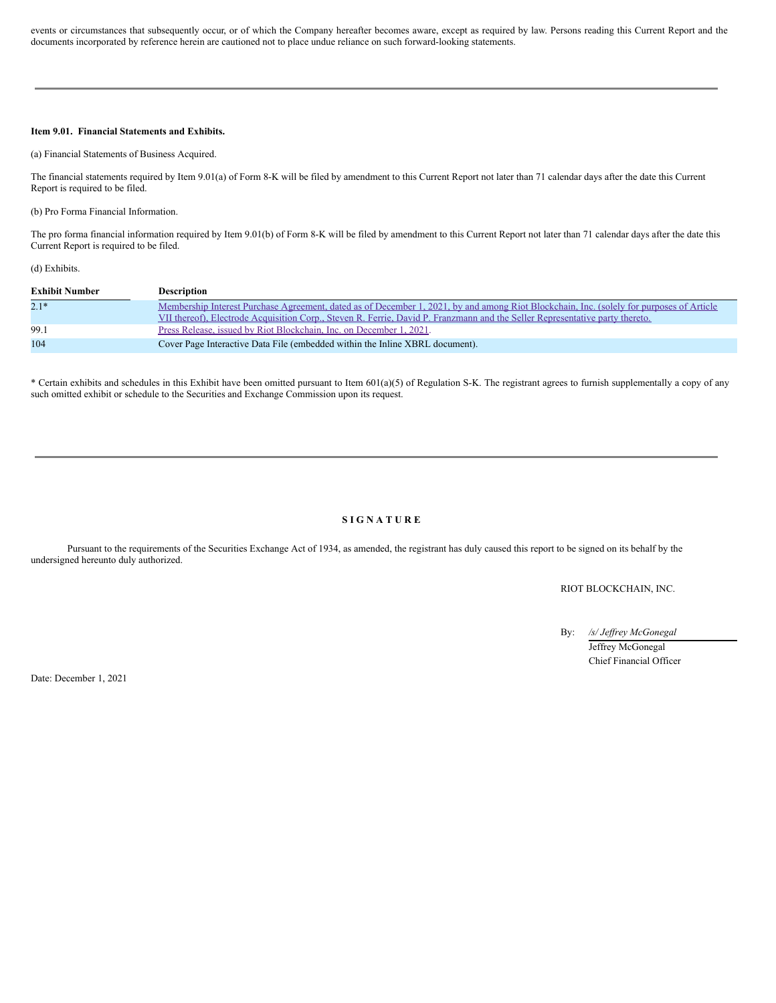events or circumstances that subsequently occur, or of which the Company hereafter becomes aware, except as required by law. Persons reading this Current Report and the documents incorporated by reference herein are cautioned not to place undue reliance on such forward-looking statements.

# **Item 9.01. Financial Statements and Exhibits.**

(a) Financial Statements of Business Acquired.

The financial statements required by Item 9.01(a) of Form 8-K will be filed by amendment to this Current Report not later than 71 calendar days after the date this Current Report is required to be filed.

(b) Pro Forma Financial Information.

The pro forma financial information required by Item 9.01(b) of Form 8-K will be filed by amendment to this Current Report not later than 71 calendar days after the date this Current Report is required to be filed.

(d) Exhibits.

| <b>Exhibit Number</b> | <b>Description</b>                                                                                                                                                                                                                                                       |
|-----------------------|--------------------------------------------------------------------------------------------------------------------------------------------------------------------------------------------------------------------------------------------------------------------------|
| $2.1*$                | Membership Interest Purchase Agreement, dated as of December 1, 2021, by and among Riot Blockchain, Inc. (solely for purposes of Article<br>VII thereof), Electrode Acquisition Corp., Steven R. Ferrie, David P. Franzmann and the Seller Representative party thereto. |
| 99.1                  | Press Release, issued by Riot Blockchain, Inc. on December 1, 2021.                                                                                                                                                                                                      |
| 104                   | Cover Page Interactive Data File (embedded within the Inline XBRL document).                                                                                                                                                                                             |

\* Certain exhibits and schedules in this Exhibit have been omitted pursuant to Item 601(a)(5) of Regulation S-K. The registrant agrees to furnish supplementally a copy of any such omitted exhibit or schedule to the Securities and Exchange Commission upon its request.

#### **S I G N A T U R E**

Pursuant to the requirements of the Securities Exchange Act of 1934, as amended, the registrant has duly caused this report to be signed on its behalf by the undersigned hereunto duly authorized.

RIOT BLOCKCHAIN, INC.

By: */s/ Jef rey McGonegal* Jeffrey McGonegal Chief Financial Officer

Date: December 1, 2021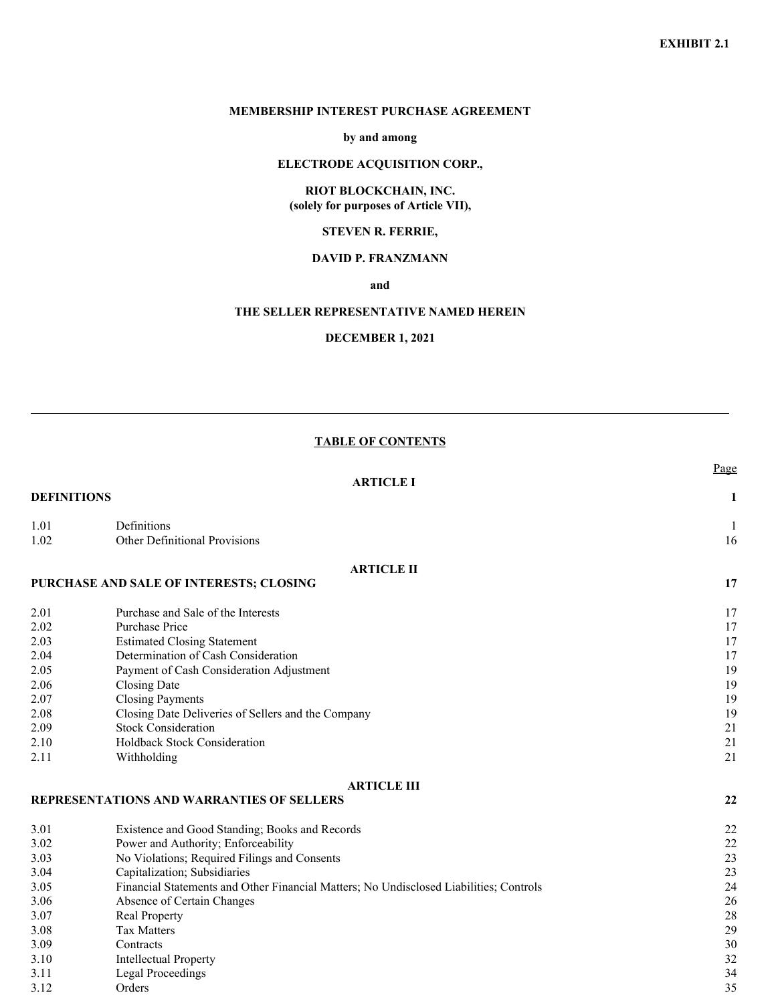# **MEMBERSHIP INTEREST PURCHASE AGREEMENT**

**by and among**

# **ELECTRODE ACQUISITION CORP.,**

# **RIOT BLOCKCHAIN, INC. (solely for purposes of Article VII),**

# **STEVEN R. FERRIE,**

# **DAVID P. FRANZMANN**

**and**

# **THE SELLER REPRESENTATIVE NAMED HEREIN**

**DECEMBER 1, 2021**

# **TABLE OF CONTENTS**

|                    |                                                                                        | Page |
|--------------------|----------------------------------------------------------------------------------------|------|
|                    | <b>ARTICLE I</b>                                                                       |      |
| <b>DEFINITIONS</b> |                                                                                        | 1    |
| 1.01               | Definitions                                                                            | 1    |
| 1.02               | Other Definitional Provisions                                                          | 16   |
|                    | <b>ARTICLE II</b>                                                                      |      |
|                    | PURCHASE AND SALE OF INTERESTS; CLOSING                                                | 17   |
| 2.01               | Purchase and Sale of the Interests                                                     | 17   |
| 2.02               | Purchase Price                                                                         | 17   |
| 2.03               | <b>Estimated Closing Statement</b>                                                     | 17   |
| 2.04               | Determination of Cash Consideration                                                    | 17   |
| 2.05               | Payment of Cash Consideration Adjustment                                               | 19   |
| 2.06               | <b>Closing Date</b>                                                                    | 19   |
| 2.07               | <b>Closing Payments</b>                                                                | 19   |
| 2.08               | Closing Date Deliveries of Sellers and the Company                                     | 19   |
| 2.09               | <b>Stock Consideration</b>                                                             | 21   |
| 2.10               | Holdback Stock Consideration                                                           | 21   |
| 2.11               | Withholding                                                                            | 21   |
|                    | <b>ARTICLE III</b>                                                                     |      |
|                    | REPRESENTATIONS AND WARRANTIES OF SELLERS                                              | 22   |
| 3.01               | Existence and Good Standing; Books and Records                                         | 22   |
| 3.02               | Power and Authority; Enforceability                                                    | 22   |
| 3.03               | No Violations; Required Filings and Consents                                           | 23   |
| 3.04               | Capitalization; Subsidiaries                                                           | 23   |
| 3.05               | Financial Statements and Other Financial Matters; No Undisclosed Liabilities; Controls | 24   |
| 3.06               | Absence of Certain Changes                                                             | 26   |
| 3.07               | Real Property                                                                          | 28   |
| 3.08               | <b>Tax Matters</b>                                                                     | 29   |
| 3.09               | Contracts                                                                              | 30   |
| 3.10               | <b>Intellectual Property</b>                                                           | 32   |
| 3.11               | <b>Legal Proceedings</b>                                                               | 34   |
| 3.12               | Orders                                                                                 | 35   |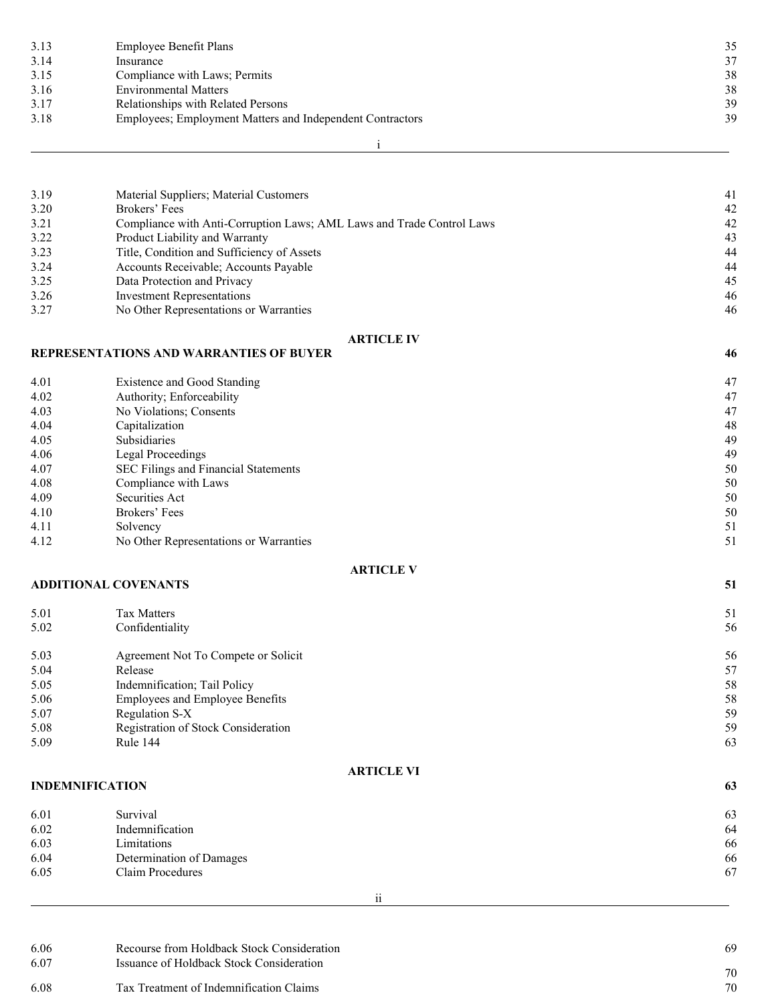| 3.13 | Employee Benefit Plans                                    | 35 |
|------|-----------------------------------------------------------|----|
| 3.14 | Insurance                                                 | 37 |
| 3.15 | Compliance with Laws; Permits                             | 38 |
| 3.16 | <b>Environmental Matters</b>                              | 38 |
| 3.17 | Relationships with Related Persons                        | 39 |
| 3.18 | Employees; Employment Matters and Independent Contractors | 39 |
|      |                                                           |    |

i

| 3.19 | Material Suppliers; Material Customers                                | 41 |
|------|-----------------------------------------------------------------------|----|
| 3.20 | Brokers' Fees                                                         | 42 |
| 3.21 | Compliance with Anti-Corruption Laws; AML Laws and Trade Control Laws | 42 |
| 3.22 | Product Liability and Warranty                                        | 43 |
| 3.23 | Title, Condition and Sufficiency of Assets                            | 44 |
| 3.24 | Accounts Receivable; Accounts Payable                                 | 44 |
| 3.25 | Data Protection and Privacy                                           | 45 |
| 3.26 | <b>Investment Representations</b>                                     | 46 |
| 3.27 | No Other Representations or Warranties                                | 46 |
|      |                                                                       |    |

| <b>ARTICLE IV</b> |
|-------------------|
|-------------------|

# **REPRESENTATIONS AND WARRANTIES OF BUYER 46**

4.01 Existence and Good Standing 4.02 Authority; Enforceability 47 4.02 Authority; Enforceability<br>4.03 No Violations; Consents No Violations; Consents 47<br>
Capitalization 48 4.04 Capitalization 48 4.05 Subsidiaries 49 4.06 Legal Proceedings 49 4.07 SEC Filings and Financial Statements 50<br>4.08 Compliance with Laws 50 4.09 Compliance with Laws 50<br>Securities Act 50 4.09 Securities Act 50 4.10 Brokers' Fees 50 4.11 Solvency 51 4.12 No Other Representations or Warranties 51

# **ADDITIONAL COVENANTS 51**

| 5.01 | <b>Tax Matters</b>                         | 51 |
|------|--------------------------------------------|----|
| 5.02 | Confidentiality                            | 56 |
| 5.03 | Agreement Not To Compete or Solicit        | 56 |
| 5.04 | Release                                    | 57 |
| 5.05 | Indemnification; Tail Policy               | 58 |
| 5.06 | <b>Employees and Employee Benefits</b>     | 58 |
| 5.07 | Regulation S-X                             | 59 |
| 5.08 | <b>Registration of Stock Consideration</b> | 59 |
| 5.09 | <b>Rule 144</b>                            | 63 |

# **ARTICLE VI**

| <b>INDEMNIFICATION</b> |                          | 63 |
|------------------------|--------------------------|----|
| 6.01                   | Survival                 | 63 |
| 6.02                   | Indemnification          | 64 |
| 6.03                   | Limitations              | 66 |
| 6.04                   | Determination of Damages | 66 |
| 6.05                   | Claim Procedures         | 67 |
|                        |                          |    |

| 6.06<br>6.07 | Recourse from Holdback Stock Consideration<br>Issuance of Holdback Stock Consideration | 69 |
|--------------|----------------------------------------------------------------------------------------|----|
|              |                                                                                        | 70 |
| 6.08         | Tax Treatment of Indemnification Claims                                                | 70 |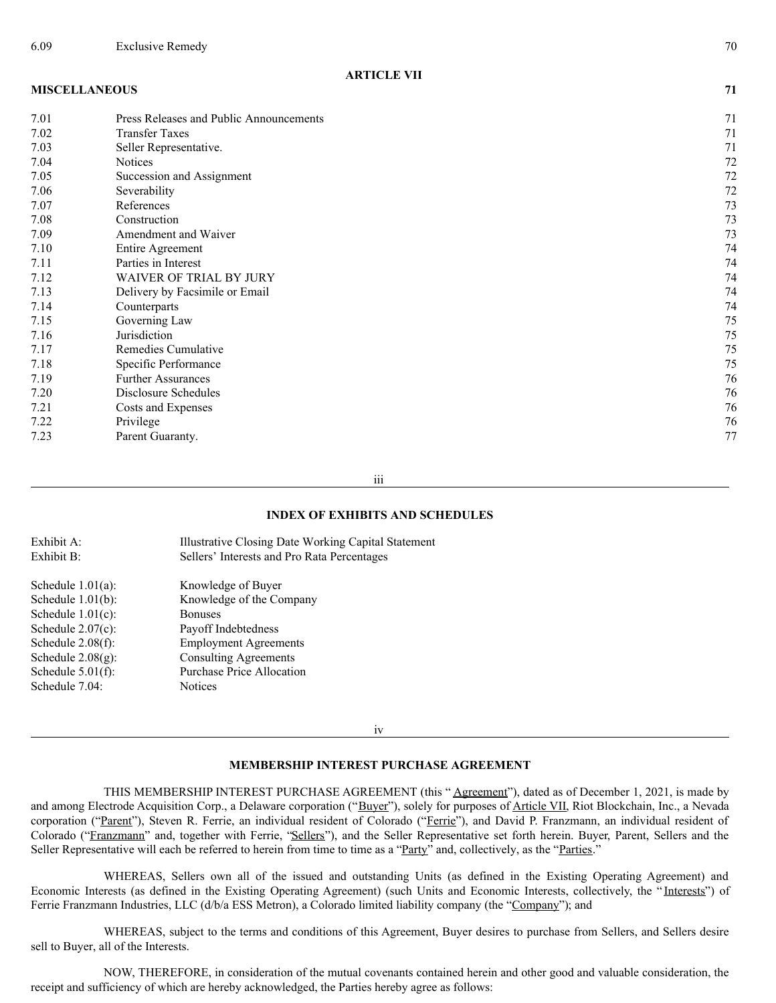# **ARTICLE VII**

# **MISCELLANEOUS 71**

| 7.01 | Press Releases and Public Announcements | 71 |
|------|-----------------------------------------|----|
| 7.02 | <b>Transfer Taxes</b>                   | 71 |
| 7.03 | Seller Representative.                  | 71 |
| 7.04 | <b>Notices</b>                          | 72 |
| 7.05 | Succession and Assignment               | 72 |
| 7.06 | Severability                            | 72 |
| 7.07 | References                              | 73 |
| 7.08 | Construction                            | 73 |
| 7.09 | Amendment and Waiver                    | 73 |
| 7.10 | Entire Agreement                        | 74 |
| 7.11 | Parties in Interest                     | 74 |
| 7.12 | WAIVER OF TRIAL BY JURY                 | 74 |
| 7.13 | Delivery by Facsimile or Email          | 74 |
| 7.14 | Counterparts                            | 74 |
| 7.15 | Governing Law                           | 75 |
| 7.16 | Jurisdiction                            | 75 |
| 7.17 | Remedies Cumulative                     | 75 |
| 7.18 | Specific Performance                    | 75 |
| 7.19 | <b>Further Assurances</b>               | 76 |
| 7.20 | Disclosure Schedules                    | 76 |
| 7.21 | Costs and Expenses                      | 76 |
| 7.22 | Privilege                               | 76 |
| 7.23 | Parent Guaranty.                        | 77 |

iii

# **INDEX OF EXHIBITS AND SCHEDULES**

| Exhibit A:           | Illustrative Closing Date Working Capital Statement |
|----------------------|-----------------------------------------------------|
| Exhibit B:           | Sellers' Interests and Pro Rata Percentages         |
| Schedule $1.01(a)$ : | Knowledge of Buyer                                  |
| Schedule $1.01(b)$ : | Knowledge of the Company                            |
| Schedule $1.01(c)$ : | <b>Bonuses</b>                                      |
| Schedule $2.07(c)$ : | Payoff Indebtedness                                 |
| Schedule $2.08(f)$ : | <b>Employment Agreements</b>                        |
| Schedule $2.08(g)$ : | <b>Consulting Agreements</b>                        |
| Schedule $5.01(f)$ : | <b>Purchase Price Allocation</b>                    |
| Schedule 7.04:       | <b>Notices</b>                                      |
|                      |                                                     |

iv

# **MEMBERSHIP INTEREST PURCHASE AGREEMENT**

THIS MEMBERSHIP INTEREST PURCHASE AGREEMENT (this "Agreement"), dated as of December 1, 2021, is made by and among Electrode Acquisition Corp., a Delaware corporation ("Buyer"), solely for purposes of Article VII, Riot Blockchain, Inc., a Nevada corporation ("Parent"), Steven R. Ferrie, an individual resident of Colorado ("Ferrie"), and David P. Franzmann, an individual resident of Colorado ("Franzmann" and, together with Ferrie, "Sellers"), and the Seller Representative set forth herein. Buyer, Parent, Sellers and the Seller Representative will each be referred to herein from time to time as a "Party" and, collectively, as the "Parties."

WHEREAS, Sellers own all of the issued and outstanding Units (as defined in the Existing Operating Agreement) and Economic Interests (as defined in the Existing Operating Agreement) (such Units and Economic Interests, collectively, the " Interests") of Ferrie Franzmann Industries, LLC (d/b/a ESS Metron), a Colorado limited liability company (the "Company"); and

WHEREAS, subject to the terms and conditions of this Agreement, Buyer desires to purchase from Sellers, and Sellers desire sell to Buyer, all of the Interests.

NOW, THEREFORE, in consideration of the mutual covenants contained herein and other good and valuable consideration, the receipt and sufficiency of which are hereby acknowledged, the Parties hereby agree as follows: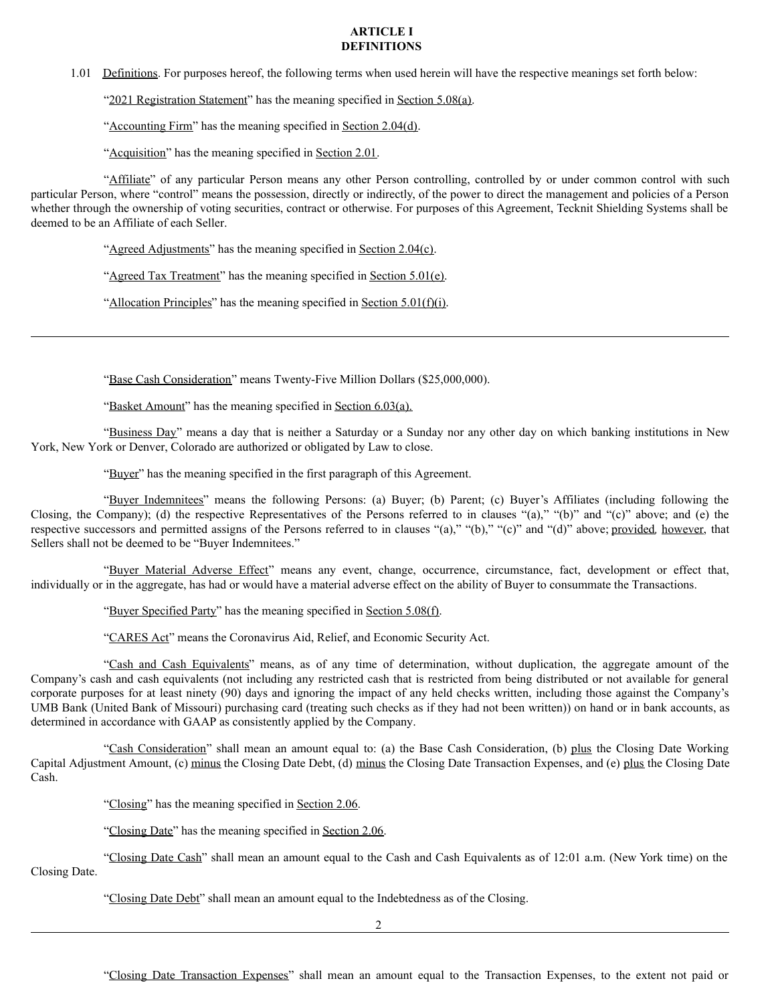# **ARTICLE I DEFINITIONS**

1.01 Definitions. For purposes hereof, the following terms when used herein will have the respective meanings set forth below:

"2021 Registration Statement" has the meaning specified in Section 5.08(a).

"Accounting Firm" has the meaning specified in Section 2.04(d).

"Acquisition" has the meaning specified in Section 2.01.

"Affiliate" of any particular Person means any other Person controlling, controlled by or under common control with such particular Person, where "control" means the possession, directly or indirectly, of the power to direct the management and policies of a Person whether through the ownership of voting securities, contract or otherwise. For purposes of this Agreement, Tecknit Shielding Systems shall be deemed to be an Affiliate of each Seller.

"Agreed Adjustments" has the meaning specified in Section 2.04(c).

"Agreed Tax Treatment" has the meaning specified in Section 5.01(e).

"Allocation Principles" has the meaning specified in Section 5.01(f)(i).

"Base Cash Consideration" means Twenty-Five Million Dollars (\$25,000,000).

"Basket Amount" has the meaning specified in Section 6.03(a).

"Business Day" means a day that is neither a Saturday or a Sunday nor any other day on which banking institutions in New York, New York or Denver, Colorado are authorized or obligated by Law to close.

"Buyer" has the meaning specified in the first paragraph of this Agreement.

"Buyer Indemnitees" means the following Persons: (a) Buyer; (b) Parent; (c) Buyer's Affiliates (including following the Closing, the Company); (d) the respective Representatives of the Persons referred to in clauses "(a)," "(b)" and "(c)" above; and (e) the respective successors and permitted assigns of the Persons referred to in clauses "(a)," "(b)," "(c)" and "(d)" above; provided*,* however, that Sellers shall not be deemed to be "Buyer Indemnitees."

"Buyer Material Adverse Effect" means any event, change, occurrence, circumstance, fact, development or effect that, individually or in the aggregate, has had or would have a material adverse effect on the ability of Buyer to consummate the Transactions.

"Buyer Specified Party" has the meaning specified in Section 5.08(f).

"CARES Act" means the Coronavirus Aid, Relief, and Economic Security Act.

"Cash and Cash Equivalents" means, as of any time of determination, without duplication, the aggregate amount of the Company's cash and cash equivalents (not including any restricted cash that is restricted from being distributed or not available for general corporate purposes for at least ninety (90) days and ignoring the impact of any held checks written, including those against the Company's UMB Bank (United Bank of Missouri) purchasing card (treating such checks as if they had not been written)) on hand or in bank accounts, as determined in accordance with GAAP as consistently applied by the Company.

"Cash Consideration" shall mean an amount equal to: (a) the Base Cash Consideration, (b) plus the Closing Date Working Capital Adjustment Amount, (c) minus the Closing Date Debt, (d) minus the Closing Date Transaction Expenses, and (e) plus the Closing Date Cash.

"Closing" has the meaning specified in Section 2.06.

"Closing Date" has the meaning specified in Section 2.06.

"Closing Date Cash" shall mean an amount equal to the Cash and Cash Equivalents as of 12:01 a.m. (New York time) on the Closing Date.

"Closing Date Debt" shall mean an amount equal to the Indebtedness as of the Closing.

 $\mathfrak{D}$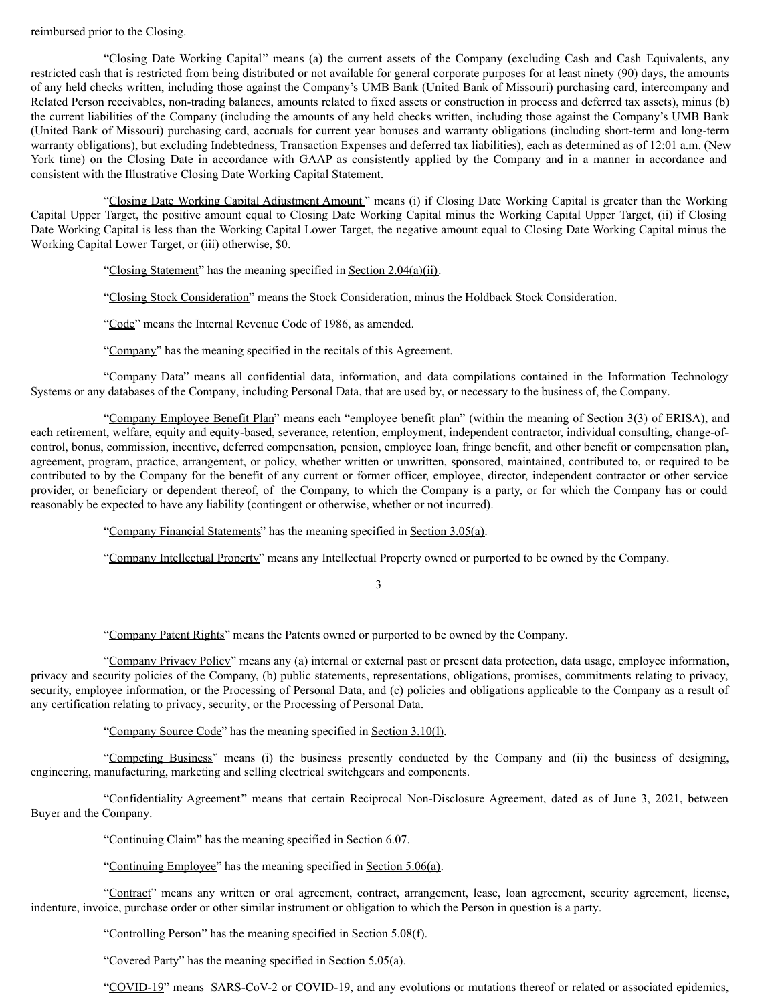# reimbursed prior to the Closing.

"Closing Date Working Capital" means (a) the current assets of the Company (excluding Cash and Cash Equivalents, any restricted cash that is restricted from being distributed or not available for general corporate purposes for at least ninety (90) days, the amounts of any held checks written, including those against the Company's UMB Bank (United Bank of Missouri) purchasing card, intercompany and Related Person receivables, non-trading balances, amounts related to fixed assets or construction in process and deferred tax assets), minus (b) the current liabilities of the Company (including the amounts of any held checks written, including those against the Company's UMB Bank (United Bank of Missouri) purchasing card, accruals for current year bonuses and warranty obligations (including short-term and long-term warranty obligations), but excluding Indebtedness, Transaction Expenses and deferred tax liabilities), each as determined as of 12:01 a.m. (New York time) on the Closing Date in accordance with GAAP as consistently applied by the Company and in a manner in accordance and consistent with the Illustrative Closing Date Working Capital Statement.

"Closing Date Working Capital Adjustment Amount" means (i) if Closing Date Working Capital is greater than the Working Capital Upper Target, the positive amount equal to Closing Date Working Capital minus the Working Capital Upper Target, (ii) if Closing Date Working Capital is less than the Working Capital Lower Target, the negative amount equal to Closing Date Working Capital minus the Working Capital Lower Target, or (iii) otherwise, \$0.

"Closing Statement" has the meaning specified in Section 2.04(a)(ii).

"Closing Stock Consideration" means the Stock Consideration, minus the Holdback Stock Consideration.

"Code" means the Internal Revenue Code of 1986, as amended.

"Company" has the meaning specified in the recitals of this Agreement.

"Company Data" means all confidential data, information, and data compilations contained in the Information Technology Systems or any databases of the Company, including Personal Data, that are used by, or necessary to the business of, the Company.

"Company Employee Benefit Plan" means each "employee benefit plan" (within the meaning of Section 3(3) of ERISA), and each retirement, welfare, equity and equity-based, severance, retention, employment, independent contractor, individual consulting, change-ofcontrol, bonus, commission, incentive, deferred compensation, pension, employee loan, fringe benefit, and other benefit or compensation plan, agreement, program, practice, arrangement, or policy, whether written or unwritten, sponsored, maintained, contributed to, or required to be contributed to by the Company for the benefit of any current or former officer, employee, director, independent contractor or other service provider, or beneficiary or dependent thereof, of the Company, to which the Company is a party, or for which the Company has or could reasonably be expected to have any liability (contingent or otherwise, whether or not incurred).

"Company Financial Statements" has the meaning specified in Section 3.05(a).

"Company Intellectual Property" means any Intellectual Property owned or purported to be owned by the Company.

3

"Company Patent Rights" means the Patents owned or purported to be owned by the Company.

"Company Privacy Policy" means any (a) internal or external past or present data protection, data usage, employee information, privacy and security policies of the Company, (b) public statements, representations, obligations, promises, commitments relating to privacy, security, employee information, or the Processing of Personal Data, and (c) policies and obligations applicable to the Company as a result of any certification relating to privacy, security, or the Processing of Personal Data.

"Company Source Code" has the meaning specified in Section 3.10(l).

"Competing Business" means (i) the business presently conducted by the Company and (ii) the business of designing, engineering, manufacturing, marketing and selling electrical switchgears and components.

"Confidentiality Agreement" means that certain Reciprocal Non-Disclosure Agreement, dated as of June 3, 2021, between Buyer and the Company.

"Continuing Claim" has the meaning specified in Section 6.07.

"Continuing Employee" has the meaning specified in Section 5.06(a).

"Contract" means any written or oral agreement, contract, arrangement, lease, loan agreement, security agreement, license, indenture, invoice, purchase order or other similar instrument or obligation to which the Person in question is a party.

"Controlling Person" has the meaning specified in Section 5.08(f).

"Covered Party" has the meaning specified in Section 5.05(a).

"COVID-19" means SARS-CoV-2 or COVID-19, and any evolutions or mutations thereof or related or associated epidemics,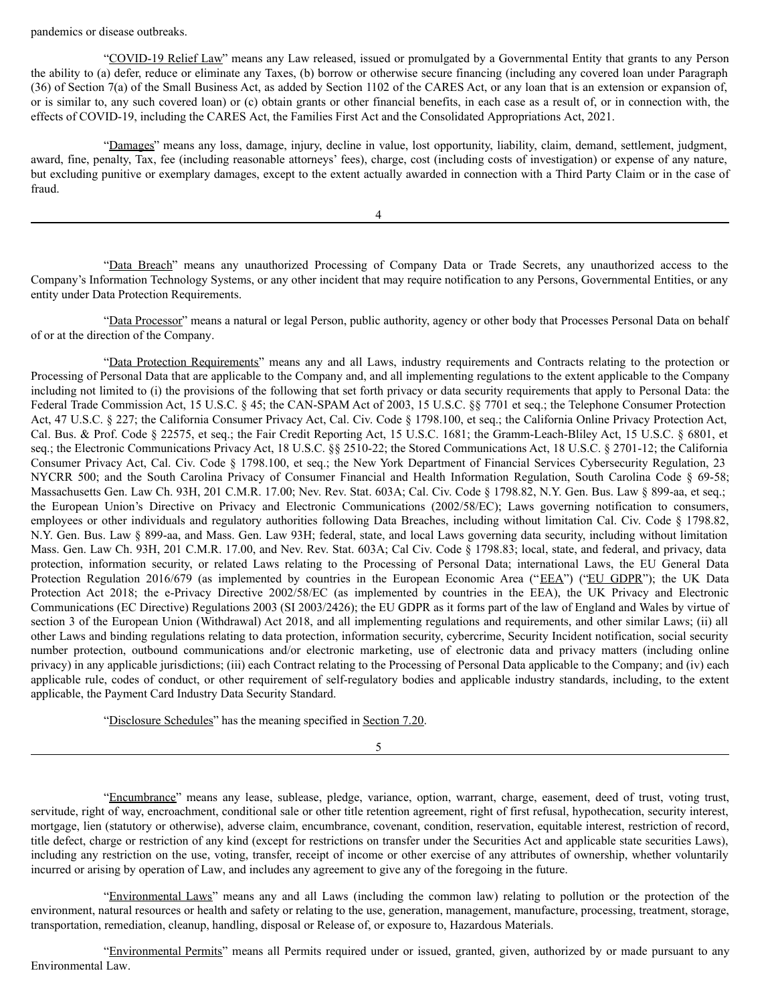pandemics or disease outbreaks.

"COVID-19 Relief Law" means any Law released, issued or promulgated by a Governmental Entity that grants to any Person the ability to (a) defer, reduce or eliminate any Taxes, (b) borrow or otherwise secure financing (including any covered loan under Paragraph (36) of Section 7(a) of the Small Business Act, as added by Section 1102 of the CARES Act, or any loan that is an extension or expansion of, or is similar to, any such covered loan) or (c) obtain grants or other financial benefits, in each case as a result of, or in connection with, the effects of COVID-19, including the CARES Act, the Families First Act and the Consolidated Appropriations Act, 2021.

"Damages" means any loss, damage, injury, decline in value, lost opportunity, liability, claim, demand, settlement, judgment, award, fine, penalty, Tax, fee (including reasonable attorneys' fees), charge, cost (including costs of investigation) or expense of any nature, but excluding punitive or exemplary damages, except to the extent actually awarded in connection with a Third Party Claim or in the case of fraud.

4

"Data Breach" means any unauthorized Processing of Company Data or Trade Secrets, any unauthorized access to the Company's Information Technology Systems, or any other incident that may require notification to any Persons, Governmental Entities, or any entity under Data Protection Requirements.

"Data Processor" means a natural or legal Person, public authority, agency or other body that Processes Personal Data on behalf of or at the direction of the Company.

"Data Protection Requirements" means any and all Laws, industry requirements and Contracts relating to the protection or Processing of Personal Data that are applicable to the Company and, and all implementing regulations to the extent applicable to the Company including not limited to (i) the provisions of the following that set forth privacy or data security requirements that apply to Personal Data: the Federal Trade Commission Act, 15 U.S.C. § 45; the CAN-SPAM Act of 2003, 15 U.S.C. §§ 7701 et seq.; the Telephone Consumer Protection Act, 47 U.S.C. § 227; the California Consumer Privacy Act, Cal. Civ. Code § 1798.100, et seq.; the California Online Privacy Protection Act, Cal. Bus. & Prof. Code § 22575, et seq.; the Fair Credit Reporting Act, 15 U.S.C. 1681; the Gramm-Leach-Bliley Act, 15 U.S.C. § 6801, et seq.; the Electronic Communications Privacy Act, 18 U.S.C. §§ 2510-22; the Stored Communications Act, 18 U.S.C. § 2701-12; the California Consumer Privacy Act, Cal. Civ. Code § 1798.100, et seq.; the New York Department of Financial Services Cybersecurity Regulation, 23 NYCRR 500; and the South Carolina Privacy of Consumer Financial and Health Information Regulation, South Carolina Code § 69-58; Massachusetts Gen. Law Ch. 93H, 201 C.M.R. 17.00; Nev. Rev. Stat. 603A; Cal. Civ. Code § 1798.82, N.Y. Gen. Bus. Law § 899-aa, et seq.; the European Union's Directive on Privacy and Electronic Communications (2002/58/EC); Laws governing notification to consumers, employees or other individuals and regulatory authorities following Data Breaches, including without limitation Cal. Civ. Code § 1798.82, N.Y. Gen. Bus. Law § 899-aa, and Mass. Gen. Law 93H; federal, state, and local Laws governing data security, including without limitation Mass. Gen. Law Ch. 93H, 201 C.M.R. 17.00, and Nev. Rev. Stat. 603A; Cal Civ. Code § 1798.83; local, state, and federal, and privacy, data protection, information security, or related Laws relating to the Processing of Personal Data; international Laws, the EU General Data Protection Regulation 2016/679 (as implemented by countries in the European Economic Area ("EEA") ("EU GDPR"); the UK Data Protection Act 2018; the e-Privacy Directive 2002/58/EC (as implemented by countries in the EEA), the UK Privacy and Electronic Communications (EC Directive) Regulations 2003 (SI 2003/2426); the EU GDPR as it forms part of the law of England and Wales by virtue of section 3 of the European Union (Withdrawal) Act 2018, and all implementing regulations and requirements, and other similar Laws; (ii) all other Laws and binding regulations relating to data protection, information security, cybercrime, Security Incident notification, social security number protection, outbound communications and/or electronic marketing, use of electronic data and privacy matters (including online privacy) in any applicable jurisdictions; (iii) each Contract relating to the Processing of Personal Data applicable to the Company; and (iv) each applicable rule, codes of conduct, or other requirement of self-regulatory bodies and applicable industry standards, including, to the extent applicable, the Payment Card Industry Data Security Standard.

"Disclosure Schedules" has the meaning specified in Section 7.20.

5

"Encumbrance" means any lease, sublease, pledge, variance, option, warrant, charge, easement, deed of trust, voting trust, servitude, right of way, encroachment, conditional sale or other title retention agreement, right of first refusal, hypothecation, security interest, mortgage, lien (statutory or otherwise), adverse claim, encumbrance, covenant, condition, reservation, equitable interest, restriction of record, title defect, charge or restriction of any kind (except for restrictions on transfer under the Securities Act and applicable state securities Laws), including any restriction on the use, voting, transfer, receipt of income or other exercise of any attributes of ownership, whether voluntarily incurred or arising by operation of Law, and includes any agreement to give any of the foregoing in the future.

"Environmental Laws" means any and all Laws (including the common law) relating to pollution or the protection of the environment, natural resources or health and safety or relating to the use, generation, management, manufacture, processing, treatment, storage, transportation, remediation, cleanup, handling, disposal or Release of, or exposure to, Hazardous Materials.

"Environmental Permits" means all Permits required under or issued, granted, given, authorized by or made pursuant to any Environmental Law.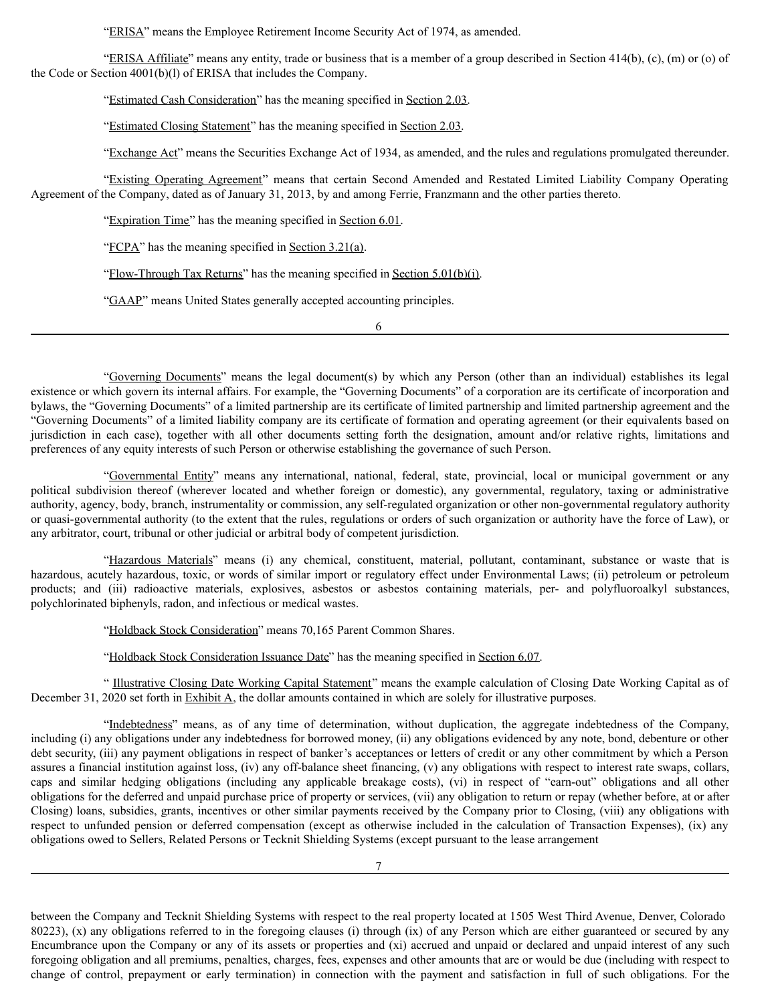"ERISA" means the Employee Retirement Income Security Act of 1974, as amended.

"ERISA Affiliate" means any entity, trade or business that is a member of a group described in Section 414(b), (c), (m) or (o) of the Code or Section 4001(b)(l) of ERISA that includes the Company.

"Estimated Cash Consideration" has the meaning specified in Section 2.03.

"Estimated Closing Statement" has the meaning specified in Section 2.03.

"Exchange Act" means the Securities Exchange Act of 1934, as amended, and the rules and regulations promulgated thereunder.

"Existing Operating Agreement" means that certain Second Amended and Restated Limited Liability Company Operating Agreement of the Company, dated as of January 31, 2013, by and among Ferrie, Franzmann and the other parties thereto.

"Expiration Time" has the meaning specified in Section 6.01.

"FCPA" has the meaning specified in Section 3.21(a).

"Flow-Through Tax Returns" has the meaning specified in Section 5.01(b)(i).

"GAAP" means United States generally accepted accounting principles.

6

"Governing Documents" means the legal document(s) by which any Person (other than an individual) establishes its legal existence or which govern its internal affairs. For example, the "Governing Documents" of a corporation are its certificate of incorporation and bylaws, the "Governing Documents" of a limited partnership are its certificate of limited partnership and limited partnership agreement and the "Governing Documents" of a limited liability company are its certificate of formation and operating agreement (or their equivalents based on jurisdiction in each case), together with all other documents setting forth the designation, amount and/or relative rights, limitations and preferences of any equity interests of such Person or otherwise establishing the governance of such Person.

"Governmental Entity" means any international, national, federal, state, provincial, local or municipal government or any political subdivision thereof (wherever located and whether foreign or domestic), any governmental, regulatory, taxing or administrative authority, agency, body, branch, instrumentality or commission, any self-regulated organization or other non-governmental regulatory authority or quasi-governmental authority (to the extent that the rules, regulations or orders of such organization or authority have the force of Law), or any arbitrator, court, tribunal or other judicial or arbitral body of competent jurisdiction.

"Hazardous Materials" means (i) any chemical, constituent, material, pollutant, contaminant, substance or waste that is hazardous, acutely hazardous, toxic, or words of similar import or regulatory effect under Environmental Laws; (ii) petroleum or petroleum products; and (iii) radioactive materials, explosives, asbestos or asbestos containing materials, per- and polyfluoroalkyl substances, polychlorinated biphenyls, radon, and infectious or medical wastes.

"Holdback Stock Consideration" means 70,165 Parent Common Shares.

"Holdback Stock Consideration Issuance Date" has the meaning specified in Section 6.07.

" Illustrative Closing Date Working Capital Statement" means the example calculation of Closing Date Working Capital as of December 31, 2020 set forth in Exhibit A, the dollar amounts contained in which are solely for illustrative purposes.

"Indebtedness" means, as of any time of determination, without duplication, the aggregate indebtedness of the Company, including (i) any obligations under any indebtedness for borrowed money, (ii) any obligations evidenced by any note, bond, debenture or other debt security, (iii) any payment obligations in respect of banker's acceptances or letters of credit or any other commitment by which a Person assures a financial institution against loss, (iv) any off-balance sheet financing, (v) any obligations with respect to interest rate swaps, collars, caps and similar hedging obligations (including any applicable breakage costs), (vi) in respect of "earn-out" obligations and all other obligations for the deferred and unpaid purchase price of property or services, (vii) any obligation to return or repay (whether before, at or after Closing) loans, subsidies, grants, incentives or other similar payments received by the Company prior to Closing, (viii) any obligations with respect to unfunded pension or deferred compensation (except as otherwise included in the calculation of Transaction Expenses), (ix) any obligations owed to Sellers, Related Persons or Tecknit Shielding Systems (except pursuant to the lease arrangement

between the Company and Tecknit Shielding Systems with respect to the real property located at 1505 West Third Avenue, Denver, Colorado 80223), (x) any obligations referred to in the foregoing clauses (i) through (ix) of any Person which are either guaranteed or secured by any Encumbrance upon the Company or any of its assets or properties and (xi) accrued and unpaid or declared and unpaid interest of any such foregoing obligation and all premiums, penalties, charges, fees, expenses and other amounts that are or would be due (including with respect to change of control, prepayment or early termination) in connection with the payment and satisfaction in full of such obligations. For the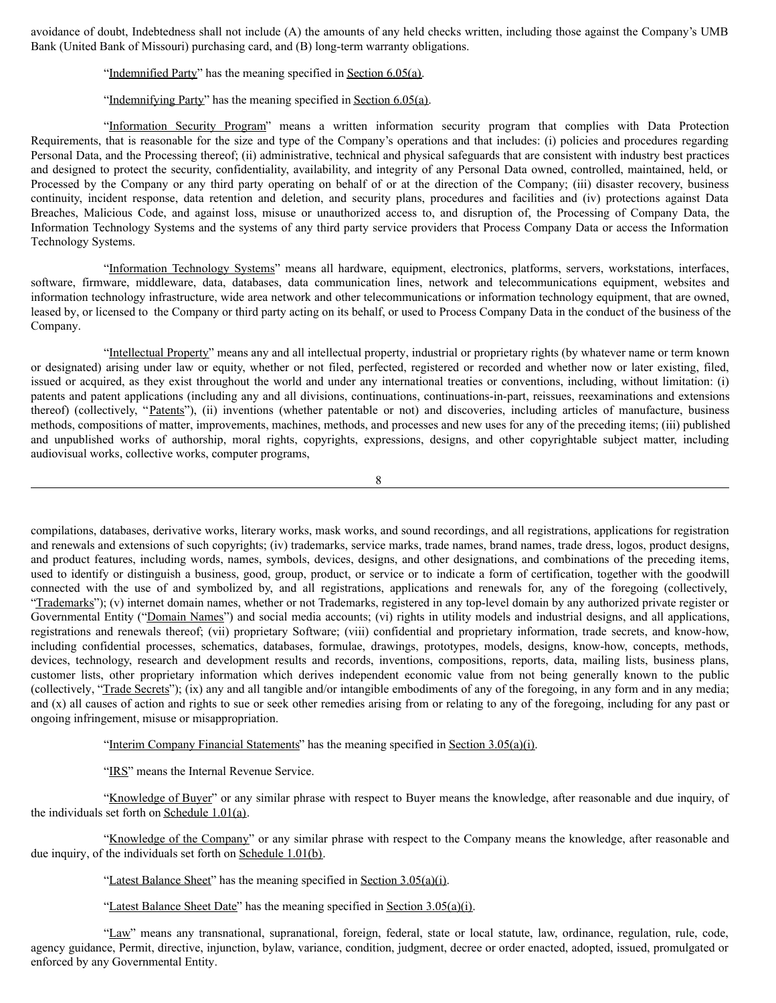avoidance of doubt, Indebtedness shall not include (A) the amounts of any held checks written, including those against the Company's UMB Bank (United Bank of Missouri) purchasing card, and (B) long-term warranty obligations.

"Indemnified Party" has the meaning specified in Section 6.05(a).

"Indemnifying Party" has the meaning specified in Section 6.05(a).

"Information Security Program" means a written information security program that complies with Data Protection Requirements, that is reasonable for the size and type of the Company's operations and that includes: (i) policies and procedures regarding Personal Data, and the Processing thereof; (ii) administrative, technical and physical safeguards that are consistent with industry best practices and designed to protect the security, confidentiality, availability, and integrity of any Personal Data owned, controlled, maintained, held, or Processed by the Company or any third party operating on behalf of or at the direction of the Company; (iii) disaster recovery, business continuity, incident response, data retention and deletion, and security plans, procedures and facilities and (iv) protections against Data Breaches, Malicious Code, and against loss, misuse or unauthorized access to, and disruption of, the Processing of Company Data, the Information Technology Systems and the systems of any third party service providers that Process Company Data or access the Information Technology Systems.

"Information Technology Systems" means all hardware, equipment, electronics, platforms, servers, workstations, interfaces, software, firmware, middleware, data, databases, data communication lines, network and telecommunications equipment, websites and information technology infrastructure, wide area network and other telecommunications or information technology equipment, that are owned, leased by, or licensed to the Company or third party acting on its behalf, or used to Process Company Data in the conduct of the business of the Company.

"Intellectual Property" means any and all intellectual property, industrial or proprietary rights (by whatever name or term known or designated) arising under law or equity, whether or not filed, perfected, registered or recorded and whether now or later existing, filed, issued or acquired, as they exist throughout the world and under any international treaties or conventions, including, without limitation: (i) patents and patent applications (including any and all divisions, continuations, continuations-in-part, reissues, reexaminations and extensions thereof) (collectively, "Patents"), (ii) inventions (whether patentable or not) and discoveries, including articles of manufacture, business methods, compositions of matter, improvements, machines, methods, and processes and new uses for any of the preceding items; (iii) published and unpublished works of authorship, moral rights, copyrights, expressions, designs, and other copyrightable subject matter, including audiovisual works, collective works, computer programs,

```
8
```
compilations, databases, derivative works, literary works, mask works, and sound recordings, and all registrations, applications for registration and renewals and extensions of such copyrights; (iv) trademarks, service marks, trade names, brand names, trade dress, logos, product designs, and product features, including words, names, symbols, devices, designs, and other designations, and combinations of the preceding items, used to identify or distinguish a business, good, group, product, or service or to indicate a form of certification, together with the goodwill connected with the use of and symbolized by, and all registrations, applications and renewals for, any of the foregoing (collectively, "Trademarks"); (v) internet domain names, whether or not Trademarks, registered in any top-level domain by any authorized private register or Governmental Entity ("Domain Names") and social media accounts; (vi) rights in utility models and industrial designs, and all applications, registrations and renewals thereof; (vii) proprietary Software; (viii) confidential and proprietary information, trade secrets, and know-how, including confidential processes, schematics, databases, formulae, drawings, prototypes, models, designs, know-how, concepts, methods, devices, technology, research and development results and records, inventions, compositions, reports, data, mailing lists, business plans, customer lists, other proprietary information which derives independent economic value from not being generally known to the public (collectively, "Trade Secrets"); (ix) any and all tangible and/or intangible embodiments of any of the foregoing, in any form and in any media; and (x) all causes of action and rights to sue or seek other remedies arising from or relating to any of the foregoing, including for any past or ongoing infringement, misuse or misappropriation.

"Interim Company Financial Statements" has the meaning specified in Section 3.05(a)(i).

"IRS" means the Internal Revenue Service.

"Knowledge of Buyer" or any similar phrase with respect to Buyer means the knowledge, after reasonable and due inquiry, of the individuals set forth on Schedule 1.01(a).

"Knowledge of the Company" or any similar phrase with respect to the Company means the knowledge, after reasonable and due inquiry, of the individuals set forth on Schedule 1.01(b).

"Latest Balance Sheet" has the meaning specified in Section 3.05(a)(i).

"Latest Balance Sheet Date" has the meaning specified in Section 3.05(a)(i).

"Law" means any transnational, supranational, foreign, federal, state or local statute, law, ordinance, regulation, rule, code, agency guidance, Permit, directive, injunction, bylaw, variance, condition, judgment, decree or order enacted, adopted, issued, promulgated or enforced by any Governmental Entity.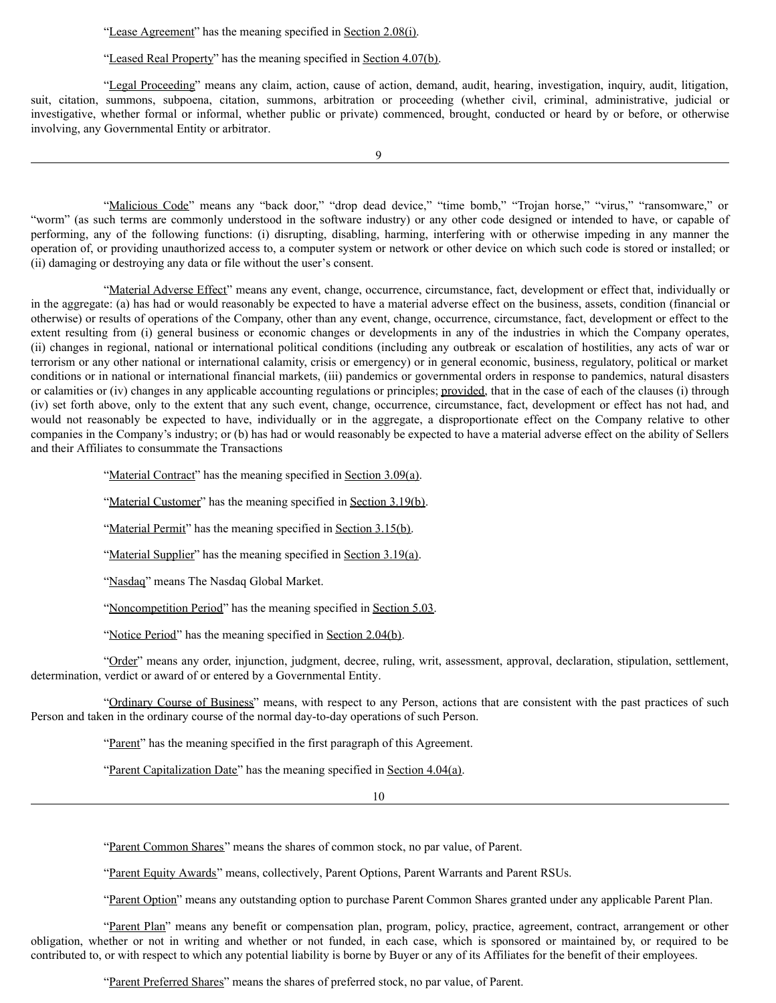"Lease Agreement" has the meaning specified in Section 2.08(i).

"Leased Real Property" has the meaning specified in Section 4.07(b).

"Legal Proceeding" means any claim, action, cause of action, demand, audit, hearing, investigation, inquiry, audit, litigation, suit, citation, summons, subpoena, citation, summons, arbitration or proceeding (whether civil, criminal, administrative, judicial or investigative, whether formal or informal, whether public or private) commenced, brought, conducted or heard by or before, or otherwise involving, any Governmental Entity or arbitrator.

9

"Malicious Code" means any "back door," "drop dead device," "time bomb," "Trojan horse," "virus," "ransomware," or "worm" (as such terms are commonly understood in the software industry) or any other code designed or intended to have, or capable of performing, any of the following functions: (i) disrupting, disabling, harming, interfering with or otherwise impeding in any manner the operation of, or providing unauthorized access to, a computer system or network or other device on which such code is stored or installed; or (ii) damaging or destroying any data or file without the user's consent.

"Material Adverse Effect" means any event, change, occurrence, circumstance, fact, development or effect that, individually or in the aggregate: (a) has had or would reasonably be expected to have a material adverse effect on the business, assets, condition (financial or otherwise) or results of operations of the Company, other than any event, change, occurrence, circumstance, fact, development or effect to the extent resulting from (i) general business or economic changes or developments in any of the industries in which the Company operates, (ii) changes in regional, national or international political conditions (including any outbreak or escalation of hostilities, any acts of war or terrorism or any other national or international calamity, crisis or emergency) or in general economic, business, regulatory, political or market conditions or in national or international financial markets, (iii) pandemics or governmental orders in response to pandemics, natural disasters or calamities or (iv) changes in any applicable accounting regulations or principles; provided, that in the case of each of the clauses (i) through (iv) set forth above, only to the extent that any such event, change, occurrence, circumstance, fact, development or effect has not had, and would not reasonably be expected to have, individually or in the aggregate, a disproportionate effect on the Company relative to other companies in the Company's industry; or (b) has had or would reasonably be expected to have a material adverse effect on the ability of Sellers and their Affiliates to consummate the Transactions

"Material Contract" has the meaning specified in Section 3.09(a).

"Material Customer" has the meaning specified in Section 3.19(b).

"Material Permit" has the meaning specified in Section 3.15(b).

"Material Supplier" has the meaning specified in Section 3.19(a).

"Nasdaq" means The Nasdaq Global Market.

"Noncompetition Period" has the meaning specified in Section 5.03.

"Notice Period" has the meaning specified in Section 2.04(b).

"Order" means any order, injunction, judgment, decree, ruling, writ, assessment, approval, declaration, stipulation, settlement, determination, verdict or award of or entered by a Governmental Entity.

"Ordinary Course of Business" means, with respect to any Person, actions that are consistent with the past practices of such Person and taken in the ordinary course of the normal day-to-day operations of such Person.

"Parent" has the meaning specified in the first paragraph of this Agreement.

"Parent Capitalization Date" has the meaning specified in Section 4.04(a).

10

"Parent Common Shares" means the shares of common stock, no par value, of Parent.

"Parent Equity Awards" means, collectively, Parent Options, Parent Warrants and Parent RSUs.

"Parent Option" means any outstanding option to purchase Parent Common Shares granted under any applicable Parent Plan.

"Parent Plan" means any benefit or compensation plan, program, policy, practice, agreement, contract, arrangement or other obligation, whether or not in writing and whether or not funded, in each case, which is sponsored or maintained by, or required to be contributed to, or with respect to which any potential liability is borne by Buyer or any of its Affiliates for the benefit of their employees.

"Parent Preferred Shares" means the shares of preferred stock, no par value, of Parent.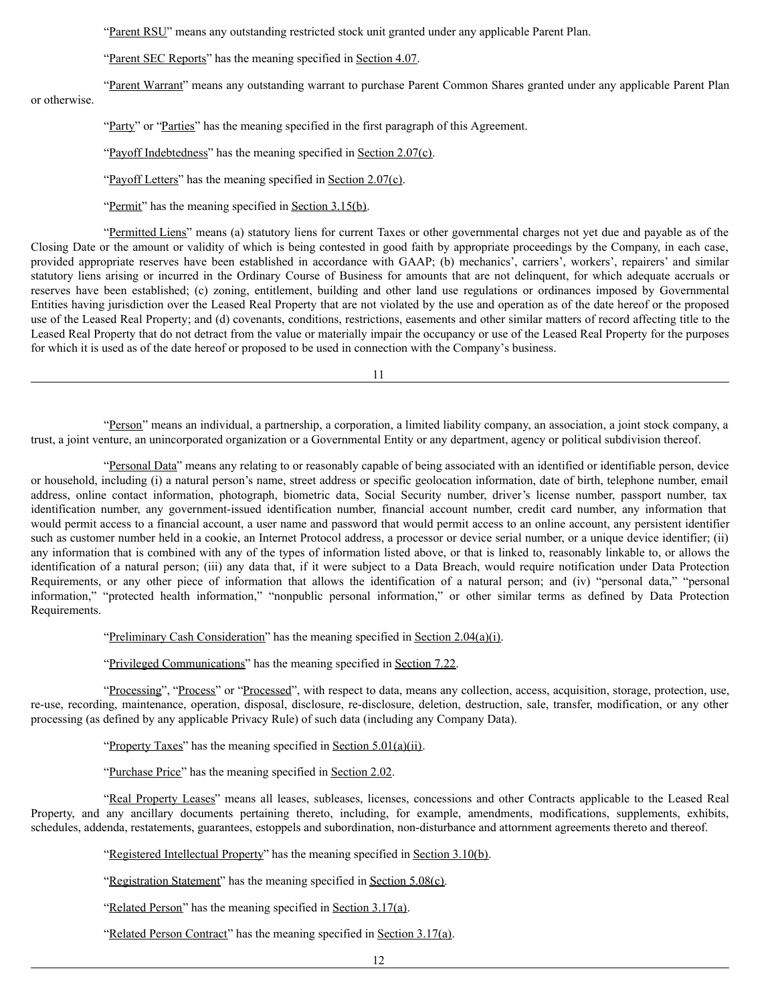"Parent RSU" means any outstanding restricted stock unit granted under any applicable Parent Plan.

"Parent SEC Reports" has the meaning specified in Section 4.07.

"Parent Warrant" means any outstanding warrant to purchase Parent Common Shares granted under any applicable Parent Plan or otherwise.

"Party" or "Parties" has the meaning specified in the first paragraph of this Agreement.

"Payoff Indebtedness" has the meaning specified in Section 2.07(c).

"Payoff Letters" has the meaning specified in Section 2.07(c).

"Permit" has the meaning specified in Section 3.15(b).

"Permitted Liens" means (a) statutory liens for current Taxes or other governmental charges not yet due and payable as of the Closing Date or the amount or validity of which is being contested in good faith by appropriate proceedings by the Company, in each case, provided appropriate reserves have been established in accordance with GAAP; (b) mechanics', carriers', workers', repairers' and similar statutory liens arising or incurred in the Ordinary Course of Business for amounts that are not delinquent, for which adequate accruals or reserves have been established; (c) zoning, entitlement, building and other land use regulations or ordinances imposed by Governmental Entities having jurisdiction over the Leased Real Property that are not violated by the use and operation as of the date hereof or the proposed use of the Leased Real Property; and (d) covenants, conditions, restrictions, easements and other similar matters of record affecting title to the Leased Real Property that do not detract from the value or materially impair the occupancy or use of the Leased Real Property for the purposes for which it is used as of the date hereof or proposed to be used in connection with the Company's business.

11

"Person" means an individual, a partnership, a corporation, a limited liability company, an association, a joint stock company, a trust, a joint venture, an unincorporated organization or a Governmental Entity or any department, agency or political subdivision thereof.

"Personal Data" means any relating to or reasonably capable of being associated with an identified or identifiable person, device or household, including (i) a natural person's name, street address or specific geolocation information, date of birth, telephone number, email address, online contact information, photograph, biometric data, Social Security number, driver's license number, passport number, tax identification number, any government-issued identification number, financial account number, credit card number, any information that would permit access to a financial account, a user name and password that would permit access to an online account, any persistent identifier such as customer number held in a cookie, an Internet Protocol address, a processor or device serial number, or a unique device identifier; (ii) any information that is combined with any of the types of information listed above, or that is linked to, reasonably linkable to, or allows the identification of a natural person; (iii) any data that, if it were subject to a Data Breach, would require notification under Data Protection Requirements, or any other piece of information that allows the identification of a natural person; and (iv) "personal data," "personal information," "protected health information," "nonpublic personal information," or other similar terms as defined by Data Protection Requirements.

"Preliminary Cash Consideration" has the meaning specified in Section 2.04(a)(i).

"Privileged Communications" has the meaning specified in Section 7.22.

"Processing", "Process" or "Processed", with respect to data, means any collection, access, acquisition, storage, protection, use, re-use, recording, maintenance, operation, disposal, disclosure, re-disclosure, deletion, destruction, sale, transfer, modification, or any other processing (as defined by any applicable Privacy Rule) of such data (including any Company Data).

"Property Taxes" has the meaning specified in Section 5.01(a)(ii).

"Purchase Price" has the meaning specified in Section 2.02.

"Real Property Leases" means all leases, subleases, licenses, concessions and other Contracts applicable to the Leased Real Property, and any ancillary documents pertaining thereto, including, for example, amendments, modifications, supplements, exhibits, schedules, addenda, restatements, guarantees, estoppels and subordination, non-disturbance and attornment agreements thereto and thereof.

"Registered Intellectual Property" has the meaning specified in Section 3.10(b).

"Registration Statement" has the meaning specified in Section 5.08(c).

"Related Person" has the meaning specified in Section 3.17(a).

"Related Person Contract" has the meaning specified in Section 3.17(a).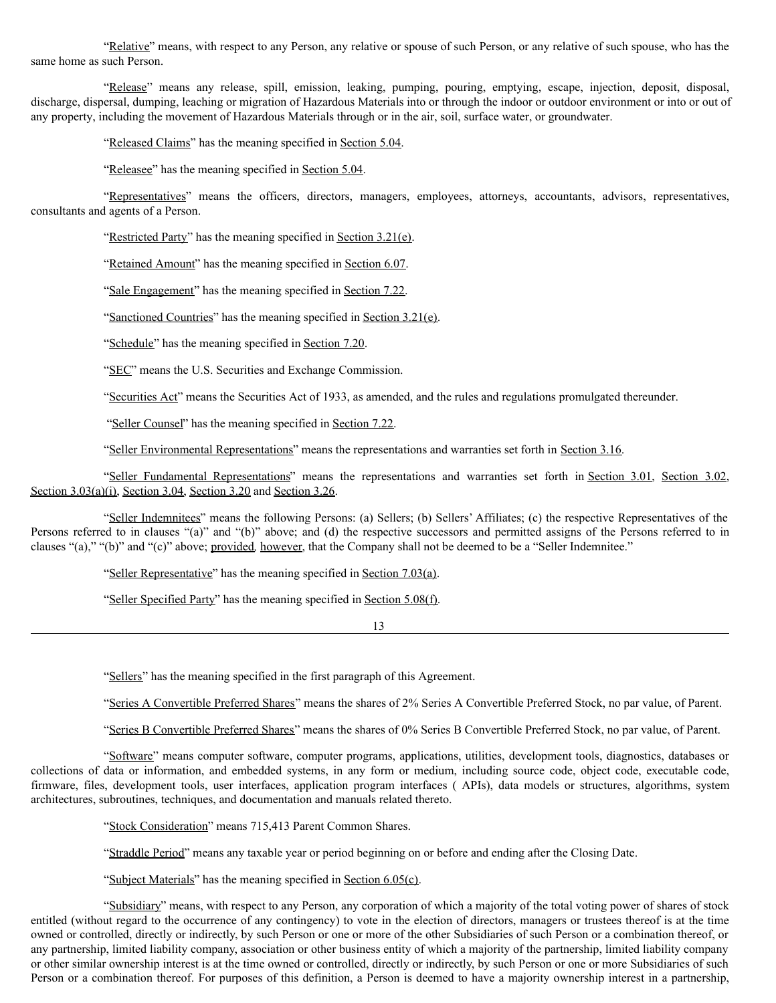"Relative" means, with respect to any Person, any relative or spouse of such Person, or any relative of such spouse, who has the same home as such Person.

"Release" means any release, spill, emission, leaking, pumping, pouring, emptying, escape, injection, deposit, disposal, discharge, dispersal, dumping, leaching or migration of Hazardous Materials into or through the indoor or outdoor environment or into or out of any property, including the movement of Hazardous Materials through or in the air, soil, surface water, or groundwater.

"Released Claims" has the meaning specified in Section 5.04.

"Releasee" has the meaning specified in Section 5.04.

"Representatives" means the officers, directors, managers, employees, attorneys, accountants, advisors, representatives, consultants and agents of a Person.

"Restricted Party" has the meaning specified in Section 3.21(e).

"Retained Amount" has the meaning specified in Section 6.07.

"Sale Engagement" has the meaning specified in Section 7.22.

"Sanctioned Countries" has the meaning specified in Section 3.21(e).

"Schedule" has the meaning specified in Section 7.20.

"SEC" means the U.S. Securities and Exchange Commission.

"Securities Act" means the Securities Act of 1933, as amended, and the rules and regulations promulgated thereunder.

"Seller Counsel" has the meaning specified in Section 7.22.

"Seller Environmental Representations" means the representations and warranties set forth in Section 3.16.

"Seller Fundamental Representations" means the representations and warranties set forth in Section 3.01, Section 3.02, Section 3.03(a)(i), Section 3.04, Section 3.20 and Section 3.26.

"Seller Indemnitees" means the following Persons: (a) Sellers; (b) Sellers' Affiliates; (c) the respective Representatives of the Persons referred to in clauses "(a)" and "(b)" above; and (d) the respective successors and permitted assigns of the Persons referred to in clauses "(a)," "(b)" and "(c)" above; provided*,* however, that the Company shall not be deemed to be a "Seller Indemnitee."

"Seller Representative" has the meaning specified in Section 7.03(a).

"Seller Specified Party" has the meaning specified in Section 5.08(f).

13

"Sellers" has the meaning specified in the first paragraph of this Agreement.

"Series A Convertible Preferred Shares" means the shares of 2% Series A Convertible Preferred Stock, no par value, of Parent.

"Series B Convertible Preferred Shares" means the shares of 0% Series B Convertible Preferred Stock, no par value, of Parent.

"Software" means computer software, computer programs, applications, utilities, development tools, diagnostics, databases or collections of data or information, and embedded systems, in any form or medium, including source code, object code, executable code, firmware, files, development tools, user interfaces, application program interfaces ( APIs), data models or structures, algorithms, system architectures, subroutines, techniques, and documentation and manuals related thereto.

"Stock Consideration" means 715,413 Parent Common Shares.

"Straddle Period" means any taxable year or period beginning on or before and ending after the Closing Date.

"Subject Materials" has the meaning specified in Section 6.05(c).

"Subsidiary" means, with respect to any Person, any corporation of which a majority of the total voting power of shares of stock entitled (without regard to the occurrence of any contingency) to vote in the election of directors, managers or trustees thereof is at the time owned or controlled, directly or indirectly, by such Person or one or more of the other Subsidiaries of such Person or a combination thereof, or any partnership, limited liability company, association or other business entity of which a majority of the partnership, limited liability company or other similar ownership interest is at the time owned or controlled, directly or indirectly, by such Person or one or more Subsidiaries of such Person or a combination thereof. For purposes of this definition, a Person is deemed to have a majority ownership interest in a partnership,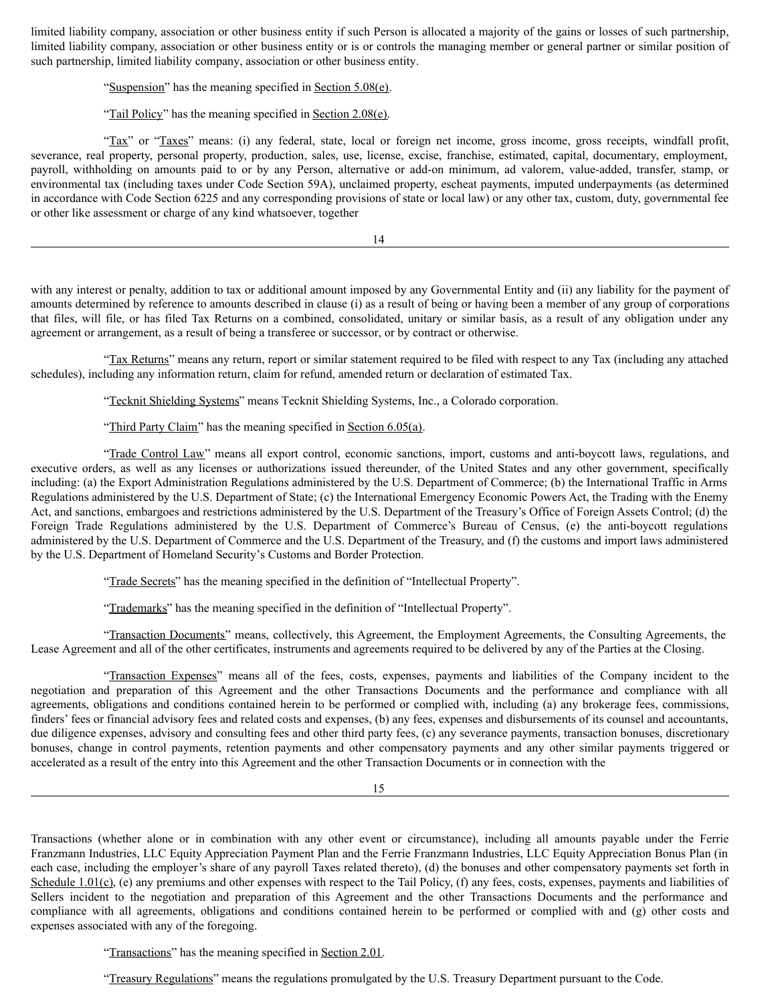limited liability company, association or other business entity if such Person is allocated a majority of the gains or losses of such partnership, limited liability company, association or other business entity or is or controls the managing member or general partner or similar position of such partnership, limited liability company, association or other business entity.

"Suspension" has the meaning specified in Section 5.08(e).

"Tail Policy" has the meaning specified in Section 2.08(e).

"Tax" or "Taxes" means: (i) any federal, state, local or foreign net income, gross income, gross receipts, windfall profit, severance, real property, personal property, production, sales, use, license, excise, franchise, estimated, capital, documentary, employment, payroll, withholding on amounts paid to or by any Person, alternative or add-on minimum, ad valorem, value-added, transfer, stamp, or environmental tax (including taxes under Code Section 59A), unclaimed property, escheat payments, imputed underpayments (as determined in accordance with Code Section 6225 and any corresponding provisions of state or local law) or any other tax, custom, duty, governmental fee or other like assessment or charge of any kind whatsoever, together

14

with any interest or penalty, addition to tax or additional amount imposed by any Governmental Entity and (ii) any liability for the payment of amounts determined by reference to amounts described in clause (i) as a result of being or having been a member of any group of corporations that files, will file, or has filed Tax Returns on a combined, consolidated, unitary or similar basis, as a result of any obligation under any agreement or arrangement, as a result of being a transferee or successor, or by contract or otherwise.

"Tax Returns" means any return, report or similar statement required to be filed with respect to any Tax (including any attached schedules), including any information return, claim for refund, amended return or declaration of estimated Tax.

"Tecknit Shielding Systems" means Tecknit Shielding Systems, Inc., a Colorado corporation.

"Third Party Claim" has the meaning specified in Section 6.05(a).

"Trade Control Law" means all export control, economic sanctions, import, customs and anti-boycott laws, regulations, and executive orders, as well as any licenses or authorizations issued thereunder, of the United States and any other government, specifically including: (a) the Export Administration Regulations administered by the U.S. Department of Commerce; (b) the International Traffic in Arms Regulations administered by the U.S. Department of State; (c) the International Emergency Economic Powers Act, the Trading with the Enemy Act, and sanctions, embargoes and restrictions administered by the U.S. Department of the Treasury's Office of Foreign Assets Control; (d) the Foreign Trade Regulations administered by the U.S. Department of Commerce's Bureau of Census, (e) the anti-boycott regulations administered by the U.S. Department of Commerce and the U.S. Department of the Treasury, and (f) the customs and import laws administered by the U.S. Department of Homeland Security's Customs and Border Protection.

"Trade Secrets" has the meaning specified in the definition of "Intellectual Property".

"Trademarks" has the meaning specified in the definition of "Intellectual Property".

"Transaction Documents" means, collectively, this Agreement, the Employment Agreements, the Consulting Agreements, the Lease Agreement and all of the other certificates, instruments and agreements required to be delivered by any of the Parties at the Closing.

"Transaction Expenses" means all of the fees, costs, expenses, payments and liabilities of the Company incident to the negotiation and preparation of this Agreement and the other Transactions Documents and the performance and compliance with all agreements, obligations and conditions contained herein to be performed or complied with, including (a) any brokerage fees, commissions, finders' fees or financial advisory fees and related costs and expenses, (b) any fees, expenses and disbursements of its counsel and accountants, due diligence expenses, advisory and consulting fees and other third party fees, (c) any severance payments, transaction bonuses, discretionary bonuses, change in control payments, retention payments and other compensatory payments and any other similar payments triggered or accelerated as a result of the entry into this Agreement and the other Transaction Documents or in connection with the

15

Transactions (whether alone or in combination with any other event or circumstance), including all amounts payable under the Ferrie Franzmann Industries, LLC Equity Appreciation Payment Plan and the Ferrie Franzmann Industries, LLC Equity Appreciation Bonus Plan (in each case, including the employer's share of any payroll Taxes related thereto), (d) the bonuses and other compensatory payments set forth in Schedule 1.01(c), (e) any premiums and other expenses with respect to the Tail Policy, (f) any fees, costs, expenses, payments and liabilities of Sellers incident to the negotiation and preparation of this Agreement and the other Transactions Documents and the performance and compliance with all agreements, obligations and conditions contained herein to be performed or complied with and (g) other costs and expenses associated with any of the foregoing.

"Transactions" has the meaning specified in Section 2.01.

"Treasury Regulations" means the regulations promulgated by the U.S. Treasury Department pursuant to the Code.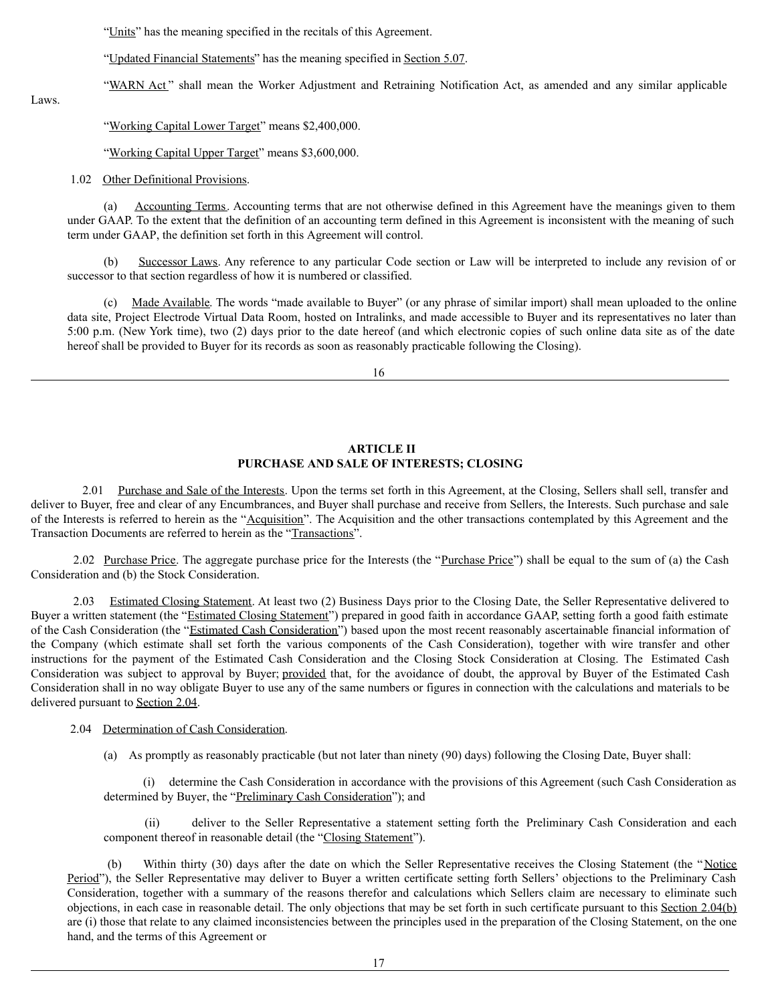"Units" has the meaning specified in the recitals of this Agreement.

"Updated Financial Statements" has the meaning specified in Section 5.07.

"WARN Act" shall mean the Worker Adjustment and Retraining Notification Act, as amended and any similar applicable

Laws.

"Working Capital Lower Target" means \$2,400,000.

"Working Capital Upper Target" means \$3,600,000.

1.02 Other Definitional Provisions.

(a) Accounting Terms. Accounting terms that are not otherwise defined in this Agreement have the meanings given to them under GAAP. To the extent that the definition of an accounting term defined in this Agreement is inconsistent with the meaning of such term under GAAP, the definition set forth in this Agreement will control.

(b) Successor Laws. Any reference to any particular Code section or Law will be interpreted to include any revision of or successor to that section regardless of how it is numbered or classified.

(c) Made Available. The words "made available to Buyer" (or any phrase of similar import) shall mean uploaded to the online data site, Project Electrode Virtual Data Room, hosted on Intralinks, and made accessible to Buyer and its representatives no later than 5:00 p.m. (New York time), two (2) days prior to the date hereof (and which electronic copies of such online data site as of the date hereof shall be provided to Buyer for its records as soon as reasonably practicable following the Closing).

16

# **ARTICLE II PURCHASE AND SALE OF INTERESTS; CLOSING**

2.01 Purchase and Sale of the Interests. Upon the terms set forth in this Agreement, at the Closing, Sellers shall sell, transfer and deliver to Buyer, free and clear of any Encumbrances, and Buyer shall purchase and receive from Sellers, the Interests. Such purchase and sale of the Interests is referred to herein as the "Acquisition". The Acquisition and the other transactions contemplated by this Agreement and the Transaction Documents are referred to herein as the "Transactions".

2.02 Purchase Price. The aggregate purchase price for the Interests (the "Purchase Price") shall be equal to the sum of (a) the Cash Consideration and (b) the Stock Consideration.

2.03 Estimated Closing Statement. At least two (2) Business Days prior to the Closing Date, the Seller Representative delivered to Buyer a written statement (the "Estimated Closing Statement") prepared in good faith in accordance GAAP, setting forth a good faith estimate of the Cash Consideration (the "Estimated Cash Consideration") based upon the most recent reasonably ascertainable financial information of the Company (which estimate shall set forth the various components of the Cash Consideration), together with wire transfer and other instructions for the payment of the Estimated Cash Consideration and the Closing Stock Consideration at Closing. The Estimated Cash Consideration was subject to approval by Buyer; provided that, for the avoidance of doubt, the approval by Buyer of the Estimated Cash Consideration shall in no way obligate Buyer to use any of the same numbers or figures in connection with the calculations and materials to be delivered pursuant to Section 2.04.

# 2.04 Determination of Cash Consideration.

(a) As promptly as reasonably practicable (but not later than ninety (90) days) following the Closing Date, Buyer shall:

(i) determine the Cash Consideration in accordance with the provisions of this Agreement (such Cash Consideration as determined by Buyer, the "Preliminary Cash Consideration"); and

(ii) deliver to the Seller Representative a statement setting forth the Preliminary Cash Consideration and each component thereof in reasonable detail (the "Closing Statement").

(b) Within thirty (30) days after the date on which the Seller Representative receives the Closing Statement (the "Notice Period"), the Seller Representative may deliver to Buyer a written certificate setting forth Sellers' objections to the Preliminary Cash Consideration, together with a summary of the reasons therefor and calculations which Sellers claim are necessary to eliminate such objections, in each case in reasonable detail. The only objections that may be set forth in such certificate pursuant to this Section 2.04(b) are (i) those that relate to any claimed inconsistencies between the principles used in the preparation of the Closing Statement, on the one hand, and the terms of this Agreement or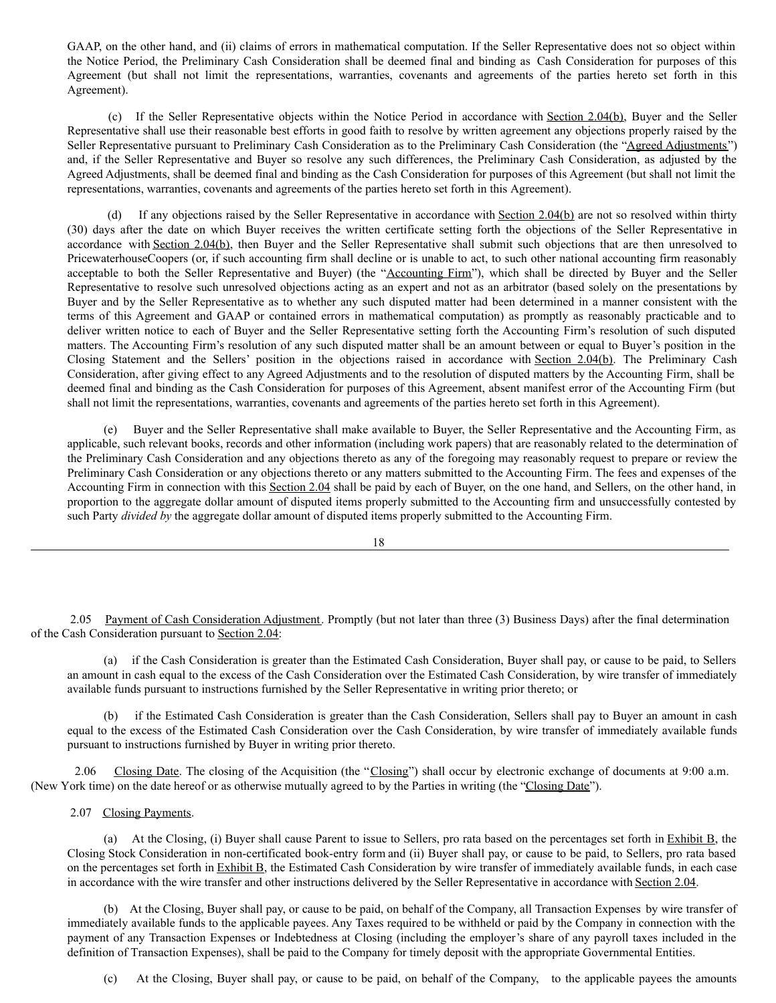GAAP, on the other hand, and (ii) claims of errors in mathematical computation. If the Seller Representative does not so object within the Notice Period, the Preliminary Cash Consideration shall be deemed final and binding as Cash Consideration for purposes of this Agreement (but shall not limit the representations, warranties, covenants and agreements of the parties hereto set forth in this Agreement).

(c) If the Seller Representative objects within the Notice Period in accordance with Section 2.04(b), Buyer and the Seller Representative shall use their reasonable best efforts in good faith to resolve by written agreement any objections properly raised by the Seller Representative pursuant to Preliminary Cash Consideration as to the Preliminary Cash Consideration (the "Agreed Adjustments") and, if the Seller Representative and Buyer so resolve any such differences, the Preliminary Cash Consideration, as adjusted by the Agreed Adjustments, shall be deemed final and binding as the Cash Consideration for purposes of this Agreement (but shall not limit the representations, warranties, covenants and agreements of the parties hereto set forth in this Agreement).

(d) If any objections raised by the Seller Representative in accordance with Section 2.04(b) are not so resolved within thirty (30) days after the date on which Buyer receives the written certificate setting forth the objections of the Seller Representative in accordance with Section 2.04(b), then Buyer and the Seller Representative shall submit such objections that are then unresolved to PricewaterhouseCoopers (or, if such accounting firm shall decline or is unable to act, to such other national accounting firm reasonably acceptable to both the Seller Representative and Buyer) (the "Accounting Firm"), which shall be directed by Buyer and the Seller Representative to resolve such unresolved objections acting as an expert and not as an arbitrator (based solely on the presentations by Buyer and by the Seller Representative as to whether any such disputed matter had been determined in a manner consistent with the terms of this Agreement and GAAP or contained errors in mathematical computation) as promptly as reasonably practicable and to deliver written notice to each of Buyer and the Seller Representative setting forth the Accounting Firm's resolution of such disputed matters. The Accounting Firm's resolution of any such disputed matter shall be an amount between or equal to Buyer's position in the Closing Statement and the Sellers' position in the objections raised in accordance with Section 2.04(b). The Preliminary Cash Consideration, after giving effect to any Agreed Adjustments and to the resolution of disputed matters by the Accounting Firm, shall be deemed final and binding as the Cash Consideration for purposes of this Agreement, absent manifest error of the Accounting Firm (but shall not limit the representations, warranties, covenants and agreements of the parties hereto set forth in this Agreement).

(e) Buyer and the Seller Representative shall make available to Buyer, the Seller Representative and the Accounting Firm, as applicable, such relevant books, records and other information (including work papers) that are reasonably related to the determination of the Preliminary Cash Consideration and any objections thereto as any of the foregoing may reasonably request to prepare or review the Preliminary Cash Consideration or any objections thereto or any matters submitted to the Accounting Firm. The fees and expenses of the Accounting Firm in connection with this Section 2.04 shall be paid by each of Buyer, on the one hand, and Sellers, on the other hand, in proportion to the aggregate dollar amount of disputed items properly submitted to the Accounting firm and unsuccessfully contested by such Party *divided by* the aggregate dollar amount of disputed items properly submitted to the Accounting Firm.

18

2.05 Payment of Cash Consideration Adjustment. Promptly (but not later than three (3) Business Days) after the final determination of the Cash Consideration pursuant to Section 2.04:

(a) if the Cash Consideration is greater than the Estimated Cash Consideration, Buyer shall pay, or cause to be paid, to Sellers an amount in cash equal to the excess of the Cash Consideration over the Estimated Cash Consideration, by wire transfer of immediately available funds pursuant to instructions furnished by the Seller Representative in writing prior thereto; or

(b) if the Estimated Cash Consideration is greater than the Cash Consideration, Sellers shall pay to Buyer an amount in cash equal to the excess of the Estimated Cash Consideration over the Cash Consideration, by wire transfer of immediately available funds pursuant to instructions furnished by Buyer in writing prior thereto.

2.06 Closing Date. The closing of the Acquisition (the "Closing") shall occur by electronic exchange of documents at 9:00 a.m. (New York time) on the date hereof or as otherwise mutually agreed to by the Parties in writing (the "Closing Date").

2.07 Closing Payments.

(a) At the Closing, (i) Buyer shall cause Parent to issue to Sellers, pro rata based on the percentages set forth in  $\frac{Exhibit B}{B}$ , the Closing Stock Consideration in non-certificated book-entry form and (ii) Buyer shall pay, or cause to be paid, to Sellers, pro rata based on the percentages set forth in Exhibit B, the Estimated Cash Consideration by wire transfer of immediately available funds, in each case in accordance with the wire transfer and other instructions delivered by the Seller Representative in accordance with Section 2.04.

(b) At the Closing, Buyer shall pay, or cause to be paid, on behalf of the Company, all Transaction Expenses by wire transfer of immediately available funds to the applicable payees. Any Taxes required to be withheld or paid by the Company in connection with the payment of any Transaction Expenses or Indebtedness at Closing (including the employer's share of any payroll taxes included in the definition of Transaction Expenses), shall be paid to the Company for timely deposit with the appropriate Governmental Entities.

(c) At the Closing, Buyer shall pay, or cause to be paid, on behalf of the Company, to the applicable payees the amounts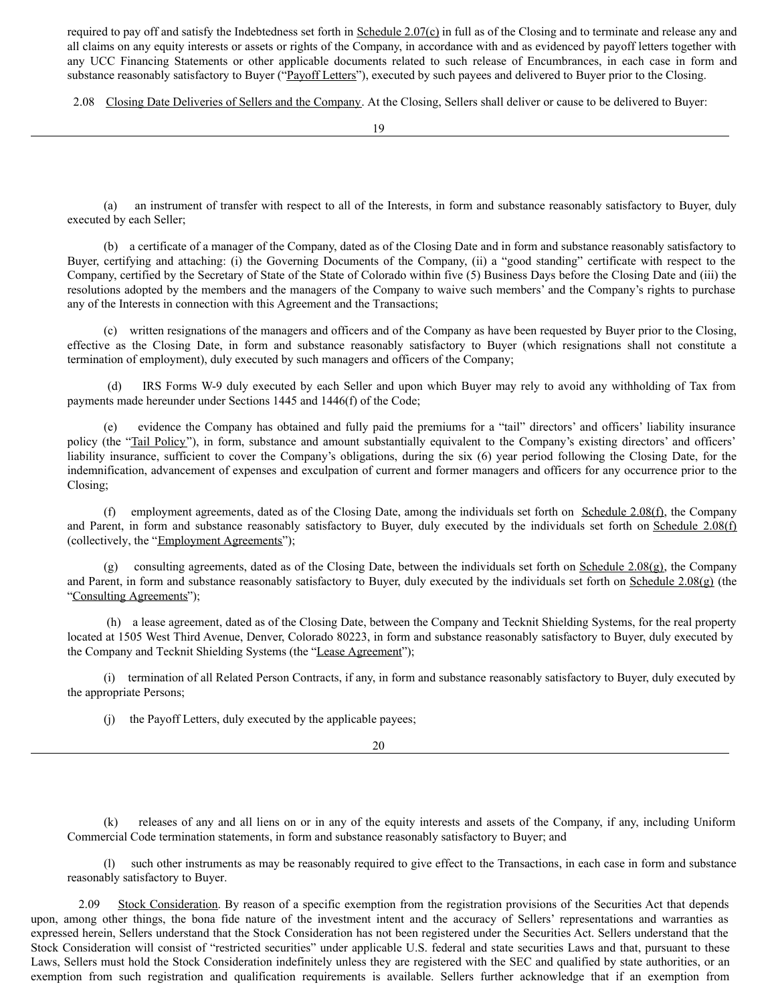required to pay off and satisfy the Indebtedness set forth in Schedule 2.07(c) in full as of the Closing and to terminate and release any and all claims on any equity interests or assets or rights of the Company, in accordance with and as evidenced by payoff letters together with any UCC Financing Statements or other applicable documents related to such release of Encumbrances, in each case in form and substance reasonably satisfactory to Buyer ("Payoff Letters"), executed by such payees and delivered to Buyer prior to the Closing.

2.08 Closing Date Deliveries of Sellers and the Company. At the Closing, Sellers shall deliver or cause to be delivered to Buyer:

(a) an instrument of transfer with respect to all of the Interests, in form and substance reasonably satisfactory to Buyer, duly executed by each Seller;

(b) a certificate of a manager of the Company, dated as of the Closing Date and in form and substance reasonably satisfactory to Buyer, certifying and attaching: (i) the Governing Documents of the Company, (ii) a "good standing" certificate with respect to the Company, certified by the Secretary of State of the State of Colorado within five (5) Business Days before the Closing Date and (iii) the resolutions adopted by the members and the managers of the Company to waive such members' and the Company's rights to purchase any of the Interests in connection with this Agreement and the Transactions;

(c) written resignations of the managers and officers and of the Company as have been requested by Buyer prior to the Closing, effective as the Closing Date, in form and substance reasonably satisfactory to Buyer (which resignations shall not constitute a termination of employment), duly executed by such managers and officers of the Company;

(d) IRS Forms W-9 duly executed by each Seller and upon which Buyer may rely to avoid any withholding of Tax from payments made hereunder under Sections 1445 and 1446(f) of the Code;

(e) evidence the Company has obtained and fully paid the premiums for a "tail" directors' and officers' liability insurance policy (the "Tail Policy"), in form, substance and amount substantially equivalent to the Company's existing directors' and officers' liability insurance, sufficient to cover the Company's obligations, during the six (6) year period following the Closing Date, for the indemnification, advancement of expenses and exculpation of current and former managers and officers for any occurrence prior to the Closing;

(f) employment agreements, dated as of the Closing Date, among the individuals set forth on Schedule 2.08(f), the Company and Parent, in form and substance reasonably satisfactory to Buyer, duly executed by the individuals set forth on Schedule 2.08(f) (collectively, the "Employment Agreements");

(g) consulting agreements, dated as of the Closing Date, between the individuals set forth on Schedule 2.08(g), the Company and Parent, in form and substance reasonably satisfactory to Buyer, duly executed by the individuals set forth on Schedule  $2.08(g)$  (the "Consulting Agreements");

(h) a lease agreement, dated as of the Closing Date, between the Company and Tecknit Shielding Systems, for the real property located at 1505 West Third Avenue, Denver, Colorado 80223, in form and substance reasonably satisfactory to Buyer, duly executed by the Company and Tecknit Shielding Systems (the "Lease Agreement");

(i) termination of all Related Person Contracts, if any, in form and substance reasonably satisfactory to Buyer, duly executed by the appropriate Persons;

(j) the Payoff Letters, duly executed by the applicable payees;

20

(k) releases of any and all liens on or in any of the equity interests and assets of the Company, if any, including Uniform Commercial Code termination statements, in form and substance reasonably satisfactory to Buyer; and

(l) such other instruments as may be reasonably required to give effect to the Transactions, in each case in form and substance reasonably satisfactory to Buyer.

2.09 Stock Consideration. By reason of a specific exemption from the registration provisions of the Securities Act that depends upon, among other things, the bona fide nature of the investment intent and the accuracy of Sellers' representations and warranties as expressed herein, Sellers understand that the Stock Consideration has not been registered under the Securities Act. Sellers understand that the Stock Consideration will consist of "restricted securities" under applicable U.S. federal and state securities Laws and that, pursuant to these Laws, Sellers must hold the Stock Consideration indefinitely unless they are registered with the SEC and qualified by state authorities, or an exemption from such registration and qualification requirements is available. Sellers further acknowledge that if an exemption from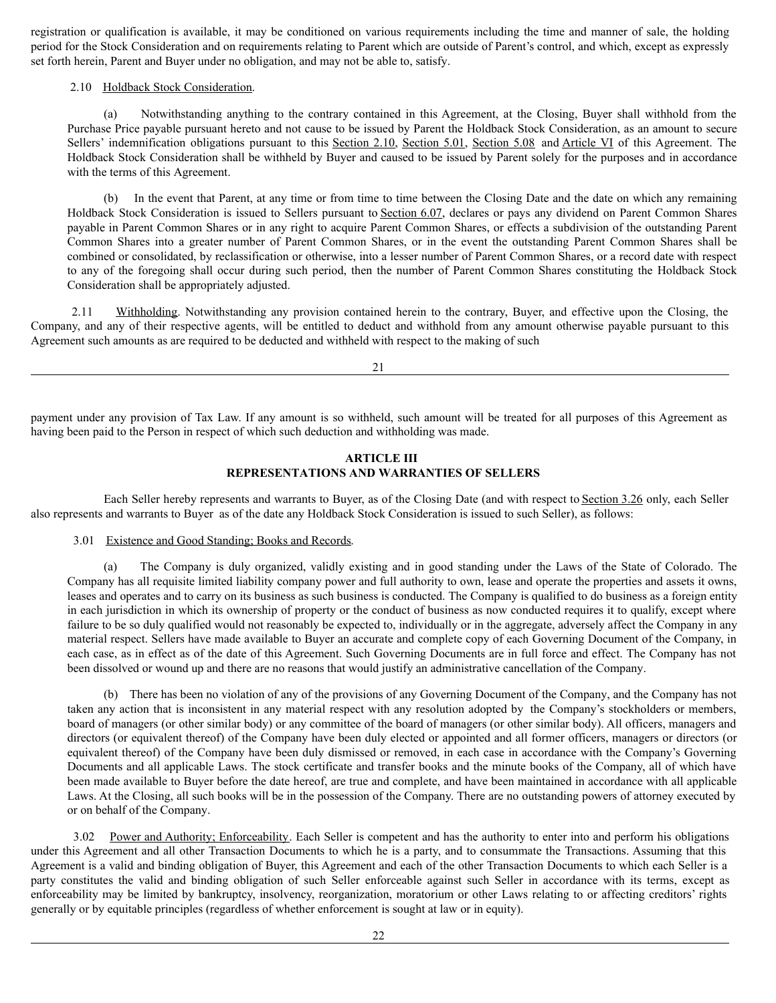registration or qualification is available, it may be conditioned on various requirements including the time and manner of sale, the holding period for the Stock Consideration and on requirements relating to Parent which are outside of Parent's control, and which, except as expressly set forth herein, Parent and Buyer under no obligation, and may not be able to, satisfy.

# 2.10 Holdback Stock Consideration.

(a) Notwithstanding anything to the contrary contained in this Agreement, at the Closing, Buyer shall withhold from the Purchase Price payable pursuant hereto and not cause to be issued by Parent the Holdback Stock Consideration, as an amount to secure Sellers' indemnification obligations pursuant to this Section 2.10, Section 5.01, Section 5.08 and Article VI of this Agreement. The Holdback Stock Consideration shall be withheld by Buyer and caused to be issued by Parent solely for the purposes and in accordance with the terms of this Agreement.

(b) In the event that Parent, at any time or from time to time between the Closing Date and the date on which any remaining Holdback Stock Consideration is issued to Sellers pursuant to Section 6.07, declares or pays any dividend on Parent Common Shares payable in Parent Common Shares or in any right to acquire Parent Common Shares, or effects a subdivision of the outstanding Parent Common Shares into a greater number of Parent Common Shares, or in the event the outstanding Parent Common Shares shall be combined or consolidated, by reclassification or otherwise, into a lesser number of Parent Common Shares, or a record date with respect to any of the foregoing shall occur during such period, then the number of Parent Common Shares constituting the Holdback Stock Consideration shall be appropriately adjusted.

2.11 Withholding. Notwithstanding any provision contained herein to the contrary, Buyer, and effective upon the Closing, the Company, and any of their respective agents, will be entitled to deduct and withhold from any amount otherwise payable pursuant to this Agreement such amounts as are required to be deducted and withheld with respect to the making of such

21

payment under any provision of Tax Law. If any amount is so withheld, such amount will be treated for all purposes of this Agreement as having been paid to the Person in respect of which such deduction and withholding was made.

# **ARTICLE III REPRESENTATIONS AND WARRANTIES OF SELLERS**

Each Seller hereby represents and warrants to Buyer, as of the Closing Date (and with respect to Section 3.26 only, each Seller also represents and warrants to Buyer as of the date any Holdback Stock Consideration is issued to such Seller), as follows:

# 3.01 Existence and Good Standing; Books and Records.

(a) The Company is duly organized, validly existing and in good standing under the Laws of the State of Colorado. The Company has all requisite limited liability company power and full authority to own, lease and operate the properties and assets it owns, leases and operates and to carry on its business as such business is conducted. The Company is qualified to do business as a foreign entity in each jurisdiction in which its ownership of property or the conduct of business as now conducted requires it to qualify, except where failure to be so duly qualified would not reasonably be expected to, individually or in the aggregate, adversely affect the Company in any material respect. Sellers have made available to Buyer an accurate and complete copy of each Governing Document of the Company, in each case, as in effect as of the date of this Agreement. Such Governing Documents are in full force and effect. The Company has not been dissolved or wound up and there are no reasons that would justify an administrative cancellation of the Company.

(b) There has been no violation of any of the provisions of any Governing Document of the Company, and the Company has not taken any action that is inconsistent in any material respect with any resolution adopted by the Company's stockholders or members, board of managers (or other similar body) or any committee of the board of managers (or other similar body). All officers, managers and directors (or equivalent thereof) of the Company have been duly elected or appointed and all former officers, managers or directors (or equivalent thereof) of the Company have been duly dismissed or removed, in each case in accordance with the Company's Governing Documents and all applicable Laws. The stock certificate and transfer books and the minute books of the Company, all of which have been made available to Buyer before the date hereof, are true and complete, and have been maintained in accordance with all applicable Laws. At the Closing, all such books will be in the possession of the Company. There are no outstanding powers of attorney executed by or on behalf of the Company.

3.02 Power and Authority; Enforceability. Each Seller is competent and has the authority to enter into and perform his obligations under this Agreement and all other Transaction Documents to which he is a party, and to consummate the Transactions. Assuming that this Agreement is a valid and binding obligation of Buyer, this Agreement and each of the other Transaction Documents to which each Seller is a party constitutes the valid and binding obligation of such Seller enforceable against such Seller in accordance with its terms, except as enforceability may be limited by bankruptcy, insolvency, reorganization, moratorium or other Laws relating to or affecting creditors' rights generally or by equitable principles (regardless of whether enforcement is sought at law or in equity).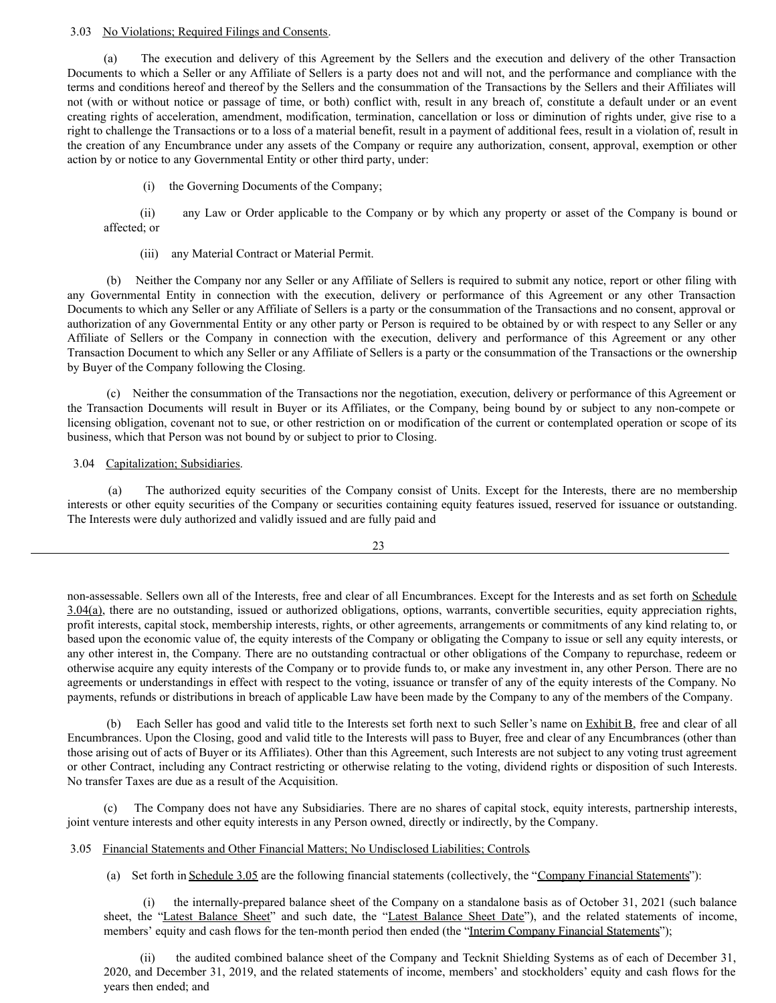# 3.03 No Violations; Required Filings and Consents.

(a) The execution and delivery of this Agreement by the Sellers and the execution and delivery of the other Transaction Documents to which a Seller or any Affiliate of Sellers is a party does not and will not, and the performance and compliance with the terms and conditions hereof and thereof by the Sellers and the consummation of the Transactions by the Sellers and their Affiliates will not (with or without notice or passage of time, or both) conflict with, result in any breach of, constitute a default under or an event creating rights of acceleration, amendment, modification, termination, cancellation or loss or diminution of rights under, give rise to a right to challenge the Transactions or to a loss of a material benefit, result in a payment of additional fees, result in a violation of, result in the creation of any Encumbrance under any assets of the Company or require any authorization, consent, approval, exemption or other action by or notice to any Governmental Entity or other third party, under:

(i) the Governing Documents of the Company;

(ii) any Law or Order applicable to the Company or by which any property or asset of the Company is bound or affected; or

(iii) any Material Contract or Material Permit.

Neither the Company nor any Seller or any Affiliate of Sellers is required to submit any notice, report or other filing with any Governmental Entity in connection with the execution, delivery or performance of this Agreement or any other Transaction Documents to which any Seller or any Affiliate of Sellers is a party or the consummation of the Transactions and no consent, approval or authorization of any Governmental Entity or any other party or Person is required to be obtained by or with respect to any Seller or any Affiliate of Sellers or the Company in connection with the execution, delivery and performance of this Agreement or any other Transaction Document to which any Seller or any Affiliate of Sellers is a party or the consummation of the Transactions or the ownership by Buyer of the Company following the Closing.

(c) Neither the consummation of the Transactions nor the negotiation, execution, delivery or performance of this Agreement or the Transaction Documents will result in Buyer or its Affiliates, or the Company, being bound by or subject to any non-compete or licensing obligation, covenant not to sue, or other restriction on or modification of the current or contemplated operation or scope of its business, which that Person was not bound by or subject to prior to Closing.

3.04 Capitalization; Subsidiaries.

(a) The authorized equity securities of the Company consist of Units. Except for the Interests, there are no membership interests or other equity securities of the Company or securities containing equity features issued, reserved for issuance or outstanding. The Interests were duly authorized and validly issued and are fully paid and

23

non-assessable. Sellers own all of the Interests, free and clear of all Encumbrances. Except for the Interests and as set forth on Schedule 3.04(a), there are no outstanding, issued or authorized obligations, options, warrants, convertible securities, equity appreciation rights, profit interests, capital stock, membership interests, rights, or other agreements, arrangements or commitments of any kind relating to, or based upon the economic value of, the equity interests of the Company or obligating the Company to issue or sell any equity interests, or any other interest in, the Company. There are no outstanding contractual or other obligations of the Company to repurchase, redeem or otherwise acquire any equity interests of the Company or to provide funds to, or make any investment in, any other Person. There are no agreements or understandings in effect with respect to the voting, issuance or transfer of any of the equity interests of the Company. No payments, refunds or distributions in breach of applicable Law have been made by the Company to any of the members of the Company.

(b) Each Seller has good and valid title to the Interests set forth next to such Seller's name on Exhibit B, free and clear of all Encumbrances. Upon the Closing, good and valid title to the Interests will pass to Buyer, free and clear of any Encumbrances (other than those arising out of acts of Buyer or its Affiliates). Other than this Agreement, such Interests are not subject to any voting trust agreement or other Contract, including any Contract restricting or otherwise relating to the voting, dividend rights or disposition of such Interests. No transfer Taxes are due as a result of the Acquisition.

(c) The Company does not have any Subsidiaries. There are no shares of capital stock, equity interests, partnership interests, joint venture interests and other equity interests in any Person owned, directly or indirectly, by the Company.

3.05 Financial Statements and Other Financial Matters; No Undisclosed Liabilities; Controls.

(a) Set forth in Schedule 3.05 are the following financial statements (collectively, the "Company Financial Statements"):

(i) the internally-prepared balance sheet of the Company on a standalone basis as of October 31, 2021 (such balance sheet, the "Latest Balance Sheet" and such date, the "Latest Balance Sheet Date"), and the related statements of income, members' equity and cash flows for the ten-month period then ended (the "Interim Company Financial Statements");

(ii) the audited combined balance sheet of the Company and Tecknit Shielding Systems as of each of December 31, 2020, and December 31, 2019, and the related statements of income, members' and stockholders' equity and cash flows for the years then ended; and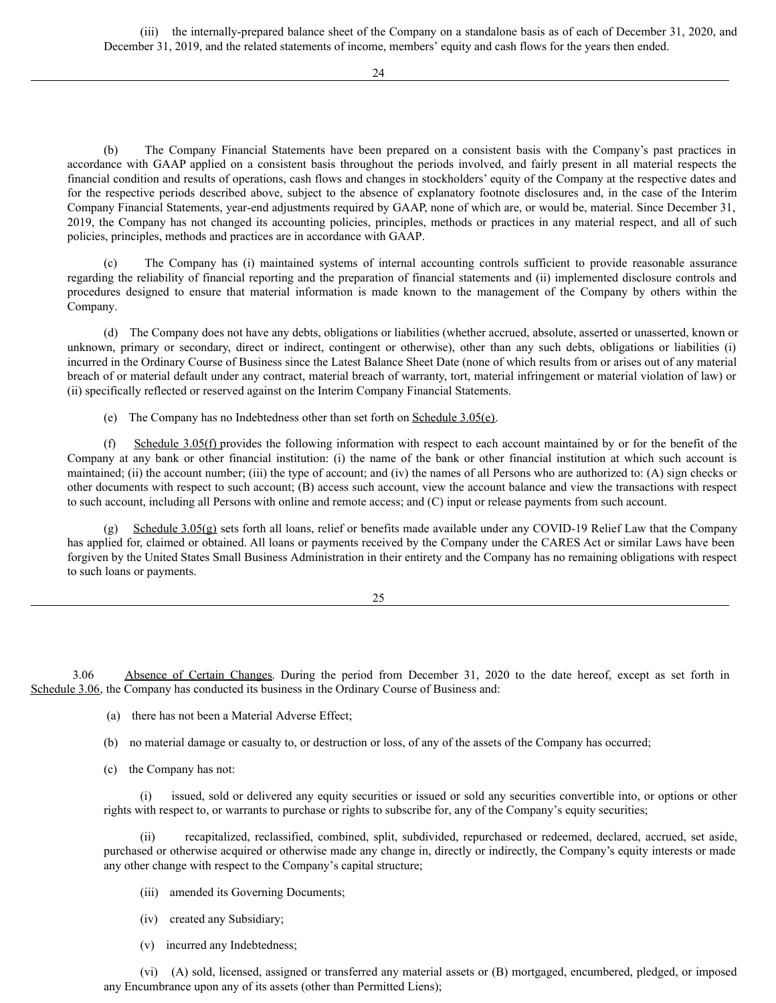(iii) the internally-prepared balance sheet of the Company on a standalone basis as of each of December 31, 2020, and December 31, 2019, and the related statements of income, members' equity and cash flows for the years then ended.

24

(b) The Company Financial Statements have been prepared on a consistent basis with the Company's past practices in accordance with GAAP applied on a consistent basis throughout the periods involved, and fairly present in all material respects the financial condition and results of operations, cash flows and changes in stockholders' equity of the Company at the respective dates and for the respective periods described above, subject to the absence of explanatory footnote disclosures and, in the case of the Interim Company Financial Statements, year-end adjustments required by GAAP, none of which are, or would be, material. Since December 31, 2019, the Company has not changed its accounting policies, principles, methods or practices in any material respect, and all of such policies, principles, methods and practices are in accordance with GAAP.

The Company has (i) maintained systems of internal accounting controls sufficient to provide reasonable assurance regarding the reliability of financial reporting and the preparation of financial statements and (ii) implemented disclosure controls and procedures designed to ensure that material information is made known to the management of the Company by others within the Company.

(d) The Company does not have any debts, obligations or liabilities (whether accrued, absolute, asserted or unasserted, known or unknown, primary or secondary, direct or indirect, contingent or otherwise), other than any such debts, obligations or liabilities (i) incurred in the Ordinary Course of Business since the Latest Balance Sheet Date (none of which results from or arises out of any material breach of or material default under any contract, material breach of warranty, tort, material infringement or material violation of law) or (ii) specifically reflected or reserved against on the Interim Company Financial Statements.

(e) The Company has no Indebtedness other than set forth on Schedule 3.05(e).

(f) Schedule 3.05(f) provides the following information with respect to each account maintained by or for the benefit of the Company at any bank or other financial institution: (i) the name of the bank or other financial institution at which such account is maintained; (ii) the account number; (iii) the type of account; and (iv) the names of all Persons who are authorized to: (A) sign checks or other documents with respect to such account; (B) access such account, view the account balance and view the transactions with respect to such account, including all Persons with online and remote access; and (C) input or release payments from such account.

Schedule  $3.05(g)$  sets forth all loans, relief or benefits made available under any COVID-19 Relief Law that the Company has applied for, claimed or obtained. All loans or payments received by the Company under the CARES Act or similar Laws have been forgiven by the United States Small Business Administration in their entirety and the Company has no remaining obligations with respect to such loans or payments.

25

3.06 Absence of Certain Changes. During the period from December 31, 2020 to the date hereof, except as set forth in Schedule 3.06, the Company has conducted its business in the Ordinary Course of Business and:

- (a) there has not been a Material Adverse Effect;
- (b) no material damage or casualty to, or destruction or loss, of any of the assets of the Company has occurred;
- (c) the Company has not:

issued, sold or delivered any equity securities or issued or sold any securities convertible into, or options or other rights with respect to, or warrants to purchase or rights to subscribe for, any of the Company's equity securities;

(ii) recapitalized, reclassified, combined, split, subdivided, repurchased or redeemed, declared, accrued, set aside, purchased or otherwise acquired or otherwise made any change in, directly or indirectly, the Company's equity interests or made any other change with respect to the Company's capital structure;

- (iii) amended its Governing Documents;
- (iv) created any Subsidiary;
- (v) incurred any Indebtedness;

(vi) (A) sold, licensed, assigned or transferred any material assets or (B) mortgaged, encumbered, pledged, or imposed any Encumbrance upon any of its assets (other than Permitted Liens);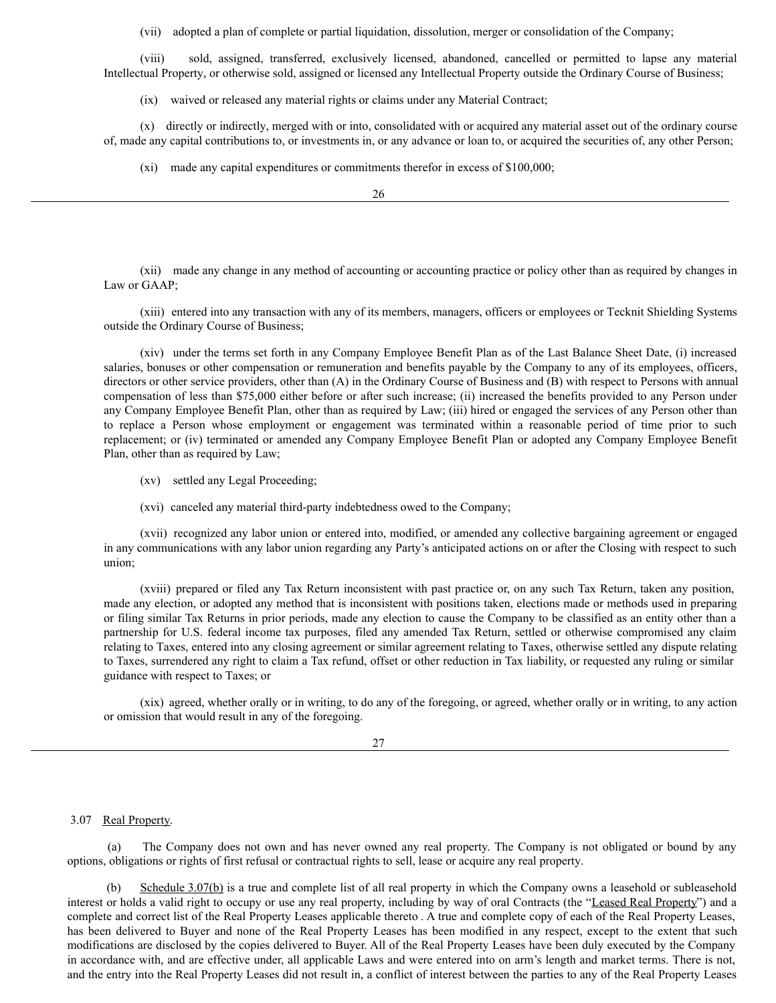(vii) adopted a plan of complete or partial liquidation, dissolution, merger or consolidation of the Company;

(viii) sold, assigned, transferred, exclusively licensed, abandoned, cancelled or permitted to lapse any material Intellectual Property, or otherwise sold, assigned or licensed any Intellectual Property outside the Ordinary Course of Business;

(ix) waived or released any material rights or claims under any Material Contract;

(x) directly or indirectly, merged with or into, consolidated with or acquired any material asset out of the ordinary course of, made any capital contributions to, or investments in, or any advance or loan to, or acquired the securities of, any other Person;

(xi) made any capital expenditures or commitments therefor in excess of \$100,000;

(xii) made any change in any method of accounting or accounting practice or policy other than as required by changes in Law or GAAP;

(xiii) entered into any transaction with any of its members, managers, officers or employees or Tecknit Shielding Systems outside the Ordinary Course of Business;

(xiv) under the terms set forth in any Company Employee Benefit Plan as of the Last Balance Sheet Date, (i) increased salaries, bonuses or other compensation or remuneration and benefits payable by the Company to any of its employees, officers, directors or other service providers, other than (A) in the Ordinary Course of Business and (B) with respect to Persons with annual compensation of less than \$75,000 either before or after such increase; (ii) increased the benefits provided to any Person under any Company Employee Benefit Plan, other than as required by Law; (iii) hired or engaged the services of any Person other than to replace a Person whose employment or engagement was terminated within a reasonable period of time prior to such replacement; or (iv) terminated or amended any Company Employee Benefit Plan or adopted any Company Employee Benefit Plan, other than as required by Law;

- (xv) settled any Legal Proceeding;
- (xvi) canceled any material third-party indebtedness owed to the Company;

(xvii) recognized any labor union or entered into, modified, or amended any collective bargaining agreement or engaged in any communications with any labor union regarding any Party's anticipated actions on or after the Closing with respect to such union;

(xviii) prepared or filed any Tax Return inconsistent with past practice or, on any such Tax Return, taken any position, made any election, or adopted any method that is inconsistent with positions taken, elections made or methods used in preparing or filing similar Tax Returns in prior periods, made any election to cause the Company to be classified as an entity other than a partnership for U.S. federal income tax purposes, filed any amended Tax Return, settled or otherwise compromised any claim relating to Taxes, entered into any closing agreement or similar agreement relating to Taxes, otherwise settled any dispute relating to Taxes, surrendered any right to claim a Tax refund, offset or other reduction in Tax liability, or requested any ruling or similar guidance with respect to Taxes; or

(xix) agreed, whether orally or in writing, to do any of the foregoing, or agreed, whether orally or in writing, to any action or omission that would result in any of the foregoing.

27

## 3.07 Real Property.

(a) The Company does not own and has never owned any real property. The Company is not obligated or bound by any options, obligations or rights of first refusal or contractual rights to sell, lease or acquire any real property.

(b) Schedule 3.07(b) is a true and complete list of all real property in which the Company owns a leasehold or subleasehold interest or holds a valid right to occupy or use any real property, including by way of oral Contracts (the "Leased Real Property") and a complete and correct list of the Real Property Leases applicable thereto . A true and complete copy of each of the Real Property Leases, has been delivered to Buyer and none of the Real Property Leases has been modified in any respect, except to the extent that such modifications are disclosed by the copies delivered to Buyer. All of the Real Property Leases have been duly executed by the Company in accordance with, and are effective under, all applicable Laws and were entered into on arm's length and market terms. There is not, and the entry into the Real Property Leases did not result in, a conflict of interest between the parties to any of the Real Property Leases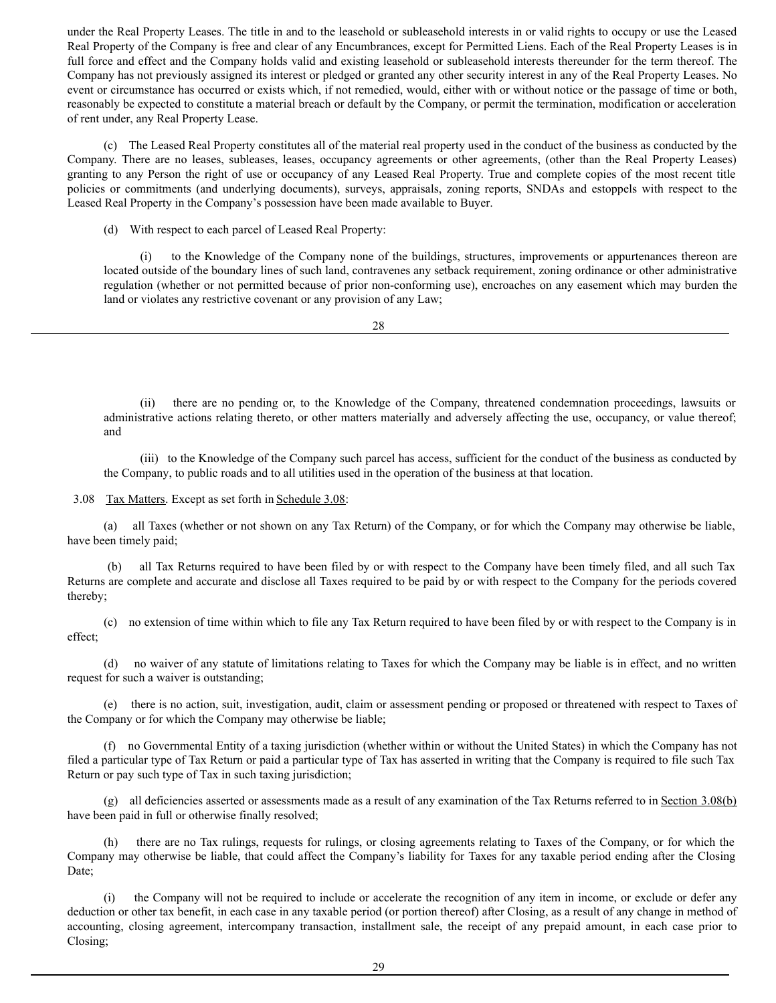under the Real Property Leases. The title in and to the leasehold or subleasehold interests in or valid rights to occupy or use the Leased Real Property of the Company is free and clear of any Encumbrances, except for Permitted Liens. Each of the Real Property Leases is in full force and effect and the Company holds valid and existing leasehold or subleasehold interests thereunder for the term thereof. The Company has not previously assigned its interest or pledged or granted any other security interest in any of the Real Property Leases. No event or circumstance has occurred or exists which, if not remedied, would, either with or without notice or the passage of time or both, reasonably be expected to constitute a material breach or default by the Company, or permit the termination, modification or acceleration of rent under, any Real Property Lease.

(c) The Leased Real Property constitutes all of the material real property used in the conduct of the business as conducted by the Company. There are no leases, subleases, leases, occupancy agreements or other agreements, (other than the Real Property Leases) granting to any Person the right of use or occupancy of any Leased Real Property. True and complete copies of the most recent title policies or commitments (and underlying documents), surveys, appraisals, zoning reports, SNDAs and estoppels with respect to the Leased Real Property in the Company's possession have been made available to Buyer.

(d) With respect to each parcel of Leased Real Property:

(i) to the Knowledge of the Company none of the buildings, structures, improvements or appurtenances thereon are located outside of the boundary lines of such land, contravenes any setback requirement, zoning ordinance or other administrative regulation (whether or not permitted because of prior non-conforming use), encroaches on any easement which may burden the land or violates any restrictive covenant or any provision of any Law;

28

(ii) there are no pending or, to the Knowledge of the Company, threatened condemnation proceedings, lawsuits or administrative actions relating thereto, or other matters materially and adversely affecting the use, occupancy, or value thereof; and

(iii) to the Knowledge of the Company such parcel has access, sufficient for the conduct of the business as conducted by the Company, to public roads and to all utilities used in the operation of the business at that location.

3.08 Tax Matters. Except as set forth in Schedule 3.08:

(a) all Taxes (whether or not shown on any Tax Return) of the Company, or for which the Company may otherwise be liable, have been timely paid;

(b) all Tax Returns required to have been filed by or with respect to the Company have been timely filed, and all such Tax Returns are complete and accurate and disclose all Taxes required to be paid by or with respect to the Company for the periods covered thereby;

(c) no extension of time within which to file any Tax Return required to have been filed by or with respect to the Company is in effect;

(d) no waiver of any statute of limitations relating to Taxes for which the Company may be liable is in effect, and no written request for such a waiver is outstanding;

(e) there is no action, suit, investigation, audit, claim or assessment pending or proposed or threatened with respect to Taxes of the Company or for which the Company may otherwise be liable;

(f) no Governmental Entity of a taxing jurisdiction (whether within or without the United States) in which the Company has not filed a particular type of Tax Return or paid a particular type of Tax has asserted in writing that the Company is required to file such Tax Return or pay such type of Tax in such taxing jurisdiction;

(g) all deficiencies asserted or assessments made as a result of any examination of the Tax Returns referred to in Section 3.08(b) have been paid in full or otherwise finally resolved;

(h) there are no Tax rulings, requests for rulings, or closing agreements relating to Taxes of the Company, or for which the Company may otherwise be liable, that could affect the Company's liability for Taxes for any taxable period ending after the Closing Date;

(i) the Company will not be required to include or accelerate the recognition of any item in income, or exclude or defer any deduction or other tax benefit, in each case in any taxable period (or portion thereof) after Closing, as a result of any change in method of accounting, closing agreement, intercompany transaction, installment sale, the receipt of any prepaid amount, in each case prior to Closing;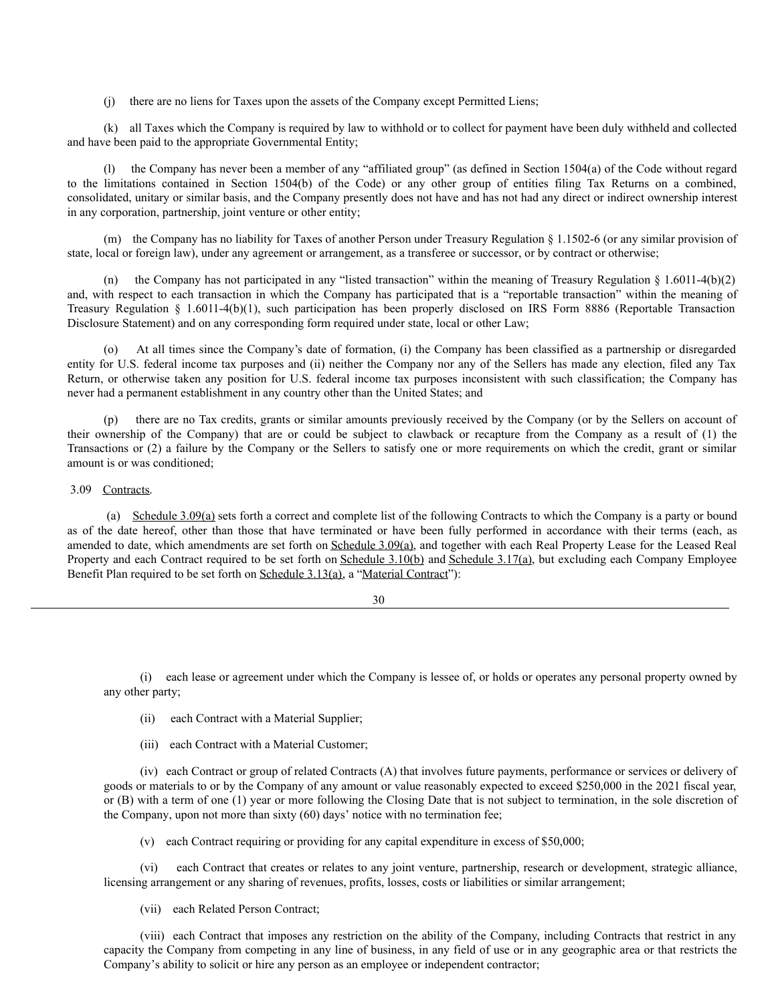(j) there are no liens for Taxes upon the assets of the Company except Permitted Liens;

(k) all Taxes which the Company is required by law to withhold or to collect for payment have been duly withheld and collected and have been paid to the appropriate Governmental Entity;

(l) the Company has never been a member of any "affiliated group" (as defined in Section 1504(a) of the Code without regard to the limitations contained in Section 1504(b) of the Code) or any other group of entities filing Tax Returns on a combined, consolidated, unitary or similar basis, and the Company presently does not have and has not had any direct or indirect ownership interest in any corporation, partnership, joint venture or other entity;

(m) the Company has no liability for Taxes of another Person under Treasury Regulation  $\S 1.1502-6$  (or any similar provision of state, local or foreign law), under any agreement or arrangement, as a transferee or successor, or by contract or otherwise;

(n) the Company has not participated in any "listed transaction" within the meaning of Treasury Regulation  $\S 1.6011-4(b)(2)$ and, with respect to each transaction in which the Company has participated that is a "reportable transaction" within the meaning of Treasury Regulation § 1.6011-4(b)(1), such participation has been properly disclosed on IRS Form 8886 (Reportable Transaction Disclosure Statement) and on any corresponding form required under state, local or other Law;

(o) At all times since the Company's date of formation, (i) the Company has been classified as a partnership or disregarded entity for U.S. federal income tax purposes and (ii) neither the Company nor any of the Sellers has made any election, filed any Tax Return, or otherwise taken any position for U.S. federal income tax purposes inconsistent with such classification; the Company has never had a permanent establishment in any country other than the United States; and

(p) there are no Tax credits, grants or similar amounts previously received by the Company (or by the Sellers on account of their ownership of the Company) that are or could be subject to clawback or recapture from the Company as a result of (1) the Transactions or (2) a failure by the Company or the Sellers to satisfy one or more requirements on which the credit, grant or similar amount is or was conditioned;

# 3.09 Contracts.

(a) Schedule 3.09(a) sets forth a correct and complete list of the following Contracts to which the Company is a party or bound as of the date hereof, other than those that have terminated or have been fully performed in accordance with their terms (each, as amended to date, which amendments are set forth on Schedule 3.09(a), and together with each Real Property Lease for the Leased Real Property and each Contract required to be set forth on Schedule 3.10(b) and Schedule 3.17(a), but excluding each Company Employee Benefit Plan required to be set forth on Schedule 3.13(a), a "Material Contract"):

30

(i) each lease or agreement under which the Company is lessee of, or holds or operates any personal property owned by any other party;

- (ii) each Contract with a Material Supplier;
- (iii) each Contract with a Material Customer;

(iv) each Contract or group of related Contracts (A) that involves future payments, performance or services or delivery of goods or materials to or by the Company of any amount or value reasonably expected to exceed \$250,000 in the 2021 fiscal year, or (B) with a term of one (1) year or more following the Closing Date that is not subject to termination, in the sole discretion of the Company, upon not more than sixty (60) days' notice with no termination fee;

(v) each Contract requiring or providing for any capital expenditure in excess of \$50,000;

(vi) each Contract that creates or relates to any joint venture, partnership, research or development, strategic alliance, licensing arrangement or any sharing of revenues, profits, losses, costs or liabilities or similar arrangement;

(vii) each Related Person Contract;

(viii) each Contract that imposes any restriction on the ability of the Company, including Contracts that restrict in any capacity the Company from competing in any line of business, in any field of use or in any geographic area or that restricts the Company's ability to solicit or hire any person as an employee or independent contractor;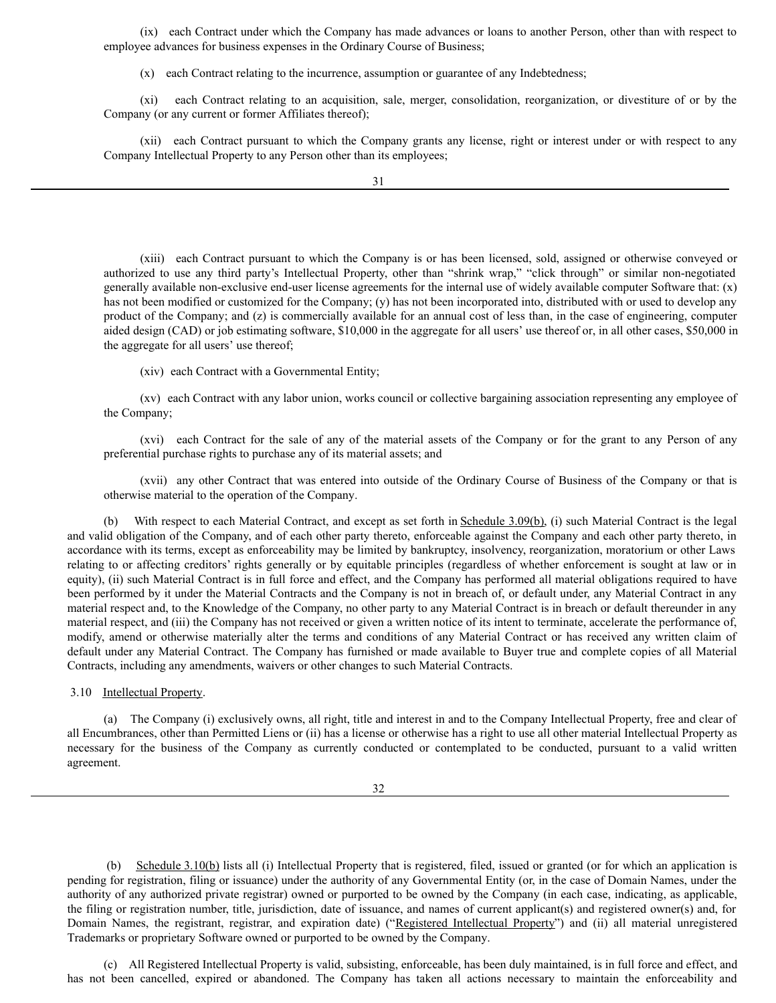(ix) each Contract under which the Company has made advances or loans to another Person, other than with respect to employee advances for business expenses in the Ordinary Course of Business;

(x) each Contract relating to the incurrence, assumption or guarantee of any Indebtedness;

(xi) each Contract relating to an acquisition, sale, merger, consolidation, reorganization, or divestiture of or by the Company (or any current or former Affiliates thereof);

(xii) each Contract pursuant to which the Company grants any license, right or interest under or with respect to any Company Intellectual Property to any Person other than its employees;

(xiii) each Contract pursuant to which the Company is or has been licensed, sold, assigned or otherwise conveyed or authorized to use any third party's Intellectual Property, other than "shrink wrap," "click through" or similar non-negotiated generally available non-exclusive end-user license agreements for the internal use of widely available computer Software that: (x) has not been modified or customized for the Company; (y) has not been incorporated into, distributed with or used to develop any product of the Company; and (z) is commercially available for an annual cost of less than, in the case of engineering, computer aided design (CAD) or job estimating software, \$10,000 in the aggregate for all users' use thereof or, in all other cases, \$50,000 in the aggregate for all users' use thereof;

(xiv) each Contract with a Governmental Entity;

(xv) each Contract with any labor union, works council or collective bargaining association representing any employee of the Company;

(xvi) each Contract for the sale of any of the material assets of the Company or for the grant to any Person of any preferential purchase rights to purchase any of its material assets; and

(xvii) any other Contract that was entered into outside of the Ordinary Course of Business of the Company or that is otherwise material to the operation of the Company.

(b) With respect to each Material Contract, and except as set forth in Schedule 3.09(b), (i) such Material Contract is the legal and valid obligation of the Company, and of each other party thereto, enforceable against the Company and each other party thereto, in accordance with its terms, except as enforceability may be limited by bankruptcy, insolvency, reorganization, moratorium or other Laws relating to or affecting creditors' rights generally or by equitable principles (regardless of whether enforcement is sought at law or in equity), (ii) such Material Contract is in full force and effect, and the Company has performed all material obligations required to have been performed by it under the Material Contracts and the Company is not in breach of, or default under, any Material Contract in any material respect and, to the Knowledge of the Company, no other party to any Material Contract is in breach or default thereunder in any material respect, and (iii) the Company has not received or given a written notice of its intent to terminate, accelerate the performance of, modify, amend or otherwise materially alter the terms and conditions of any Material Contract or has received any written claim of default under any Material Contract. The Company has furnished or made available to Buyer true and complete copies of all Material Contracts, including any amendments, waivers or other changes to such Material Contracts.

3.10 Intellectual Property.

(a) The Company (i) exclusively owns, all right, title and interest in and to the Company Intellectual Property, free and clear of all Encumbrances, other than Permitted Liens or (ii) has a license or otherwise has a right to use all other material Intellectual Property as necessary for the business of the Company as currently conducted or contemplated to be conducted, pursuant to a valid written agreement.

32

(b) Schedule 3.10(b) lists all (i) Intellectual Property that is registered, filed, issued or granted (or for which an application is pending for registration, filing or issuance) under the authority of any Governmental Entity (or, in the case of Domain Names, under the authority of any authorized private registrar) owned or purported to be owned by the Company (in each case, indicating, as applicable, the filing or registration number, title, jurisdiction, date of issuance, and names of current applicant(s) and registered owner(s) and, for Domain Names, the registrant, registrar, and expiration date) ("Registered Intellectual Property") and (ii) all material unregistered Trademarks or proprietary Software owned or purported to be owned by the Company.

(c) All Registered Intellectual Property is valid, subsisting, enforceable, has been duly maintained, is in full force and effect, and has not been cancelled, expired or abandoned. The Company has taken all actions necessary to maintain the enforceability and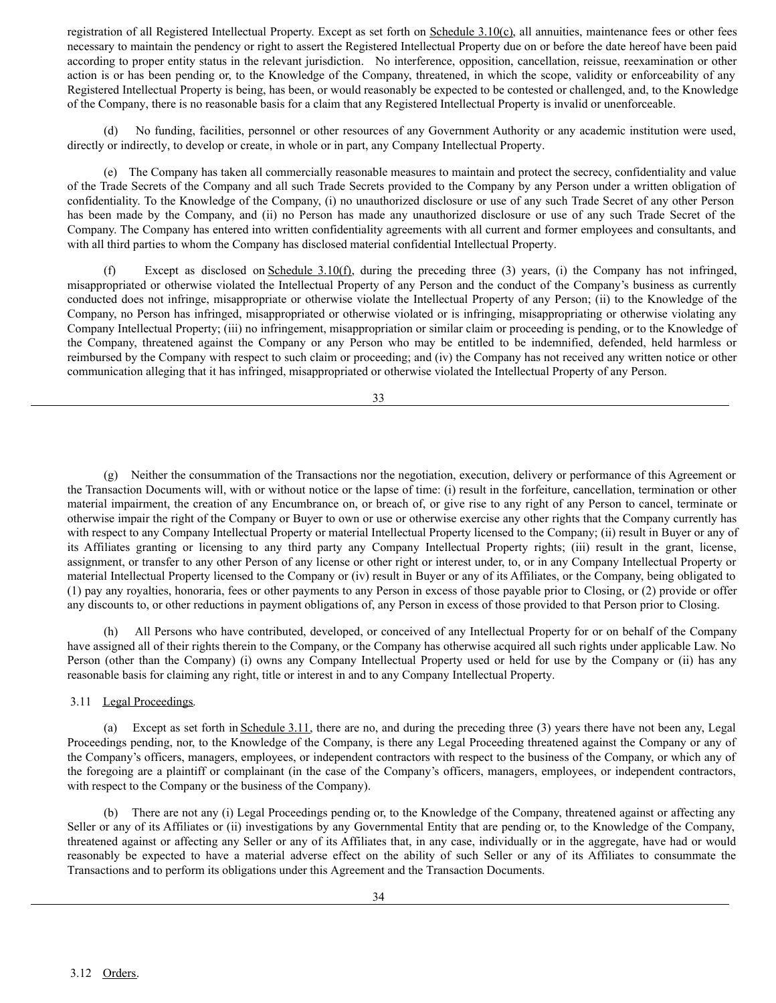registration of all Registered Intellectual Property. Except as set forth on Schedule 3.10(c), all annuities, maintenance fees or other fees necessary to maintain the pendency or right to assert the Registered Intellectual Property due on or before the date hereof have been paid according to proper entity status in the relevant jurisdiction. No interference, opposition, cancellation, reissue, reexamination or other action is or has been pending or, to the Knowledge of the Company, threatened, in which the scope, validity or enforceability of any Registered Intellectual Property is being, has been, or would reasonably be expected to be contested or challenged, and, to the Knowledge of the Company, there is no reasonable basis for a claim that any Registered Intellectual Property is invalid or unenforceable.

No funding, facilities, personnel or other resources of any Government Authority or any academic institution were used, directly or indirectly, to develop or create, in whole or in part, any Company Intellectual Property.

(e) The Company has taken all commercially reasonable measures to maintain and protect the secrecy, confidentiality and value of the Trade Secrets of the Company and all such Trade Secrets provided to the Company by any Person under a written obligation of confidentiality. To the Knowledge of the Company, (i) no unauthorized disclosure or use of any such Trade Secret of any other Person has been made by the Company, and (ii) no Person has made any unauthorized disclosure or use of any such Trade Secret of the Company. The Company has entered into written confidentiality agreements with all current and former employees and consultants, and with all third parties to whom the Company has disclosed material confidential Intellectual Property.

(f) Except as disclosed on Schedule 3.10(f), during the preceding three (3) years, (i) the Company has not infringed, misappropriated or otherwise violated the Intellectual Property of any Person and the conduct of the Company's business as currently conducted does not infringe, misappropriate or otherwise violate the Intellectual Property of any Person; (ii) to the Knowledge of the Company, no Person has infringed, misappropriated or otherwise violated or is infringing, misappropriating or otherwise violating any Company Intellectual Property; (iii) no infringement, misappropriation or similar claim or proceeding is pending, or to the Knowledge of the Company, threatened against the Company or any Person who may be entitled to be indemnified, defended, held harmless or reimbursed by the Company with respect to such claim or proceeding; and (iv) the Company has not received any written notice or other communication alleging that it has infringed, misappropriated or otherwise violated the Intellectual Property of any Person.

33

(g) Neither the consummation of the Transactions nor the negotiation, execution, delivery or performance of this Agreement or the Transaction Documents will, with or without notice or the lapse of time: (i) result in the forfeiture, cancellation, termination or other material impairment, the creation of any Encumbrance on, or breach of, or give rise to any right of any Person to cancel, terminate or otherwise impair the right of the Company or Buyer to own or use or otherwise exercise any other rights that the Company currently has with respect to any Company Intellectual Property or material Intellectual Property licensed to the Company; (ii) result in Buyer or any of its Affiliates granting or licensing to any third party any Company Intellectual Property rights; (iii) result in the grant, license, assignment, or transfer to any other Person of any license or other right or interest under, to, or in any Company Intellectual Property or material Intellectual Property licensed to the Company or (iv) result in Buyer or any of its Affiliates, or the Company, being obligated to (1) pay any royalties, honoraria, fees or other payments to any Person in excess of those payable prior to Closing, or (2) provide or offer any discounts to, or other reductions in payment obligations of, any Person in excess of those provided to that Person prior to Closing.

(h) All Persons who have contributed, developed, or conceived of any Intellectual Property for or on behalf of the Company have assigned all of their rights therein to the Company, or the Company has otherwise acquired all such rights under applicable Law. No Person (other than the Company) (i) owns any Company Intellectual Property used or held for use by the Company or (ii) has any reasonable basis for claiming any right, title or interest in and to any Company Intellectual Property.

3.11 Legal Proceedings.

(a) Except as set forth in Schedule 3.11, there are no, and during the preceding three (3) years there have not been any, Legal Proceedings pending, nor, to the Knowledge of the Company, is there any Legal Proceeding threatened against the Company or any of the Company's officers, managers, employees, or independent contractors with respect to the business of the Company, or which any of the foregoing are a plaintiff or complainant (in the case of the Company's officers, managers, employees, or independent contractors, with respect to the Company or the business of the Company).

(b) There are not any (i) Legal Proceedings pending or, to the Knowledge of the Company, threatened against or affecting any Seller or any of its Affiliates or (ii) investigations by any Governmental Entity that are pending or, to the Knowledge of the Company, threatened against or affecting any Seller or any of its Affiliates that, in any case, individually or in the aggregate, have had or would reasonably be expected to have a material adverse effect on the ability of such Seller or any of its Affiliates to consummate the Transactions and to perform its obligations under this Agreement and the Transaction Documents.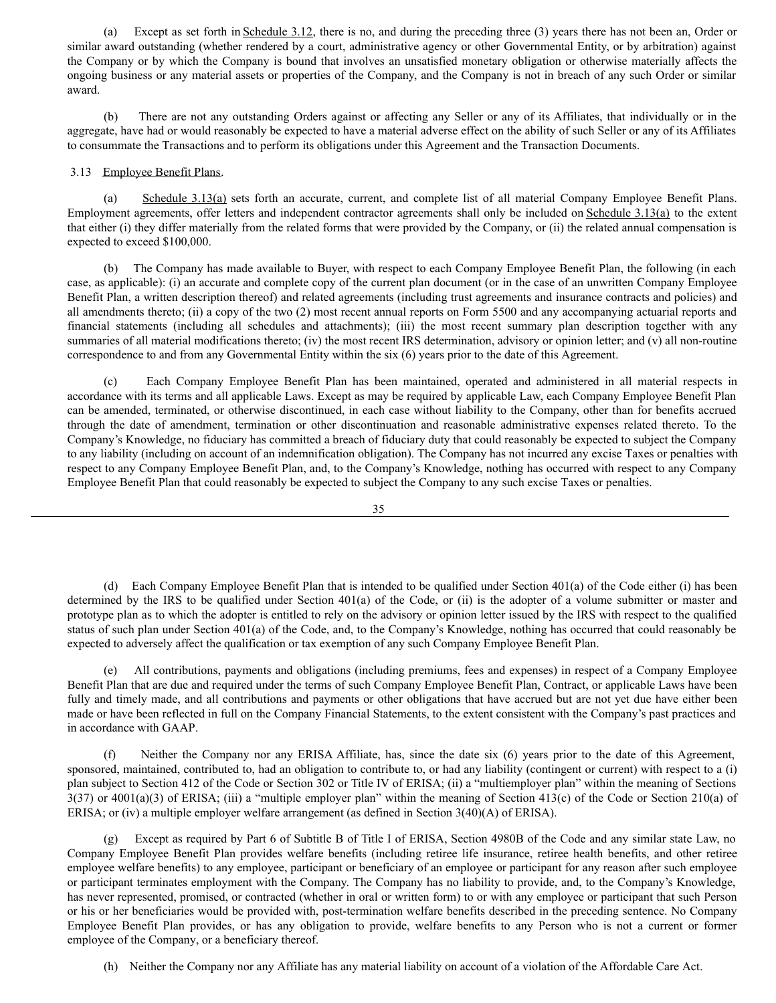(a) Except as set forth in Schedule 3.12, there is no, and during the preceding three (3) years there has not been an, Order or similar award outstanding (whether rendered by a court, administrative agency or other Governmental Entity, or by arbitration) against the Company or by which the Company is bound that involves an unsatisfied monetary obligation or otherwise materially affects the ongoing business or any material assets or properties of the Company, and the Company is not in breach of any such Order or similar award.

(b) There are not any outstanding Orders against or affecting any Seller or any of its Affiliates, that individually or in the aggregate, have had or would reasonably be expected to have a material adverse effect on the ability of such Seller or any of its Affiliates to consummate the Transactions and to perform its obligations under this Agreement and the Transaction Documents.

# 3.13 Employee Benefit Plans.

(a) Schedule 3.13(a) sets forth an accurate, current, and complete list of all material Company Employee Benefit Plans. Employment agreements, offer letters and independent contractor agreements shall only be included on Schedule 3.13(a) to the extent that either (i) they differ materially from the related forms that were provided by the Company, or (ii) the related annual compensation is expected to exceed \$100,000.

(b) The Company has made available to Buyer, with respect to each Company Employee Benefit Plan, the following (in each case, as applicable): (i) an accurate and complete copy of the current plan document (or in the case of an unwritten Company Employee Benefit Plan, a written description thereof) and related agreements (including trust agreements and insurance contracts and policies) and all amendments thereto; (ii) a copy of the two (2) most recent annual reports on Form 5500 and any accompanying actuarial reports and financial statements (including all schedules and attachments); (iii) the most recent summary plan description together with any summaries of all material modifications thereto; (iv) the most recent IRS determination, advisory or opinion letter; and (v) all non-routine correspondence to and from any Governmental Entity within the six (6) years prior to the date of this Agreement.

(c) Each Company Employee Benefit Plan has been maintained, operated and administered in all material respects in accordance with its terms and all applicable Laws. Except as may be required by applicable Law, each Company Employee Benefit Plan can be amended, terminated, or otherwise discontinued, in each case without liability to the Company, other than for benefits accrued through the date of amendment, termination or other discontinuation and reasonable administrative expenses related thereto. To the Company's Knowledge, no fiduciary has committed a breach of fiduciary duty that could reasonably be expected to subject the Company to any liability (including on account of an indemnification obligation). The Company has not incurred any excise Taxes or penalties with respect to any Company Employee Benefit Plan, and, to the Company's Knowledge, nothing has occurred with respect to any Company Employee Benefit Plan that could reasonably be expected to subject the Company to any such excise Taxes or penalties.

35

(d) Each Company Employee Benefit Plan that is intended to be qualified under Section 401(a) of the Code either (i) has been determined by the IRS to be qualified under Section 401(a) of the Code, or (ii) is the adopter of a volume submitter or master and prototype plan as to which the adopter is entitled to rely on the advisory or opinion letter issued by the IRS with respect to the qualified status of such plan under Section 401(a) of the Code, and, to the Company's Knowledge, nothing has occurred that could reasonably be expected to adversely affect the qualification or tax exemption of any such Company Employee Benefit Plan.

(e) All contributions, payments and obligations (including premiums, fees and expenses) in respect of a Company Employee Benefit Plan that are due and required under the terms of such Company Employee Benefit Plan, Contract, or applicable Laws have been fully and timely made, and all contributions and payments or other obligations that have accrued but are not yet due have either been made or have been reflected in full on the Company Financial Statements, to the extent consistent with the Company's past practices and in accordance with GAAP.

(f) Neither the Company nor any ERISA Affiliate, has, since the date six (6) years prior to the date of this Agreement, sponsored, maintained, contributed to, had an obligation to contribute to, or had any liability (contingent or current) with respect to a (i) plan subject to Section 412 of the Code or Section 302 or Title IV of ERISA; (ii) a "multiemployer plan" within the meaning of Sections  $3(37)$  or  $4001(a)(3)$  of ERISA; (iii) a "multiple employer plan" within the meaning of Section 413(c) of the Code or Section 210(a) of ERISA; or (iv) a multiple employer welfare arrangement (as defined in Section 3(40)(A) of ERISA).

(g) Except as required by Part 6 of Subtitle B of Title I of ERISA, Section 4980B of the Code and any similar state Law, no Company Employee Benefit Plan provides welfare benefits (including retiree life insurance, retiree health benefits, and other retiree employee welfare benefits) to any employee, participant or beneficiary of an employee or participant for any reason after such employee or participant terminates employment with the Company. The Company has no liability to provide, and, to the Company's Knowledge, has never represented, promised, or contracted (whether in oral or written form) to or with any employee or participant that such Person or his or her beneficiaries would be provided with, post-termination welfare benefits described in the preceding sentence. No Company Employee Benefit Plan provides, or has any obligation to provide, welfare benefits to any Person who is not a current or former employee of the Company, or a beneficiary thereof.

(h) Neither the Company nor any Affiliate has any material liability on account of a violation of the Affordable Care Act.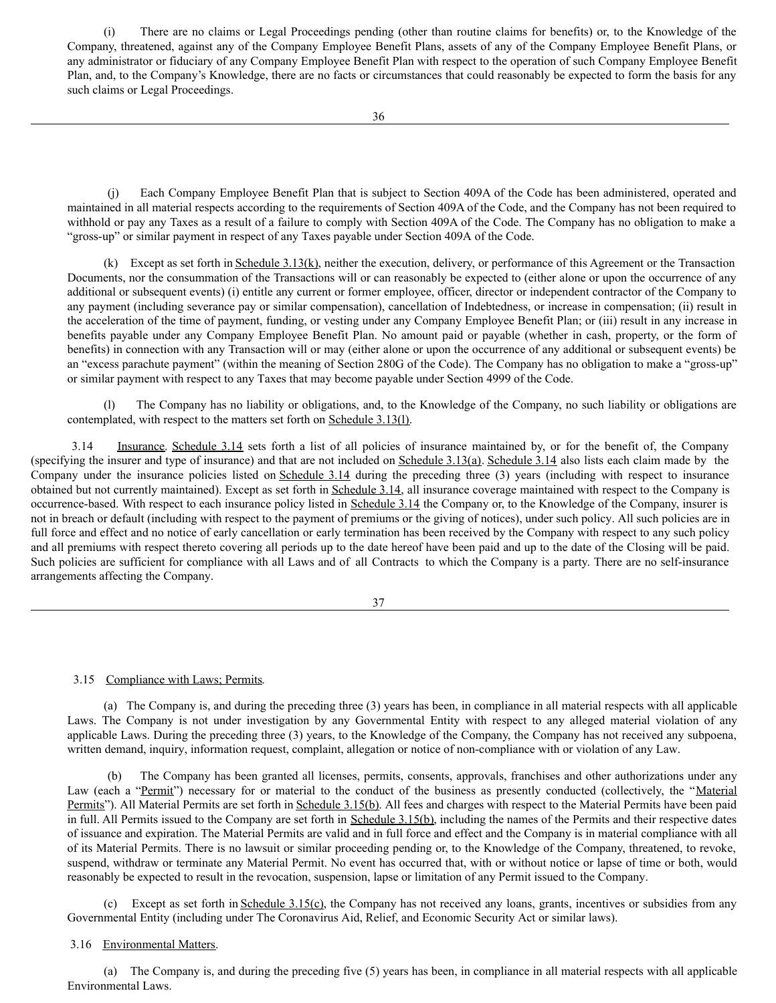<span id="page-28-0"></span>(i) There are no claims or Legal Proceedings pending (other than routine claims for benefits) or, to the Knowledge of the Company, threatened, against any of the Company Employee Benefit Plans, assets of any of the Company Employee Benefit Plans, or any administrator or fiduciary of any Company Employee Benefit Plan with respect to the operation of such Company Employee Benefit Plan, and, to the Company's Knowledge, there are no facts or circumstances that could reasonably be expected to form the basis for any such claims or Legal Proceedings.

(j) Each Company Employee Benefit Plan that is subject to Section 409A of the Code has been administered, operated and maintained in all material respects according to the requirements of Section 409A of the Code, and the Company has not been required to withhold or pay any Taxes as a result of a failure to comply with Section 409A of the Code. The Company has no obligation to make a "gross-up" or similar payment in respect of any Taxes payable under Section 409A of the Code.

(k) Except as set forth in Schedule  $3.13(k)$ , neither the execution, delivery, or performance of this Agreement or the Transaction Documents, nor the consummation of the Transactions will or can reasonably be expected to (either alone or upon the occurrence of any additional or subsequent events) (i) entitle any current or former employee, officer, director or independent contractor of the Company to any payment (including severance pay or similar compensation), cancellation of Indebtedness, or increase in compensation; (ii) result in the acceleration of the time of payment, funding, or vesting under any Company Employee Benefit Plan; or (iii) result in any increase in benefits payable under any Company Employee Benefit Plan. No amount paid or payable (whether in cash, property, or the form of benefits) in connection with any Transaction will or may (either alone or upon the occurrence of any additional or subsequent events) be an "excess parachute payment" (within the meaning of Section 280G of the Code). The Company has no obligation to make a "gross-up" or similar payment with respect to any Taxes that may become payable under Section 4999 of the Code.

(l) The Company has no liability or obligations, and, to the Knowledge of the Company, no such liability or obligations are contemplated, with respect to the matters set forth on Schedule 3.13(l).

3.14 Insurance. Schedule 3.14 sets forth a list of all policies of insurance maintained by, or for the benefit of, the Company (specifying the insurer and type of insurance) and that are not included on Schedule 3.13(a). Schedule 3.14 also lists each claim made by the Company under the insurance policies listed on Schedule 3.14 during the preceding three (3) years (including with respect to insurance obtained but not currently maintained). Except as set forth in Schedule 3.14, all insurance coverage maintained with respect to the Company is occurrence-based. With respect to each insurance policy listed in Schedule 3.14 the Company or, to the Knowledge of the Company, insurer is not in breach or default (including with respect to the payment of premiums or the giving of notices), under such policy. All such policies are in full force and effect and no notice of early cancellation or early termination has been received by the Company with respect to any such policy and all premiums with respect thereto covering all periods up to the date hereof have been paid and up to the date of the Closing will be paid. Such policies are sufficient for compliance with all Laws and of all Contracts to which the Company is a party. There are no self-insurance arrangements affecting the Company.

37

# 3.15 Compliance with Laws; Permits.

(a) The Company is, and during the preceding three (3) years has been, in compliance in all material respects with all applicable Laws. The Company is not under investigation by any Governmental Entity with respect to any alleged material violation of any applicable Laws. During the preceding three (3) years, to the Knowledge of the Company, the Company has not received any subpoena, written demand, inquiry, information request, complaint, allegation or notice of non-compliance with or violation of any Law.

(b) The Company has been granted all licenses, permits, consents, approvals, franchises and other authorizations under any Law (each a "Permit") necessary for or material to the conduct of the business as presently conducted (collectively, the "Material Permits"). All Material Permits are set forth in Schedule 3.15(b). All fees and charges with respect to the Material Permits have been paid in full. All Permits issued to the Company are set forth in Schedule 3.15(b), including the names of the Permits and their respective dates of issuance and expiration. The Material Permits are valid and in full force and effect and the Company is in material compliance with all of its Material Permits. There is no lawsuit or similar proceeding pending or, to the Knowledge of the Company, threatened, to revoke, suspend, withdraw or terminate any Material Permit. No event has occurred that, with or without notice or lapse of time or both, would reasonably be expected to result in the revocation, suspension, lapse or limitation of any Permit issued to the Company.

(c) Except as set forth in Schedule 3.15(c), the Company has not received any loans, grants, incentives or subsidies from any Governmental Entity (including under The Coronavirus Aid, Relief, and Economic Security Act or similar laws).

# 3.16 Environmental Matters.

(a) The Company is, and during the preceding five (5) years has been, in compliance in all material respects with all applicable Environmental Laws.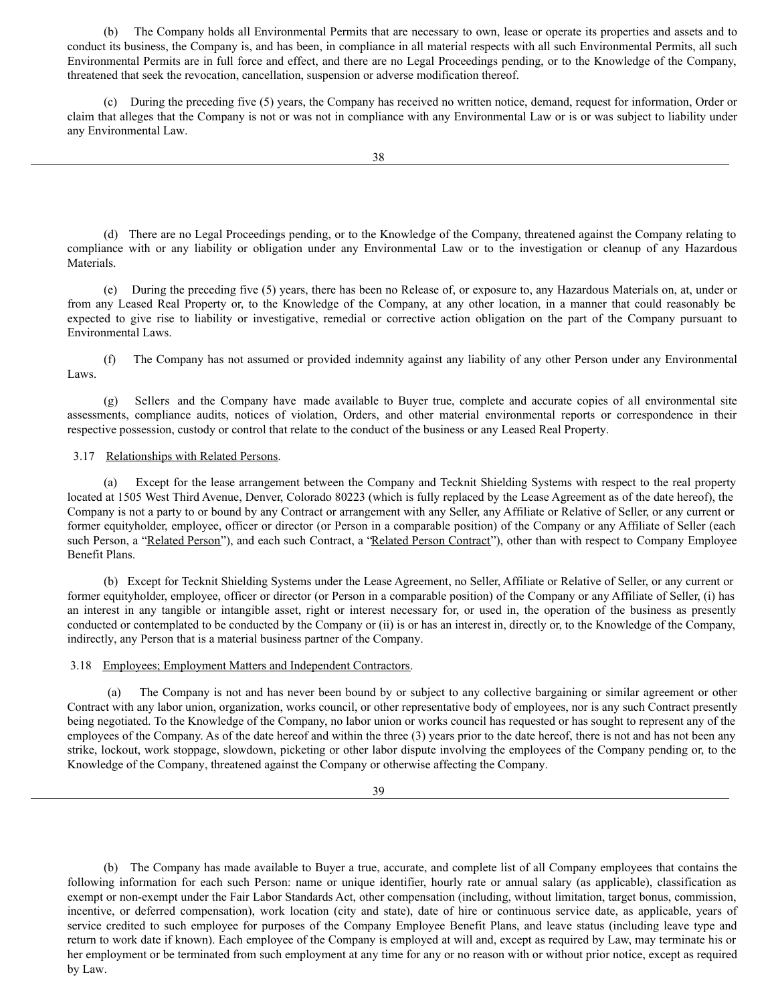(b) The Company holds all Environmental Permits that are necessary to own, lease or operate its properties and assets and to conduct its business, the Company is, and has been, in compliance in all material respects with all such Environmental Permits, all such Environmental Permits are in full force and effect, and there are no Legal Proceedings pending, or to the Knowledge of the Company, threatened that seek the revocation, cancellation, suspension or adverse modification thereof.

(c) During the preceding five (5) years, the Company has received no written notice, demand, request for information, Order or claim that alleges that the Company is not or was not in compliance with any Environmental Law or is or was subject to liability under any Environmental Law.

(d) There are no Legal Proceedings pending, or to the Knowledge of the Company, threatened against the Company relating to compliance with or any liability or obligation under any Environmental Law or to the investigation or cleanup of any Hazardous Materials.

(e) During the preceding five (5) years, there has been no Release of, or exposure to, any Hazardous Materials on, at, under or from any Leased Real Property or, to the Knowledge of the Company, at any other location, in a manner that could reasonably be expected to give rise to liability or investigative, remedial or corrective action obligation on the part of the Company pursuant to Environmental Laws.

(f) The Company has not assumed or provided indemnity against any liability of any other Person under any Environmental Laws.

(g) Sellers and the Company have made available to Buyer true, complete and accurate copies of all environmental site assessments, compliance audits, notices of violation, Orders, and other material environmental reports or correspondence in their respective possession, custody or control that relate to the conduct of the business or any Leased Real Property.

# 3.17 Relationships with Related Persons.

(a) Except for the lease arrangement between the Company and Tecknit Shielding Systems with respect to the real property located at 1505 West Third Avenue, Denver, Colorado 80223 (which is fully replaced by the Lease Agreement as of the date hereof), the Company is not a party to or bound by any Contract or arrangement with any Seller, any Affiliate or Relative of Seller, or any current or former equityholder, employee, officer or director (or Person in a comparable position) of the Company or any Affiliate of Seller (each such Person, a "Related Person"), and each such Contract, a "Related Person Contract"), other than with respect to Company Employee Benefit Plans.

(b) Except for Tecknit Shielding Systems under the Lease Agreement, no Seller, Affiliate or Relative of Seller, or any current or former equityholder, employee, officer or director (or Person in a comparable position) of the Company or any Affiliate of Seller, (i) has an interest in any tangible or intangible asset, right or interest necessary for, or used in, the operation of the business as presently conducted or contemplated to be conducted by the Company or (ii) is or has an interest in, directly or, to the Knowledge of the Company, indirectly, any Person that is a material business partner of the Company.

# 3.18 Employees; Employment Matters and Independent Contractors.

(a) The Company is not and has never been bound by or subject to any collective bargaining or similar agreement or other Contract with any labor union, organization, works council, or other representative body of employees, nor is any such Contract presently being negotiated. To the Knowledge of the Company, no labor union or works council has requested or has sought to represent any of the employees of the Company. As of the date hereof and within the three (3) years prior to the date hereof, there is not and has not been any strike, lockout, work stoppage, slowdown, picketing or other labor dispute involving the employees of the Company pending or, to the Knowledge of the Company, threatened against the Company or otherwise affecting the Company.

39

(b) The Company has made available to Buyer a true, accurate, and complete list of all Company employees that contains the following information for each such Person: name or unique identifier, hourly rate or annual salary (as applicable), classification as exempt or non-exempt under the Fair Labor Standards Act, other compensation (including, without limitation, target bonus, commission, incentive, or deferred compensation), work location (city and state), date of hire or continuous service date, as applicable, years of service credited to such employee for purposes of the Company Employee Benefit Plans, and leave status (including leave type and return to work date if known). Each employee of the Company is employed at will and, except as required by Law, may terminate his or her employment or be terminated from such employment at any time for any or no reason with or without prior notice, except as required by Law.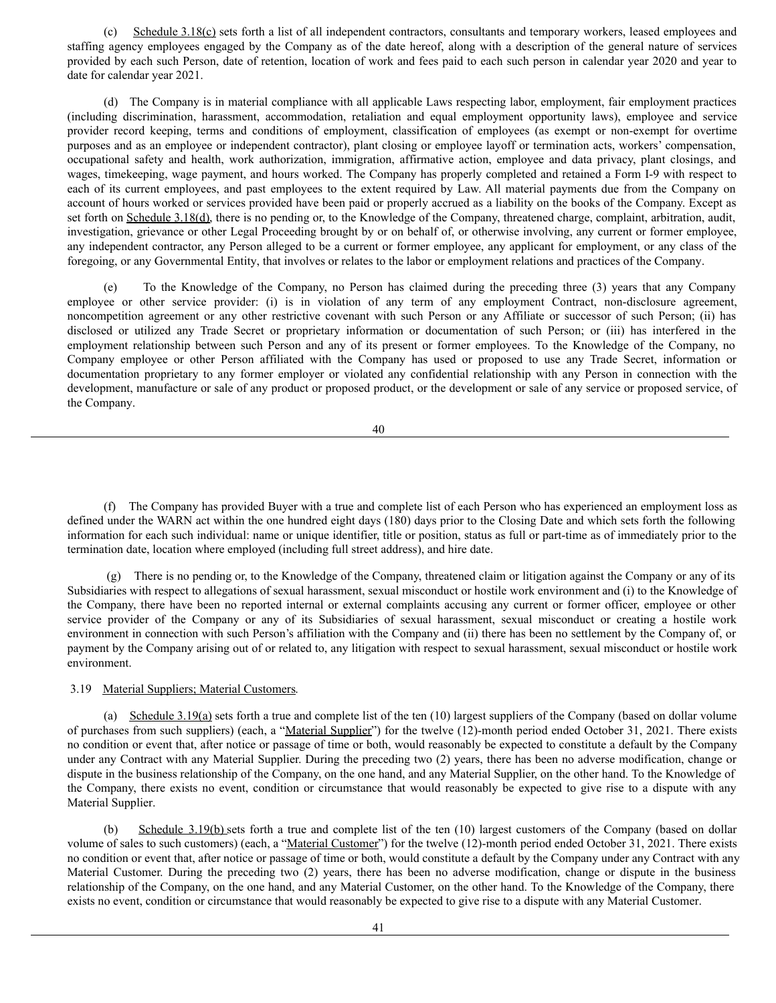(c) Schedule 3.18(c) sets forth a list of all independent contractors, consultants and temporary workers, leased employees and staffing agency employees engaged by the Company as of the date hereof, along with a description of the general nature of services provided by each such Person, date of retention, location of work and fees paid to each such person in calendar year 2020 and year to date for calendar year 2021.

(d) The Company is in material compliance with all applicable Laws respecting labor, employment, fair employment practices (including discrimination, harassment, accommodation, retaliation and equal employment opportunity laws), employee and service provider record keeping, terms and conditions of employment, classification of employees (as exempt or non-exempt for overtime purposes and as an employee or independent contractor), plant closing or employee layoff or termination acts, workers' compensation, occupational safety and health, work authorization, immigration, affirmative action, employee and data privacy, plant closings, and wages, timekeeping, wage payment, and hours worked. The Company has properly completed and retained a Form I-9 with respect to each of its current employees, and past employees to the extent required by Law. All material payments due from the Company on account of hours worked or services provided have been paid or properly accrued as a liability on the books of the Company. Except as set forth on Schedule 3.18(d), there is no pending or, to the Knowledge of the Company, threatened charge, complaint, arbitration, audit, investigation, grievance or other Legal Proceeding brought by or on behalf of, or otherwise involving, any current or former employee, any independent contractor, any Person alleged to be a current or former employee, any applicant for employment, or any class of the foregoing, or any Governmental Entity, that involves or relates to the labor or employment relations and practices of the Company.

(e) To the Knowledge of the Company, no Person has claimed during the preceding three (3) years that any Company employee or other service provider: (i) is in violation of any term of any employment Contract, non-disclosure agreement, noncompetition agreement or any other restrictive covenant with such Person or any Affiliate or successor of such Person; (ii) has disclosed or utilized any Trade Secret or proprietary information or documentation of such Person; or (iii) has interfered in the employment relationship between such Person and any of its present or former employees. To the Knowledge of the Company, no Company employee or other Person affiliated with the Company has used or proposed to use any Trade Secret, information or documentation proprietary to any former employer or violated any confidential relationship with any Person in connection with the development, manufacture or sale of any product or proposed product, or the development or sale of any service or proposed service, of the Company.

40

(f) The Company has provided Buyer with a true and complete list of each Person who has experienced an employment loss as defined under the WARN act within the one hundred eight days (180) days prior to the Closing Date and which sets forth the following information for each such individual: name or unique identifier, title or position, status as full or part-time as of immediately prior to the termination date, location where employed (including full street address), and hire date.

(g) There is no pending or, to the Knowledge of the Company, threatened claim or litigation against the Company or any of its Subsidiaries with respect to allegations of sexual harassment, sexual misconduct or hostile work environment and (i) to the Knowledge of the Company, there have been no reported internal or external complaints accusing any current or former officer, employee or other service provider of the Company or any of its Subsidiaries of sexual harassment, sexual misconduct or creating a hostile work environment in connection with such Person's affiliation with the Company and (ii) there has been no settlement by the Company of, or payment by the Company arising out of or related to, any litigation with respect to sexual harassment, sexual misconduct or hostile work environment.

# 3.19 Material Suppliers; Material Customers.

(a) Schedule  $3.19(a)$  sets forth a true and complete list of the ten  $(10)$  largest suppliers of the Company (based on dollar volume of purchases from such suppliers) (each, a "Material Supplier") for the twelve (12)-month period ended October 31, 2021. There exists no condition or event that, after notice or passage of time or both, would reasonably be expected to constitute a default by the Company under any Contract with any Material Supplier. During the preceding two (2) years, there has been no adverse modification, change or dispute in the business relationship of the Company, on the one hand, and any Material Supplier, on the other hand. To the Knowledge of the Company, there exists no event, condition or circumstance that would reasonably be expected to give rise to a dispute with any Material Supplier.

(b) Schedule 3.19(b) sets forth a true and complete list of the ten (10) largest customers of the Company (based on dollar volume of sales to such customers) (each, a "Material Customer") for the twelve (12)-month period ended October 31, 2021. There exists no condition or event that, after notice or passage of time or both, would constitute a default by the Company under any Contract with any Material Customer. During the preceding two (2) years, there has been no adverse modification, change or dispute in the business relationship of the Company, on the one hand, and any Material Customer, on the other hand. To the Knowledge of the Company, there exists no event, condition or circumstance that would reasonably be expected to give rise to a dispute with any Material Customer.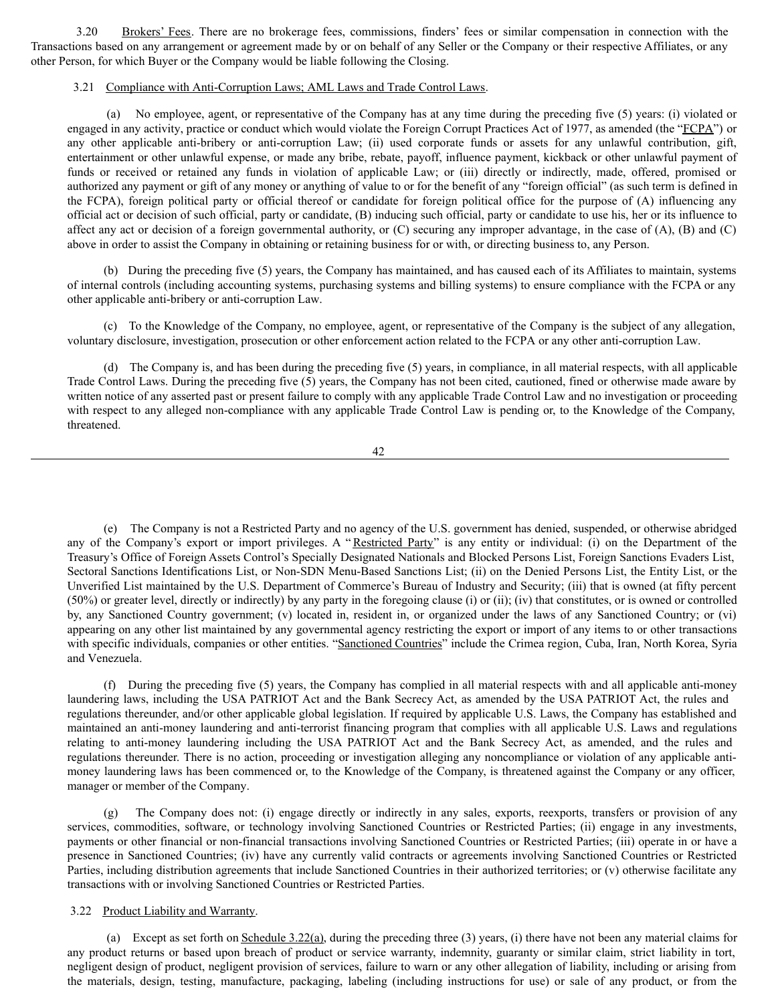3.20 Brokers' Fees. There are no brokerage fees, commissions, finders' fees or similar compensation in connection with the Transactions based on any arrangement or agreement made by or on behalf of any Seller or the Company or their respective Affiliates, or any other Person, for which Buyer or the Company would be liable following the Closing.

# 3.21 Compliance with Anti-Corruption Laws; AML Laws and Trade Control Laws.

(a) No employee, agent, or representative of the Company has at any time during the preceding five (5) years: (i) violated or engaged in any activity, practice or conduct which would violate the Foreign Corrupt Practices Act of 1977, as amended (the "FCPA") or any other applicable anti-bribery or anti-corruption Law; (ii) used corporate funds or assets for any unlawful contribution, gift, entertainment or other unlawful expense, or made any bribe, rebate, payoff, influence payment, kickback or other unlawful payment of funds or received or retained any funds in violation of applicable Law; or (iii) directly or indirectly, made, offered, promised or authorized any payment or gift of any money or anything of value to or for the benefit of any "foreign official" (as such term is defined in the FCPA), foreign political party or official thereof or candidate for foreign political office for the purpose of (A) influencing any official act or decision of such official, party or candidate, (B) inducing such official, party or candidate to use his, her or its influence to affect any act or decision of a foreign governmental authority, or (C) securing any improper advantage, in the case of (A), (B) and (C) above in order to assist the Company in obtaining or retaining business for or with, or directing business to, any Person.

(b) During the preceding five (5) years, the Company has maintained, and has caused each of its Affiliates to maintain, systems of internal controls (including accounting systems, purchasing systems and billing systems) to ensure compliance with the FCPA or any other applicable anti-bribery or anti-corruption Law.

(c) To the Knowledge of the Company, no employee, agent, or representative of the Company is the subject of any allegation, voluntary disclosure, investigation, prosecution or other enforcement action related to the FCPA or any other anti-corruption Law.

(d) The Company is, and has been during the preceding five (5) years, in compliance, in all material respects, with all applicable Trade Control Laws. During the preceding five (5) years, the Company has not been cited, cautioned, fined or otherwise made aware by written notice of any asserted past or present failure to comply with any applicable Trade Control Law and no investigation or proceeding with respect to any alleged non-compliance with any applicable Trade Control Law is pending or, to the Knowledge of the Company, threatened.

42

(e) The Company is not a Restricted Party and no agency of the U.S. government has denied, suspended, or otherwise abridged any of the Company's export or import privileges. A "Restricted Party" is any entity or individual: (i) on the Department of the Treasury's Office of Foreign Assets Control's Specially Designated Nationals and Blocked Persons List, Foreign Sanctions Evaders List, Sectoral Sanctions Identifications List, or Non-SDN Menu-Based Sanctions List; (ii) on the Denied Persons List, the Entity List, or the Unverified List maintained by the U.S. Department of Commerce's Bureau of Industry and Security; (iii) that is owned (at fifty percent (50%) or greater level, directly or indirectly) by any party in the foregoing clause (i) or (ii); (iv) that constitutes, or is owned or controlled by, any Sanctioned Country government; (v) located in, resident in, or organized under the laws of any Sanctioned Country; or (vi) appearing on any other list maintained by any governmental agency restricting the export or import of any items to or other transactions with specific individuals, companies or other entities. "Sanctioned Countries" include the Crimea region, Cuba, Iran, North Korea, Syria and Venezuela.

(f) During the preceding five (5) years, the Company has complied in all material respects with and all applicable anti-money laundering laws, including the USA PATRIOT Act and the Bank Secrecy Act, as amended by the USA PATRIOT Act, the rules and regulations thereunder, and/or other applicable global legislation. If required by applicable U.S. Laws, the Company has established and maintained an anti-money laundering and anti-terrorist financing program that complies with all applicable U.S. Laws and regulations relating to anti-money laundering including the USA PATRIOT Act and the Bank Secrecy Act, as amended, and the rules and regulations thereunder. There is no action, proceeding or investigation alleging any noncompliance or violation of any applicable antimoney laundering laws has been commenced or, to the Knowledge of the Company, is threatened against the Company or any officer, manager or member of the Company.

(g) The Company does not: (i) engage directly or indirectly in any sales, exports, reexports, transfers or provision of any services, commodities, software, or technology involving Sanctioned Countries or Restricted Parties; (ii) engage in any investments, payments or other financial or non-financial transactions involving Sanctioned Countries or Restricted Parties; (iii) operate in or have a presence in Sanctioned Countries; (iv) have any currently valid contracts or agreements involving Sanctioned Countries or Restricted Parties, including distribution agreements that include Sanctioned Countries in their authorized territories; or (v) otherwise facilitate any transactions with or involving Sanctioned Countries or Restricted Parties.

## 3.22 Product Liability and Warranty.

(a) Except as set forth on Schedule 3.22(a), during the preceding three (3) years, (i) there have not been any material claims for any product returns or based upon breach of product or service warranty, indemnity, guaranty or similar claim, strict liability in tort, negligent design of product, negligent provision of services, failure to warn or any other allegation of liability, including or arising from the materials, design, testing, manufacture, packaging, labeling (including instructions for use) or sale of any product, or from the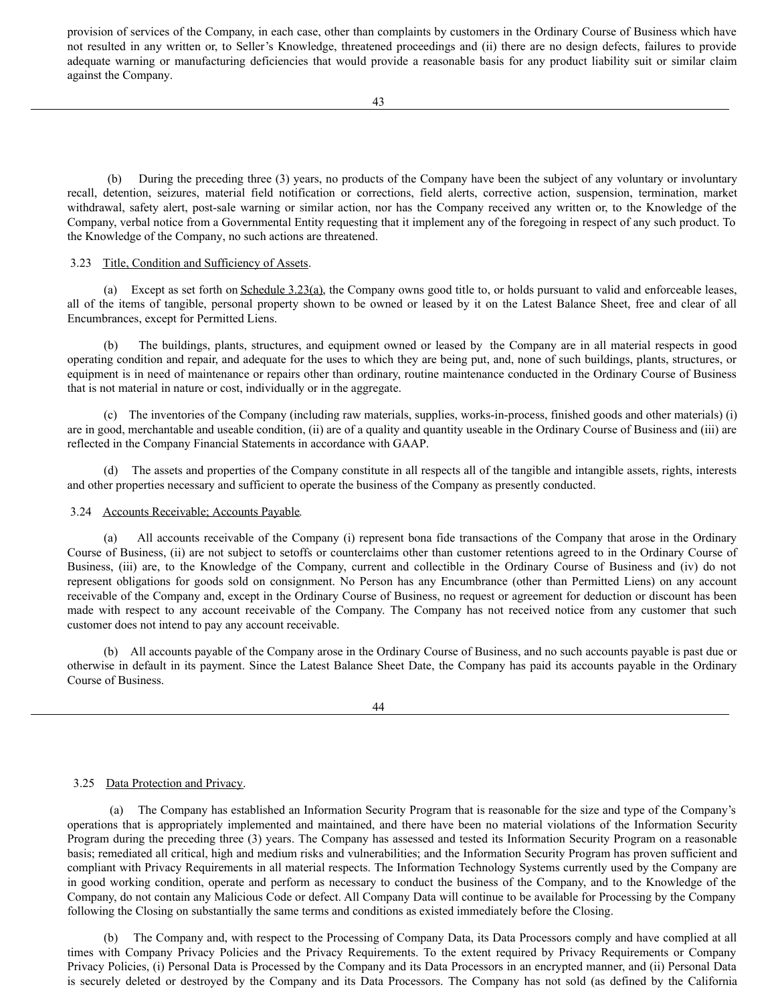provision of services of the Company, in each case, other than complaints by customers in the Ordinary Course of Business which have not resulted in any written or, to Seller's Knowledge, threatened proceedings and (ii) there are no design defects, failures to provide adequate warning or manufacturing deficiencies that would provide a reasonable basis for any product liability suit or similar claim against the Company.

(b) During the preceding three (3) years, no products of the Company have been the subject of any voluntary or involuntary recall, detention, seizures, material field notification or corrections, field alerts, corrective action, suspension, termination, market withdrawal, safety alert, post-sale warning or similar action, nor has the Company received any written or, to the Knowledge of the Company, verbal notice from a Governmental Entity requesting that it implement any of the foregoing in respect of any such product. To the Knowledge of the Company, no such actions are threatened.

# 3.23 Title, Condition and Sufficiency of Assets.

(a) Except as set forth on Schedule 3.23(a), the Company owns good title to, or holds pursuant to valid and enforceable leases, all of the items of tangible, personal property shown to be owned or leased by it on the Latest Balance Sheet, free and clear of all Encumbrances, except for Permitted Liens.

(b) The buildings, plants, structures, and equipment owned or leased by the Company are in all material respects in good operating condition and repair, and adequate for the uses to which they are being put, and, none of such buildings, plants, structures, or equipment is in need of maintenance or repairs other than ordinary, routine maintenance conducted in the Ordinary Course of Business that is not material in nature or cost, individually or in the aggregate.

(c) The inventories of the Company (including raw materials, supplies, works-in-process, finished goods and other materials) (i) are in good, merchantable and useable condition, (ii) are of a quality and quantity useable in the Ordinary Course of Business and (iii) are reflected in the Company Financial Statements in accordance with GAAP.

(d) The assets and properties of the Company constitute in all respects all of the tangible and intangible assets, rights, interests and other properties necessary and sufficient to operate the business of the Company as presently conducted.

# 3.24 Accounts Receivable; Accounts Payable.

(a) All accounts receivable of the Company (i) represent bona fide transactions of the Company that arose in the Ordinary Course of Business, (ii) are not subject to setoffs or counterclaims other than customer retentions agreed to in the Ordinary Course of Business, (iii) are, to the Knowledge of the Company, current and collectible in the Ordinary Course of Business and (iv) do not represent obligations for goods sold on consignment. No Person has any Encumbrance (other than Permitted Liens) on any account receivable of the Company and, except in the Ordinary Course of Business, no request or agreement for deduction or discount has been made with respect to any account receivable of the Company. The Company has not received notice from any customer that such customer does not intend to pay any account receivable.

(b) All accounts payable of the Company arose in the Ordinary Course of Business, and no such accounts payable is past due or otherwise in default in its payment. Since the Latest Balance Sheet Date, the Company has paid its accounts payable in the Ordinary Course of Business.

# 3.25 Data Protection and Privacy.

(a) The Company has established an Information Security Program that is reasonable for the size and type of the Company's operations that is appropriately implemented and maintained, and there have been no material violations of the Information Security Program during the preceding three (3) years. The Company has assessed and tested its Information Security Program on a reasonable basis; remediated all critical, high and medium risks and vulnerabilities; and the Information Security Program has proven sufficient and compliant with Privacy Requirements in all material respects. The Information Technology Systems currently used by the Company are in good working condition, operate and perform as necessary to conduct the business of the Company, and to the Knowledge of the Company, do not contain any Malicious Code or defect. All Company Data will continue to be available for Processing by the Company following the Closing on substantially the same terms and conditions as existed immediately before the Closing.

(b) The Company and, with respect to the Processing of Company Data, its Data Processors comply and have complied at all times with Company Privacy Policies and the Privacy Requirements. To the extent required by Privacy Requirements or Company Privacy Policies, (i) Personal Data is Processed by the Company and its Data Processors in an encrypted manner, and (ii) Personal Data is securely deleted or destroyed by the Company and its Data Processors. The Company has not sold (as defined by the California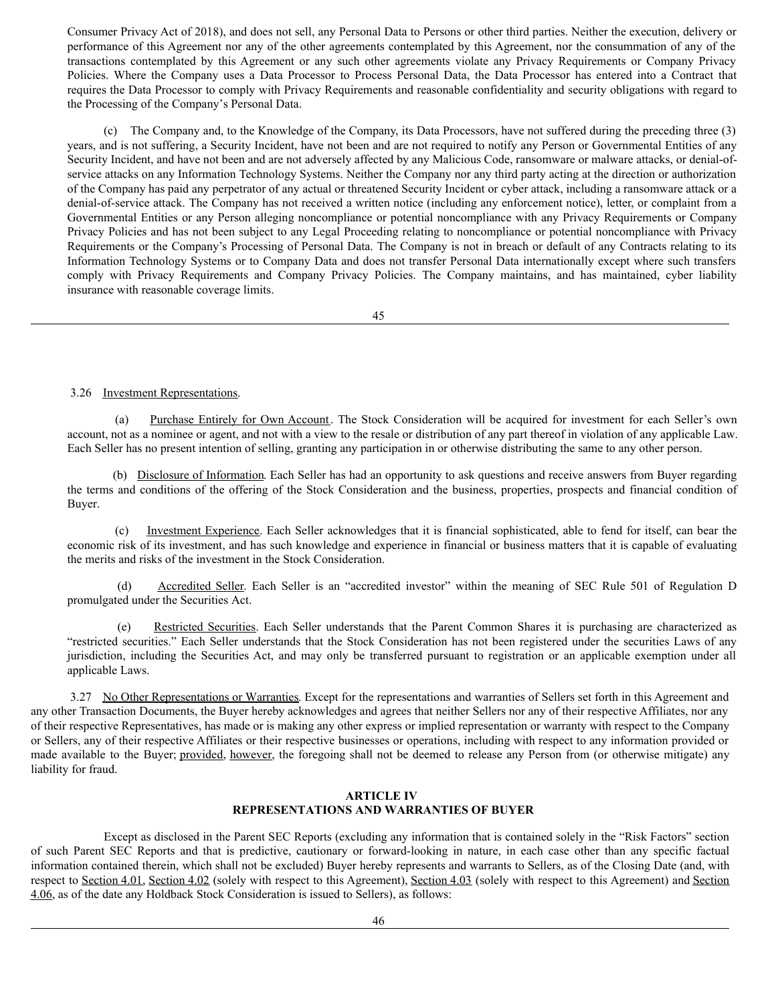Consumer Privacy Act of 2018), and does not sell, any Personal Data to Persons or other third parties. Neither the execution, delivery or performance of this Agreement nor any of the other agreements contemplated by this Agreement, nor the consummation of any of the transactions contemplated by this Agreement or any such other agreements violate any Privacy Requirements or Company Privacy Policies. Where the Company uses a Data Processor to Process Personal Data, the Data Processor has entered into a Contract that requires the Data Processor to comply with Privacy Requirements and reasonable confidentiality and security obligations with regard to the Processing of the Company's Personal Data.

(c) The Company and, to the Knowledge of the Company, its Data Processors, have not suffered during the preceding three (3) years, and is not suffering, a Security Incident, have not been and are not required to notify any Person or Governmental Entities of any Security Incident, and have not been and are not adversely affected by any Malicious Code, ransomware or malware attacks, or denial-ofservice attacks on any Information Technology Systems. Neither the Company nor any third party acting at the direction or authorization of the Company has paid any perpetrator of any actual or threatened Security Incident or cyber attack, including a ransomware attack or a denial-of-service attack. The Company has not received a written notice (including any enforcement notice), letter, or complaint from a Governmental Entities or any Person alleging noncompliance or potential noncompliance with any Privacy Requirements or Company Privacy Policies and has not been subject to any Legal Proceeding relating to noncompliance or potential noncompliance with Privacy Requirements or the Company's Processing of Personal Data. The Company is not in breach or default of any Contracts relating to its Information Technology Systems or to Company Data and does not transfer Personal Data internationally except where such transfers comply with Privacy Requirements and Company Privacy Policies. The Company maintains, and has maintained, cyber liability insurance with reasonable coverage limits.

45

# 3.26 Investment Representations.

(a) Purchase Entirely for Own Account. The Stock Consideration will be acquired for investment for each Seller's own account, not as a nominee or agent, and not with a view to the resale or distribution of any part thereof in violation of any applicable Law. Each Seller has no present intention of selling, granting any participation in or otherwise distributing the same to any other person.

(b) Disclosure of Information. Each Seller has had an opportunity to ask questions and receive answers from Buyer regarding the terms and conditions of the offering of the Stock Consideration and the business, properties, prospects and financial condition of Buyer.

Investment Experience. Each Seller acknowledges that it is financial sophisticated, able to fend for itself, can bear the economic risk of its investment, and has such knowledge and experience in financial or business matters that it is capable of evaluating the merits and risks of the investment in the Stock Consideration.

(d) Accredited Seller. Each Seller is an "accredited investor" within the meaning of SEC Rule 501 of Regulation D promulgated under the Securities Act.

(e) Restricted Securities. Each Seller understands that the Parent Common Shares it is purchasing are characterized as "restricted securities." Each Seller understands that the Stock Consideration has not been registered under the securities Laws of any jurisdiction, including the Securities Act, and may only be transferred pursuant to registration or an applicable exemption under all applicable Laws.

3.27 No Other Representations or Warranties. Except for the representations and warranties of Sellers set forth in this Agreement and any other Transaction Documents, the Buyer hereby acknowledges and agrees that neither Sellers nor any of their respective Affiliates, nor any of their respective Representatives, has made or is making any other express or implied representation or warranty with respect to the Company or Sellers, any of their respective Affiliates or their respective businesses or operations, including with respect to any information provided or made available to the Buyer; provided, however, the foregoing shall not be deemed to release any Person from (or otherwise mitigate) any liability for fraud.

# **ARTICLE IV REPRESENTATIONS AND WARRANTIES OF BUYER**

Except as disclosed in the Parent SEC Reports (excluding any information that is contained solely in the "Risk Factors" section of such Parent SEC Reports and that is predictive, cautionary or forward-looking in nature, in each case other than any specific factual information contained therein, which shall not be excluded) Buyer hereby represents and warrants to Sellers, as of the Closing Date (and, with respect to Section 4.01, Section 4.02 (solely with respect to this Agreement), Section 4.03 (solely with respect to this Agreement) and Section 4.06, as of the date any Holdback Stock Consideration is issued to Sellers), as follows: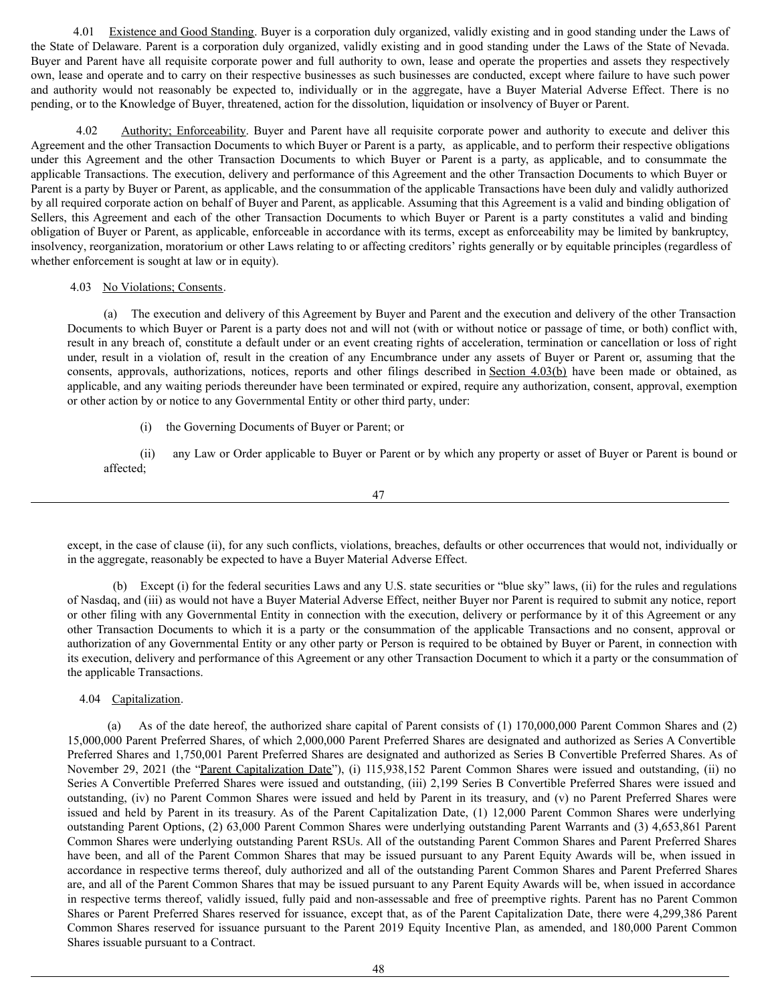4.01 Existence and Good Standing. Buyer is a corporation duly organized, validly existing and in good standing under the Laws of the State of Delaware. Parent is a corporation duly organized, validly existing and in good standing under the Laws of the State of Nevada. Buyer and Parent have all requisite corporate power and full authority to own, lease and operate the properties and assets they respectively own, lease and operate and to carry on their respective businesses as such businesses are conducted, except where failure to have such power and authority would not reasonably be expected to, individually or in the aggregate, have a Buyer Material Adverse Effect. There is no pending, or to the Knowledge of Buyer, threatened, action for the dissolution, liquidation or insolvency of Buyer or Parent.

4.02 Authority; Enforceability. Buyer and Parent have all requisite corporate power and authority to execute and deliver this Agreement and the other Transaction Documents to which Buyer or Parent is a party, as applicable, and to perform their respective obligations under this Agreement and the other Transaction Documents to which Buyer or Parent is a party, as applicable, and to consummate the applicable Transactions. The execution, delivery and performance of this Agreement and the other Transaction Documents to which Buyer or Parent is a party by Buyer or Parent, as applicable, and the consummation of the applicable Transactions have been duly and validly authorized by all required corporate action on behalf of Buyer and Parent, as applicable. Assuming that this Agreement is a valid and binding obligation of Sellers, this Agreement and each of the other Transaction Documents to which Buyer or Parent is a party constitutes a valid and binding obligation of Buyer or Parent, as applicable, enforceable in accordance with its terms, except as enforceability may be limited by bankruptcy, insolvency, reorganization, moratorium or other Laws relating to or affecting creditors' rights generally or by equitable principles (regardless of whether enforcement is sought at law or in equity).

# 4.03 No Violations; Consents.

(a) The execution and delivery of this Agreement by Buyer and Parent and the execution and delivery of the other Transaction Documents to which Buyer or Parent is a party does not and will not (with or without notice or passage of time, or both) conflict with, result in any breach of, constitute a default under or an event creating rights of acceleration, termination or cancellation or loss of right under, result in a violation of, result in the creation of any Encumbrance under any assets of Buyer or Parent or, assuming that the consents, approvals, authorizations, notices, reports and other filings described in Section 4.03(b) have been made or obtained, as applicable, and any waiting periods thereunder have been terminated or expired, require any authorization, consent, approval, exemption or other action by or notice to any Governmental Entity or other third party, under:

(i) the Governing Documents of Buyer or Parent; or

(ii) any Law or Order applicable to Buyer or Parent or by which any property or asset of Buyer or Parent is bound or affected;

47

except, in the case of clause (ii), for any such conflicts, violations, breaches, defaults or other occurrences that would not, individually or in the aggregate, reasonably be expected to have a Buyer Material Adverse Effect.

(b) Except (i) for the federal securities Laws and any U.S. state securities or "blue sky" laws, (ii) for the rules and regulations of Nasdaq, and (iii) as would not have a Buyer Material Adverse Effect, neither Buyer nor Parent is required to submit any notice, report or other filing with any Governmental Entity in connection with the execution, delivery or performance by it of this Agreement or any other Transaction Documents to which it is a party or the consummation of the applicable Transactions and no consent, approval or authorization of any Governmental Entity or any other party or Person is required to be obtained by Buyer or Parent, in connection with its execution, delivery and performance of this Agreement or any other Transaction Document to which it a party or the consummation of the applicable Transactions.

4.04 Capitalization.

(a) As of the date hereof, the authorized share capital of Parent consists of (1) 170,000,000 Parent Common Shares and (2) 15,000,000 Parent Preferred Shares, of which 2,000,000 Parent Preferred Shares are designated and authorized as Series A Convertible Preferred Shares and 1,750,001 Parent Preferred Shares are designated and authorized as Series B Convertible Preferred Shares. As of November 29, 2021 (the "Parent Capitalization Date"), (i) 115,938,152 Parent Common Shares were issued and outstanding, (ii) no Series A Convertible Preferred Shares were issued and outstanding, (iii) 2,199 Series B Convertible Preferred Shares were issued and outstanding, (iv) no Parent Common Shares were issued and held by Parent in its treasury, and (v) no Parent Preferred Shares were issued and held by Parent in its treasury. As of the Parent Capitalization Date, (1) 12,000 Parent Common Shares were underlying outstanding Parent Options, (2) 63,000 Parent Common Shares were underlying outstanding Parent Warrants and (3) 4,653,861 Parent Common Shares were underlying outstanding Parent RSUs. All of the outstanding Parent Common Shares and Parent Preferred Shares have been, and all of the Parent Common Shares that may be issued pursuant to any Parent Equity Awards will be, when issued in accordance in respective terms thereof, duly authorized and all of the outstanding Parent Common Shares and Parent Preferred Shares are, and all of the Parent Common Shares that may be issued pursuant to any Parent Equity Awards will be, when issued in accordance in respective terms thereof, validly issued, fully paid and non-assessable and free of preemptive rights. Parent has no Parent Common Shares or Parent Preferred Shares reserved for issuance, except that, as of the Parent Capitalization Date, there were 4,299,386 Parent Common Shares reserved for issuance pursuant to the Parent 2019 Equity Incentive Plan, as amended, and 180,000 Parent Common Shares issuable pursuant to a Contract.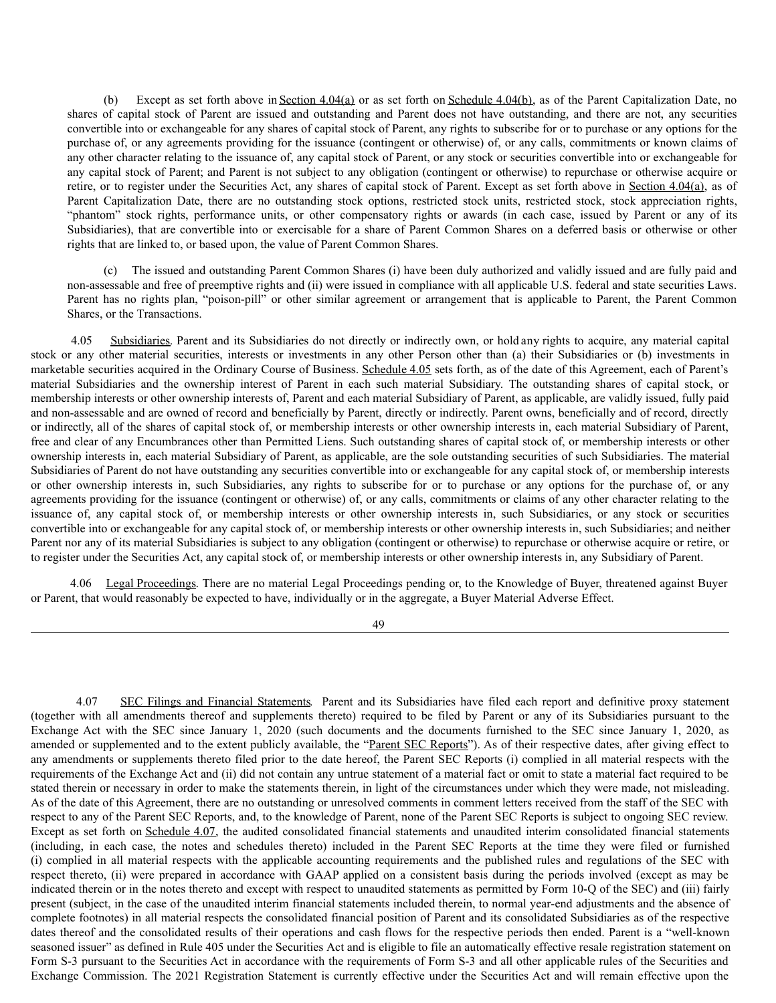(b) Except as set forth above in Section 4.04(a) or as set forth on Schedule 4.04(b), as of the Parent Capitalization Date, no shares of capital stock of Parent are issued and outstanding and Parent does not have outstanding, and there are not, any securities convertible into or exchangeable for any shares of capital stock of Parent, any rights to subscribe for or to purchase or any options for the purchase of, or any agreements providing for the issuance (contingent or otherwise) of, or any calls, commitments or known claims of any other character relating to the issuance of, any capital stock of Parent, or any stock or securities convertible into or exchangeable for any capital stock of Parent; and Parent is not subject to any obligation (contingent or otherwise) to repurchase or otherwise acquire or retire, or to register under the Securities Act, any shares of capital stock of Parent. Except as set forth above in Section 4.04(a), as of Parent Capitalization Date, there are no outstanding stock options, restricted stock units, restricted stock, stock appreciation rights, "phantom" stock rights, performance units, or other compensatory rights or awards (in each case, issued by Parent or any of its Subsidiaries), that are convertible into or exercisable for a share of Parent Common Shares on a deferred basis or otherwise or other rights that are linked to, or based upon, the value of Parent Common Shares.

(c) The issued and outstanding Parent Common Shares (i) have been duly authorized and validly issued and are fully paid and non-assessable and free of preemptive rights and (ii) were issued in compliance with all applicable U.S. federal and state securities Laws. Parent has no rights plan, "poison-pill" or other similar agreement or arrangement that is applicable to Parent, the Parent Common Shares, or the Transactions.

4.05 Subsidiaries. Parent and its Subsidiaries do not directly or indirectly own, or hold any rights to acquire, any material capital stock or any other material securities, interests or investments in any other Person other than (a) their Subsidiaries or (b) investments in marketable securities acquired in the Ordinary Course of Business. Schedule 4.05 sets forth, as of the date of this Agreement, each of Parent's material Subsidiaries and the ownership interest of Parent in each such material Subsidiary. The outstanding shares of capital stock, or membership interests or other ownership interests of, Parent and each material Subsidiary of Parent, as applicable, are validly issued, fully paid and non-assessable and are owned of record and beneficially by Parent, directly or indirectly. Parent owns, beneficially and of record, directly or indirectly, all of the shares of capital stock of, or membership interests or other ownership interests in, each material Subsidiary of Parent, free and clear of any Encumbrances other than Permitted Liens. Such outstanding shares of capital stock of, or membership interests or other ownership interests in, each material Subsidiary of Parent, as applicable, are the sole outstanding securities of such Subsidiaries. The material Subsidiaries of Parent do not have outstanding any securities convertible into or exchangeable for any capital stock of, or membership interests or other ownership interests in, such Subsidiaries, any rights to subscribe for or to purchase or any options for the purchase of, or any agreements providing for the issuance (contingent or otherwise) of, or any calls, commitments or claims of any other character relating to the issuance of, any capital stock of, or membership interests or other ownership interests in, such Subsidiaries, or any stock or securities convertible into or exchangeable for any capital stock of, or membership interests or other ownership interests in, such Subsidiaries; and neither Parent nor any of its material Subsidiaries is subject to any obligation (contingent or otherwise) to repurchase or otherwise acquire or retire, or to register under the Securities Act, any capital stock of, or membership interests or other ownership interests in, any Subsidiary of Parent.

4.06 Legal Proceedings. There are no material Legal Proceedings pending or, to the Knowledge of Buyer, threatened against Buyer or Parent, that would reasonably be expected to have, individually or in the aggregate, a Buyer Material Adverse Effect.

49

4.07 SEC Filings and Financial Statements. Parent and its Subsidiaries have filed each report and definitive proxy statement (together with all amendments thereof and supplements thereto) required to be filed by Parent or any of its Subsidiaries pursuant to the Exchange Act with the SEC since January 1, 2020 (such documents and the documents furnished to the SEC since January 1, 2020, as amended or supplemented and to the extent publicly available, the "Parent SEC Reports"). As of their respective dates, after giving effect to any amendments or supplements thereto filed prior to the date hereof, the Parent SEC Reports (i) complied in all material respects with the requirements of the Exchange Act and (ii) did not contain any untrue statement of a material fact or omit to state a material fact required to be stated therein or necessary in order to make the statements therein, in light of the circumstances under which they were made, not misleading. As of the date of this Agreement, there are no outstanding or unresolved comments in comment letters received from the staff of the SEC with respect to any of the Parent SEC Reports, and, to the knowledge of Parent, none of the Parent SEC Reports is subject to ongoing SEC review. Except as set forth on Schedule 4.07, the audited consolidated financial statements and unaudited interim consolidated financial statements (including, in each case, the notes and schedules thereto) included in the Parent SEC Reports at the time they were filed or furnished (i) complied in all material respects with the applicable accounting requirements and the published rules and regulations of the SEC with respect thereto, (ii) were prepared in accordance with GAAP applied on a consistent basis during the periods involved (except as may be indicated therein or in the notes thereto and except with respect to unaudited statements as permitted by Form 10-Q of the SEC) and (iii) fairly present (subject, in the case of the unaudited interim financial statements included therein, to normal year-end adjustments and the absence of complete footnotes) in all material respects the consolidated financial position of Parent and its consolidated Subsidiaries as of the respective dates thereof and the consolidated results of their operations and cash flows for the respective periods then ended. Parent is a "well-known seasoned issuer" as defined in Rule 405 under the Securities Act and is eligible to file an automatically effective resale registration statement on Form S-3 pursuant to the Securities Act in accordance with the requirements of Form S-3 and all other applicable rules of the Securities and Exchange Commission. The 2021 Registration Statement is currently effective under the Securities Act and will remain effective upon the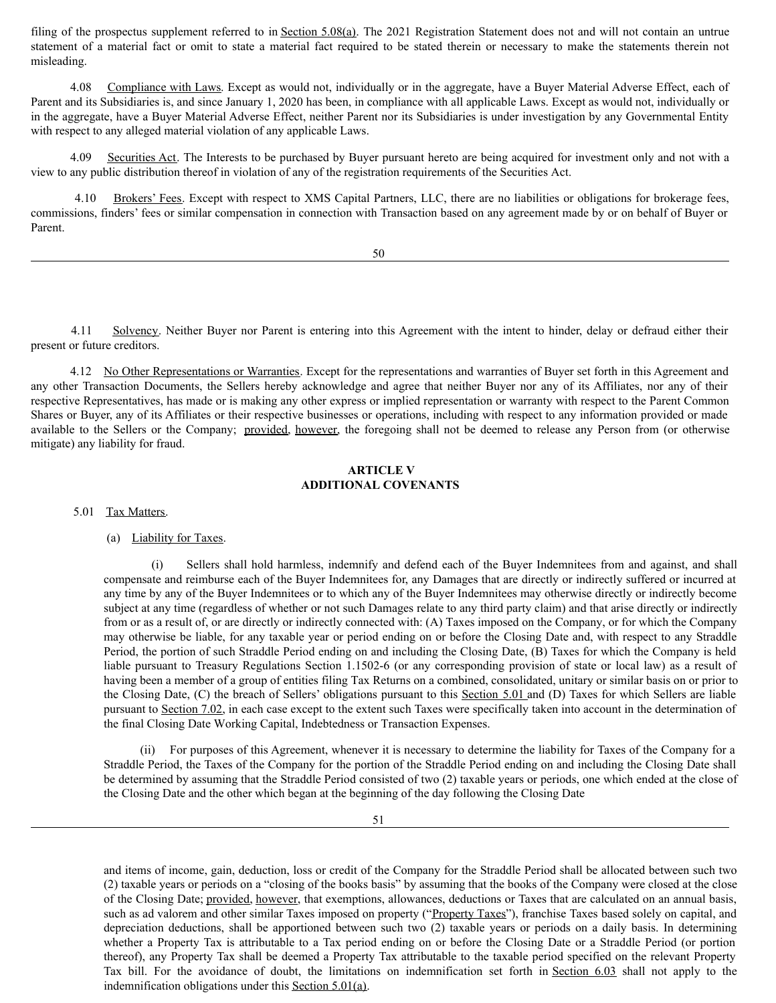filing of the prospectus supplement referred to in Section 5.08(a). The 2021 Registration Statement does not and will not contain an untrue statement of a material fact or omit to state a material fact required to be stated therein or necessary to make the statements therein not misleading.

4.08 Compliance with Laws. Except as would not, individually or in the aggregate, have a Buyer Material Adverse Effect, each of Parent and its Subsidiaries is, and since January 1, 2020 has been, in compliance with all applicable Laws. Except as would not, individually or in the aggregate, have a Buyer Material Adverse Effect, neither Parent nor its Subsidiaries is under investigation by any Governmental Entity with respect to any alleged material violation of any applicable Laws.

4.09 Securities Act. The Interests to be purchased by Buyer pursuant hereto are being acquired for investment only and not with a view to any public distribution thereof in violation of any of the registration requirements of the Securities Act.

4.10 Brokers' Fees. Except with respect to XMS Capital Partners, LLC, there are no liabilities or obligations for brokerage fees, commissions, finders' fees or similar compensation in connection with Transaction based on any agreement made by or on behalf of Buyer or Parent.

50

4.11 Solvency. Neither Buyer nor Parent is entering into this Agreement with the intent to hinder, delay or defraud either their present or future creditors.

4.12 No Other Representations or Warranties. Except for the representations and warranties of Buyer set forth in this Agreement and any other Transaction Documents, the Sellers hereby acknowledge and agree that neither Buyer nor any of its Affiliates, nor any of their respective Representatives, has made or is making any other express or implied representation or warranty with respect to the Parent Common Shares or Buyer, any of its Affiliates or their respective businesses or operations, including with respect to any information provided or made available to the Sellers or the Company; provided, however, the foregoing shall not be deemed to release any Person from (or otherwise mitigate) any liability for fraud.

## **ARTICLE V ADDITIONAL COVENANTS**

5.01 Tax Matters.

# (a) Liability for Taxes.

(i) Sellers shall hold harmless, indemnify and defend each of the Buyer Indemnitees from and against, and shall compensate and reimburse each of the Buyer Indemnitees for, any Damages that are directly or indirectly suffered or incurred at any time by any of the Buyer Indemnitees or to which any of the Buyer Indemnitees may otherwise directly or indirectly become subject at any time (regardless of whether or not such Damages relate to any third party claim) and that arise directly or indirectly from or as a result of, or are directly or indirectly connected with: (A) Taxes imposed on the Company, or for which the Company may otherwise be liable, for any taxable year or period ending on or before the Closing Date and, with respect to any Straddle Period, the portion of such Straddle Period ending on and including the Closing Date, (B) Taxes for which the Company is held liable pursuant to Treasury Regulations Section 1.1502-6 (or any corresponding provision of state or local law) as a result of having been a member of a group of entities filing Tax Returns on a combined, consolidated, unitary or similar basis on or prior to the Closing Date, (C) the breach of Sellers' obligations pursuant to this Section 5.01 and (D) Taxes for which Sellers are liable pursuant to Section 7.02, in each case except to the extent such Taxes were specifically taken into account in the determination of the final Closing Date Working Capital, Indebtedness or Transaction Expenses.

(ii) For purposes of this Agreement, whenever it is necessary to determine the liability for Taxes of the Company for a Straddle Period, the Taxes of the Company for the portion of the Straddle Period ending on and including the Closing Date shall be determined by assuming that the Straddle Period consisted of two (2) taxable years or periods, one which ended at the close of the Closing Date and the other which began at the beginning of the day following the Closing Date

and items of income, gain, deduction, loss or credit of the Company for the Straddle Period shall be allocated between such two (2) taxable years or periods on a "closing of the books basis" by assuming that the books of the Company were closed at the close of the Closing Date; provided, however, that exemptions, allowances, deductions or Taxes that are calculated on an annual basis, such as ad valorem and other similar Taxes imposed on property ("Property Taxes"), franchise Taxes based solely on capital, and depreciation deductions, shall be apportioned between such two (2) taxable years or periods on a daily basis. In determining whether a Property Tax is attributable to a Tax period ending on or before the Closing Date or a Straddle Period (or portion thereof), any Property Tax shall be deemed a Property Tax attributable to the taxable period specified on the relevant Property Tax bill. For the avoidance of doubt, the limitations on indemnification set forth in Section 6.03 shall not apply to the indemnification obligations under this Section 5.01(a).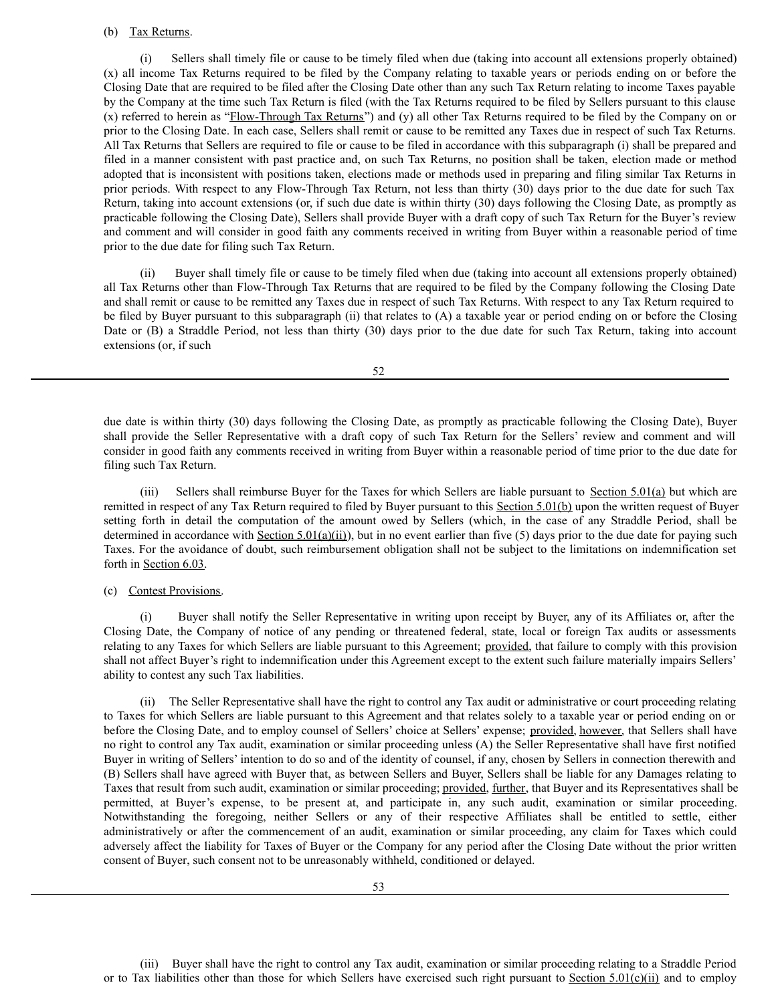## (b) Tax Returns.

(i) Sellers shall timely file or cause to be timely filed when due (taking into account all extensions properly obtained) (x) all income Tax Returns required to be filed by the Company relating to taxable years or periods ending on or before the Closing Date that are required to be filed after the Closing Date other than any such Tax Return relating to income Taxes payable by the Company at the time such Tax Return is filed (with the Tax Returns required to be filed by Sellers pursuant to this clause (x) referred to herein as "Flow-Through Tax Returns") and (y) all other Tax Returns required to be filed by the Company on or prior to the Closing Date. In each case, Sellers shall remit or cause to be remitted any Taxes due in respect of such Tax Returns. All Tax Returns that Sellers are required to file or cause to be filed in accordance with this subparagraph (i) shall be prepared and filed in a manner consistent with past practice and, on such Tax Returns, no position shall be taken, election made or method adopted that is inconsistent with positions taken, elections made or methods used in preparing and filing similar Tax Returns in prior periods. With respect to any Flow-Through Tax Return, not less than thirty (30) days prior to the due date for such Tax Return, taking into account extensions (or, if such due date is within thirty (30) days following the Closing Date, as promptly as practicable following the Closing Date), Sellers shall provide Buyer with a draft copy of such Tax Return for the Buyer's review and comment and will consider in good faith any comments received in writing from Buyer within a reasonable period of time prior to the due date for filing such Tax Return.

(ii) Buyer shall timely file or cause to be timely filed when due (taking into account all extensions properly obtained) all Tax Returns other than Flow-Through Tax Returns that are required to be filed by the Company following the Closing Date and shall remit or cause to be remitted any Taxes due in respect of such Tax Returns. With respect to any Tax Return required to be filed by Buyer pursuant to this subparagraph (ii) that relates to (A) a taxable year or period ending on or before the Closing Date or (B) a Straddle Period, not less than thirty (30) days prior to the due date for such Tax Return, taking into account extensions (or, if such

52

due date is within thirty (30) days following the Closing Date, as promptly as practicable following the Closing Date), Buyer shall provide the Seller Representative with a draft copy of such Tax Return for the Sellers' review and comment and will consider in good faith any comments received in writing from Buyer within a reasonable period of time prior to the due date for filing such Tax Return.

(iii) Sellers shall reimburse Buyer for the Taxes for which Sellers are liable pursuant to Section 5.01(a) but which are remitted in respect of any Tax Return required to filed by Buyer pursuant to this Section 5.01(b) upon the written request of Buyer setting forth in detail the computation of the amount owed by Sellers (which, in the case of any Straddle Period, shall be determined in accordance with  $Section 5.01(a)(ii)$ , but in no event earlier than five (5) days prior to the due date for paying such Taxes. For the avoidance of doubt, such reimbursement obligation shall not be subject to the limitations on indemnification set forth in Section 6.03.

(c) Contest Provisions.

(i) Buyer shall notify the Seller Representative in writing upon receipt by Buyer, any of its Affiliates or, after the Closing Date, the Company of notice of any pending or threatened federal, state, local or foreign Tax audits or assessments relating to any Taxes for which Sellers are liable pursuant to this Agreement; provided, that failure to comply with this provision shall not affect Buyer's right to indemnification under this Agreement except to the extent such failure materially impairs Sellers' ability to contest any such Tax liabilities.

(ii) The Seller Representative shall have the right to control any Tax audit or administrative or court proceeding relating to Taxes for which Sellers are liable pursuant to this Agreement and that relates solely to a taxable year or period ending on or before the Closing Date, and to employ counsel of Sellers' choice at Sellers' expense; provided, however, that Sellers shall have no right to control any Tax audit, examination or similar proceeding unless (A) the Seller Representative shall have first notified Buyer in writing of Sellers' intention to do so and of the identity of counsel, if any, chosen by Sellers in connection therewith and (B) Sellers shall have agreed with Buyer that, as between Sellers and Buyer, Sellers shall be liable for any Damages relating to Taxes that result from such audit, examination or similar proceeding; provided, further, that Buyer and its Representatives shall be permitted, at Buyer's expense, to be present at, and participate in, any such audit, examination or similar proceeding. Notwithstanding the foregoing, neither Sellers or any of their respective Affiliates shall be entitled to settle, either administratively or after the commencement of an audit, examination or similar proceeding, any claim for Taxes which could adversely affect the liability for Taxes of Buyer or the Company for any period after the Closing Date without the prior written consent of Buyer, such consent not to be unreasonably withheld, conditioned or delayed.

(iii) Buyer shall have the right to control any Tax audit, examination or similar proceeding relating to a Straddle Period or to Tax liabilities other than those for which Sellers have exercised such right pursuant to Section 5.01(c)(ii) and to employ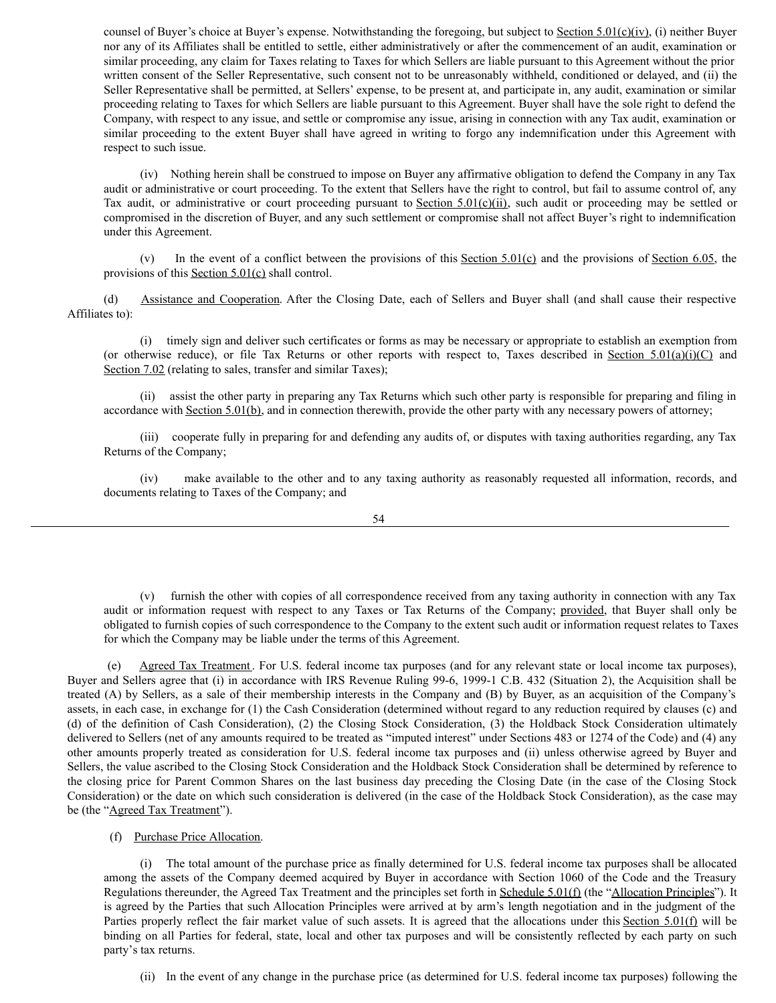counsel of Buyer's choice at Buyer's expense. Notwithstanding the foregoing, but subject to Section  $5.01(c)(iv)$ , (i) neither Buyer nor any of its Affiliates shall be entitled to settle, either administratively or after the commencement of an audit, examination or similar proceeding, any claim for Taxes relating to Taxes for which Sellers are liable pursuant to this Agreement without the prior written consent of the Seller Representative, such consent not to be unreasonably withheld, conditioned or delayed, and (ii) the Seller Representative shall be permitted, at Sellers' expense, to be present at, and participate in, any audit, examination or similar proceeding relating to Taxes for which Sellers are liable pursuant to this Agreement. Buyer shall have the sole right to defend the Company, with respect to any issue, and settle or compromise any issue, arising in connection with any Tax audit, examination or similar proceeding to the extent Buyer shall have agreed in writing to forgo any indemnification under this Agreement with respect to such issue.

(iv) Nothing herein shall be construed to impose on Buyer any affirmative obligation to defend the Company in any Tax audit or administrative or court proceeding. To the extent that Sellers have the right to control, but fail to assume control of, any Tax audit, or administrative or court proceeding pursuant to Section 5.01(c)(ii), such audit or proceeding may be settled or compromised in the discretion of Buyer, and any such settlement or compromise shall not affect Buyer's right to indemnification under this Agreement.

(v) In the event of a conflict between the provisions of this Section 5.01(c) and the provisions of Section 6.05, the provisions of this Section 5.01(c) shall control.

(d) Assistance and Cooperation. After the Closing Date, each of Sellers and Buyer shall (and shall cause their respective Affiliates to):

(i) timely sign and deliver such certificates or forms as may be necessary or appropriate to establish an exemption from (or otherwise reduce), or file Tax Returns or other reports with respect to, Taxes described in Section  $5.01(a)(i)(C)$  and Section 7.02 (relating to sales, transfer and similar Taxes);

(ii) assist the other party in preparing any Tax Returns which such other party is responsible for preparing and filing in accordance with Section 5.01(b), and in connection therewith, provide the other party with any necessary powers of attorney;

(iii) cooperate fully in preparing for and defending any audits of, or disputes with taxing authorities regarding, any Tax Returns of the Company;

(iv) make available to the other and to any taxing authority as reasonably requested all information, records, and documents relating to Taxes of the Company; and

54

(v) furnish the other with copies of all correspondence received from any taxing authority in connection with any Tax audit or information request with respect to any Taxes or Tax Returns of the Company; provided, that Buyer shall only be obligated to furnish copies of such correspondence to the Company to the extent such audit or information request relates to Taxes for which the Company may be liable under the terms of this Agreement.

(e) Agreed Tax Treatment . For U.S. federal income tax purposes (and for any relevant state or local income tax purposes), Buyer and Sellers agree that (i) in accordance with IRS Revenue Ruling 99-6, 1999-1 C.B. 432 (Situation 2), the Acquisition shall be treated (A) by Sellers, as a sale of their membership interests in the Company and (B) by Buyer, as an acquisition of the Company's assets, in each case, in exchange for (1) the Cash Consideration (determined without regard to any reduction required by clauses (c) and (d) of the definition of Cash Consideration), (2) the Closing Stock Consideration, (3) the Holdback Stock Consideration ultimately delivered to Sellers (net of any amounts required to be treated as "imputed interest" under Sections 483 or 1274 of the Code) and (4) any other amounts properly treated as consideration for U.S. federal income tax purposes and (ii) unless otherwise agreed by Buyer and Sellers, the value ascribed to the Closing Stock Consideration and the Holdback Stock Consideration shall be determined by reference to the closing price for Parent Common Shares on the last business day preceding the Closing Date (in the case of the Closing Stock Consideration) or the date on which such consideration is delivered (in the case of the Holdback Stock Consideration), as the case may be (the "Agreed Tax Treatment").

(f) Purchase Price Allocation.

(i) The total amount of the purchase price as finally determined for U.S. federal income tax purposes shall be allocated among the assets of the Company deemed acquired by Buyer in accordance with Section 1060 of the Code and the Treasury Regulations thereunder, the Agreed Tax Treatment and the principles set forth in Schedule 5.01(f) (the "Allocation Principles"). It is agreed by the Parties that such Allocation Principles were arrived at by arm's length negotiation and in the judgment of the Parties properly reflect the fair market value of such assets. It is agreed that the allocations under this Section 5.01(f) will be binding on all Parties for federal, state, local and other tax purposes and will be consistently reflected by each party on such party's tax returns.

(ii) In the event of any change in the purchase price (as determined for U.S. federal income tax purposes) following the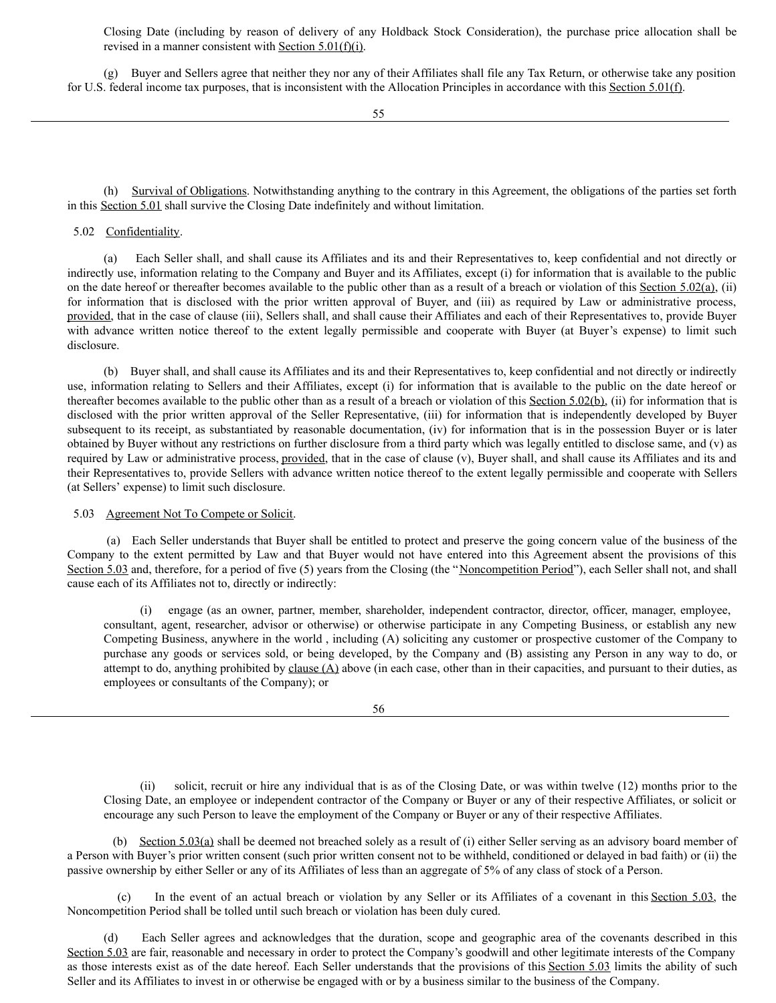Closing Date (including by reason of delivery of any Holdback Stock Consideration), the purchase price allocation shall be revised in a manner consistent with Section 5.01(f)(i).

(g) Buyer and Sellers agree that neither they nor any of their Affiliates shall file any Tax Return, or otherwise take any position for U.S. federal income tax purposes, that is inconsistent with the Allocation Principles in accordance with this Section 5.01(f).

(h) Survival of Obligations. Notwithstanding anything to the contrary in this Agreement, the obligations of the parties set forth in this Section 5.01 shall survive the Closing Date indefinitely and without limitation.

## 5.02 Confidentiality.

(a) Each Seller shall, and shall cause its Affiliates and its and their Representatives to, keep confidential and not directly or indirectly use, information relating to the Company and Buyer and its Affiliates, except (i) for information that is available to the public on the date hereof or thereafter becomes available to the public other than as a result of a breach or violation of this Section 5.02(a), (ii) for information that is disclosed with the prior written approval of Buyer, and (iii) as required by Law or administrative process, provided, that in the case of clause (iii), Sellers shall, and shall cause their Affiliates and each of their Representatives to, provide Buyer with advance written notice thereof to the extent legally permissible and cooperate with Buyer (at Buyer's expense) to limit such disclosure.

(b) Buyer shall, and shall cause its Affiliates and its and their Representatives to, keep confidential and not directly or indirectly use, information relating to Sellers and their Affiliates, except (i) for information that is available to the public on the date hereof or thereafter becomes available to the public other than as a result of a breach or violation of this Section 5.02(b), (ii) for information that is disclosed with the prior written approval of the Seller Representative, (iii) for information that is independently developed by Buyer subsequent to its receipt, as substantiated by reasonable documentation, (iv) for information that is in the possession Buyer or is later obtained by Buyer without any restrictions on further disclosure from a third party which was legally entitled to disclose same, and (v) as required by Law or administrative process, provided, that in the case of clause (v), Buyer shall, and shall cause its Affiliates and its and their Representatives to, provide Sellers with advance written notice thereof to the extent legally permissible and cooperate with Sellers (at Sellers' expense) to limit such disclosure.

#### 5.03 Agreement Not To Compete or Solicit.

(a) Each Seller understands that Buyer shall be entitled to protect and preserve the going concern value of the business of the Company to the extent permitted by Law and that Buyer would not have entered into this Agreement absent the provisions of this Section 5.03 and, therefore, for a period of five (5) years from the Closing (the "Noncompetition Period"), each Seller shall not, and shall cause each of its Affiliates not to, directly or indirectly:

engage (as an owner, partner, member, shareholder, independent contractor, director, officer, manager, employee, consultant, agent, researcher, advisor or otherwise) or otherwise participate in any Competing Business, or establish any new Competing Business, anywhere in the world , including (A) soliciting any customer or prospective customer of the Company to purchase any goods or services sold, or being developed, by the Company and (B) assisting any Person in any way to do, or attempt to do, anything prohibited by clause  $(A)$  above (in each case, other than in their capacities, and pursuant to their duties, as employees or consultants of the Company); or

(ii) solicit, recruit or hire any individual that is as of the Closing Date, or was within twelve (12) months prior to the Closing Date, an employee or independent contractor of the Company or Buyer or any of their respective Affiliates, or solicit or encourage any such Person to leave the employment of the Company or Buyer or any of their respective Affiliates.

(b) Section 5.03(a) shall be deemed not breached solely as a result of (i) either Seller serving as an advisory board member of a Person with Buyer's prior written consent (such prior written consent not to be withheld, conditioned or delayed in bad faith) or (ii) the passive ownership by either Seller or any of its Affiliates of less than an aggregate of 5% of any class of stock of a Person.

(c) In the event of an actual breach or violation by any Seller or its Affiliates of a covenant in this Section 5.03, the Noncompetition Period shall be tolled until such breach or violation has been duly cured.

(d) Each Seller agrees and acknowledges that the duration, scope and geographic area of the covenants described in this Section 5.03 are fair, reasonable and necessary in order to protect the Company's goodwill and other legitimate interests of the Company as those interests exist as of the date hereof. Each Seller understands that the provisions of this Section 5.03 limits the ability of such Seller and its Affiliates to invest in or otherwise be engaged with or by a business similar to the business of the Company.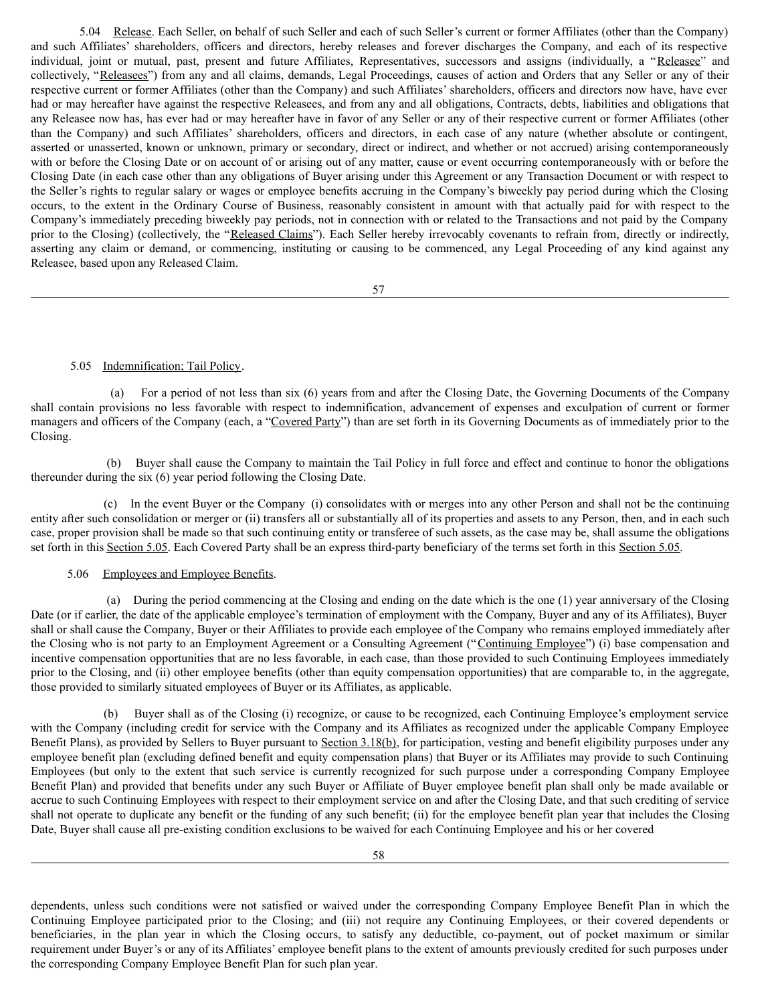5.04 Release. Each Seller, on behalf of such Seller and each of such Seller's current or former Affiliates (other than the Company) and such Affiliates' shareholders, officers and directors, hereby releases and forever discharges the Company, and each of its respective individual, joint or mutual, past, present and future Affiliates, Representatives, successors and assigns (individually, a "Releasee" and collectively, "Releasees") from any and all claims, demands, Legal Proceedings, causes of action and Orders that any Seller or any of their respective current or former Affiliates (other than the Company) and such Affiliates' shareholders, officers and directors now have, have ever had or may hereafter have against the respective Releasees, and from any and all obligations, Contracts, debts, liabilities and obligations that any Releasee now has, has ever had or may hereafter have in favor of any Seller or any of their respective current or former Affiliates (other than the Company) and such Affiliates' shareholders, officers and directors, in each case of any nature (whether absolute or contingent, asserted or unasserted, known or unknown, primary or secondary, direct or indirect, and whether or not accrued) arising contemporaneously with or before the Closing Date or on account of or arising out of any matter, cause or event occurring contemporaneously with or before the Closing Date (in each case other than any obligations of Buyer arising under this Agreement or any Transaction Document or with respect to the Seller's rights to regular salary or wages or employee benefits accruing in the Company's biweekly pay period during which the Closing occurs, to the extent in the Ordinary Course of Business, reasonably consistent in amount with that actually paid for with respect to the Company's immediately preceding biweekly pay periods, not in connection with or related to the Transactions and not paid by the Company prior to the Closing) (collectively, the "Released Claims"). Each Seller hereby irrevocably covenants to refrain from, directly or indirectly, asserting any claim or demand, or commencing, instituting or causing to be commenced, any Legal Proceeding of any kind against any Releasee, based upon any Released Claim.

57

## 5.05 Indemnification; Tail Policy.

(a) For a period of not less than six (6) years from and after the Closing Date, the Governing Documents of the Company shall contain provisions no less favorable with respect to indemnification, advancement of expenses and exculpation of current or former managers and officers of the Company (each, a "Covered Party") than are set forth in its Governing Documents as of immediately prior to the Closing.

(b) Buyer shall cause the Company to maintain the Tail Policy in full force and effect and continue to honor the obligations thereunder during the six (6) year period following the Closing Date.

(c) In the event Buyer or the Company (i) consolidates with or merges into any other Person and shall not be the continuing entity after such consolidation or merger or (ii) transfers all or substantially all of its properties and assets to any Person, then, and in each such case, proper provision shall be made so that such continuing entity or transferee of such assets, as the case may be, shall assume the obligations set forth in this Section 5.05. Each Covered Party shall be an express third-party beneficiary of the terms set forth in this Section 5.05.

# 5.06 Employees and Employee Benefits.

(a) During the period commencing at the Closing and ending on the date which is the one (1) year anniversary of the Closing Date (or if earlier, the date of the applicable employee's termination of employment with the Company, Buyer and any of its Affiliates), Buyer shall or shall cause the Company, Buyer or their Affiliates to provide each employee of the Company who remains employed immediately after the Closing who is not party to an Employment Agreement or a Consulting Agreement ("Continuing Employee") (i) base compensation and incentive compensation opportunities that are no less favorable, in each case, than those provided to such Continuing Employees immediately prior to the Closing, and (ii) other employee benefits (other than equity compensation opportunities) that are comparable to, in the aggregate, those provided to similarly situated employees of Buyer or its Affiliates, as applicable.

(b) Buyer shall as of the Closing (i) recognize, or cause to be recognized, each Continuing Employee's employment service with the Company (including credit for service with the Company and its Affiliates as recognized under the applicable Company Employee Benefit Plans), as provided by Sellers to Buyer pursuant to Section 3.18(b), for participation, vesting and benefit eligibility purposes under any employee benefit plan (excluding defined benefit and equity compensation plans) that Buyer or its Affiliates may provide to such Continuing Employees (but only to the extent that such service is currently recognized for such purpose under a corresponding Company Employee Benefit Plan) and provided that benefits under any such Buyer or Affiliate of Buyer employee benefit plan shall only be made available or accrue to such Continuing Employees with respect to their employment service on and after the Closing Date, and that such crediting of service shall not operate to duplicate any benefit or the funding of any such benefit; (ii) for the employee benefit plan year that includes the Closing Date, Buyer shall cause all pre-existing condition exclusions to be waived for each Continuing Employee and his or her covered

dependents, unless such conditions were not satisfied or waived under the corresponding Company Employee Benefit Plan in which the Continuing Employee participated prior to the Closing; and (iii) not require any Continuing Employees, or their covered dependents or beneficiaries, in the plan year in which the Closing occurs, to satisfy any deductible, co-payment, out of pocket maximum or similar requirement under Buyer's or any of its Affiliates' employee benefit plans to the extent of amounts previously credited for such purposes under the corresponding Company Employee Benefit Plan for such plan year.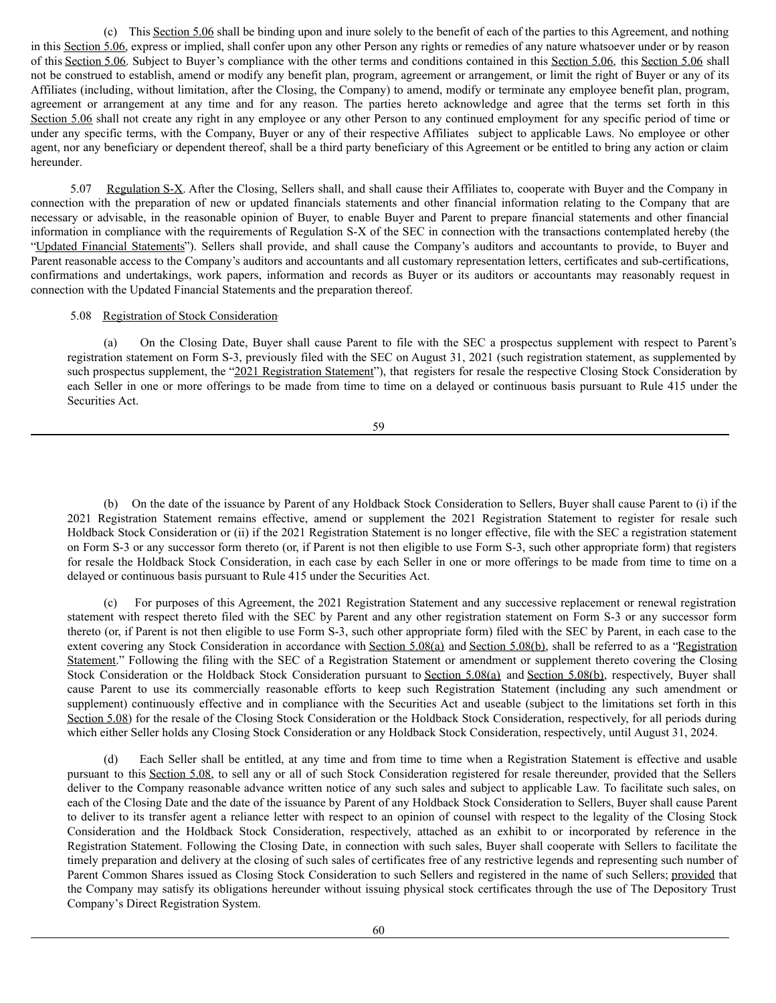(c) This Section 5.06 shall be binding upon and inure solely to the benefit of each of the parties to this Agreement, and nothing in this Section 5.06, express or implied, shall confer upon any other Person any rights or remedies of any nature whatsoever under or by reason of this Section 5.06. Subject to Buyer's compliance with the other terms and conditions contained in this Section 5.06, this Section 5.06 shall not be construed to establish, amend or modify any benefit plan, program, agreement or arrangement, or limit the right of Buyer or any of its Affiliates (including, without limitation, after the Closing, the Company) to amend, modify or terminate any employee benefit plan, program, agreement or arrangement at any time and for any reason. The parties hereto acknowledge and agree that the terms set forth in this Section 5.06 shall not create any right in any employee or any other Person to any continued employment for any specific period of time or under any specific terms, with the Company, Buyer or any of their respective Affiliates subject to applicable Laws. No employee or other agent, nor any beneficiary or dependent thereof, shall be a third party beneficiary of this Agreement or be entitled to bring any action or claim hereunder.

5.07 Regulation S-X. After the Closing, Sellers shall, and shall cause their Affiliates to, cooperate with Buyer and the Company in connection with the preparation of new or updated financials statements and other financial information relating to the Company that are necessary or advisable, in the reasonable opinion of Buyer, to enable Buyer and Parent to prepare financial statements and other financial information in compliance with the requirements of Regulation S-X of the SEC in connection with the transactions contemplated hereby (the "Updated Financial Statements"). Sellers shall provide, and shall cause the Company's auditors and accountants to provide, to Buyer and Parent reasonable access to the Company's auditors and accountants and all customary representation letters, certificates and sub-certifications, confirmations and undertakings, work papers, information and records as Buyer or its auditors or accountants may reasonably request in connection with the Updated Financial Statements and the preparation thereof.

# 5.08 Registration of Stock Consideration

(a) On the Closing Date, Buyer shall cause Parent to file with the SEC a prospectus supplement with respect to Parent's registration statement on Form S-3, previously filed with the SEC on August 31, 2021 (such registration statement, as supplemented by such prospectus supplement, the "2021 Registration Statement"), that registers for resale the respective Closing Stock Consideration by each Seller in one or more offerings to be made from time to time on a delayed or continuous basis pursuant to Rule 415 under the Securities Act.

59

(b) On the date of the issuance by Parent of any Holdback Stock Consideration to Sellers, Buyer shall cause Parent to (i) if the 2021 Registration Statement remains effective, amend or supplement the 2021 Registration Statement to register for resale such Holdback Stock Consideration or (ii) if the 2021 Registration Statement is no longer effective, file with the SEC a registration statement on Form S-3 or any successor form thereto (or, if Parent is not then eligible to use Form S-3, such other appropriate form) that registers for resale the Holdback Stock Consideration, in each case by each Seller in one or more offerings to be made from time to time on a delayed or continuous basis pursuant to Rule 415 under the Securities Act.

(c) For purposes of this Agreement, the 2021 Registration Statement and any successive replacement or renewal registration statement with respect thereto filed with the SEC by Parent and any other registration statement on Form S-3 or any successor form thereto (or, if Parent is not then eligible to use Form S-3, such other appropriate form) filed with the SEC by Parent, in each case to the extent covering any Stock Consideration in accordance with Section 5.08(a) and Section 5.08(b), shall be referred to as a "Registration Statement." Following the filing with the SEC of a Registration Statement or amendment or supplement thereto covering the Closing Stock Consideration or the Holdback Stock Consideration pursuant to Section 5.08(a) and Section 5.08(b), respectively, Buyer shall cause Parent to use its commercially reasonable efforts to keep such Registration Statement (including any such amendment or supplement) continuously effective and in compliance with the Securities Act and useable (subject to the limitations set forth in this Section 5.08) for the resale of the Closing Stock Consideration or the Holdback Stock Consideration, respectively, for all periods during which either Seller holds any Closing Stock Consideration or any Holdback Stock Consideration, respectively, until August 31, 2024.

(d) Each Seller shall be entitled, at any time and from time to time when a Registration Statement is effective and usable pursuant to this Section 5.08, to sell any or all of such Stock Consideration registered for resale thereunder, provided that the Sellers deliver to the Company reasonable advance written notice of any such sales and subject to applicable Law. To facilitate such sales, on each of the Closing Date and the date of the issuance by Parent of any Holdback Stock Consideration to Sellers, Buyer shall cause Parent to deliver to its transfer agent a reliance letter with respect to an opinion of counsel with respect to the legality of the Closing Stock Consideration and the Holdback Stock Consideration, respectively, attached as an exhibit to or incorporated by reference in the Registration Statement. Following the Closing Date, in connection with such sales, Buyer shall cooperate with Sellers to facilitate the timely preparation and delivery at the closing of such sales of certificates free of any restrictive legends and representing such number of Parent Common Shares issued as Closing Stock Consideration to such Sellers and registered in the name of such Sellers; provided that the Company may satisfy its obligations hereunder without issuing physical stock certificates through the use of The Depository Trust Company's Direct Registration System.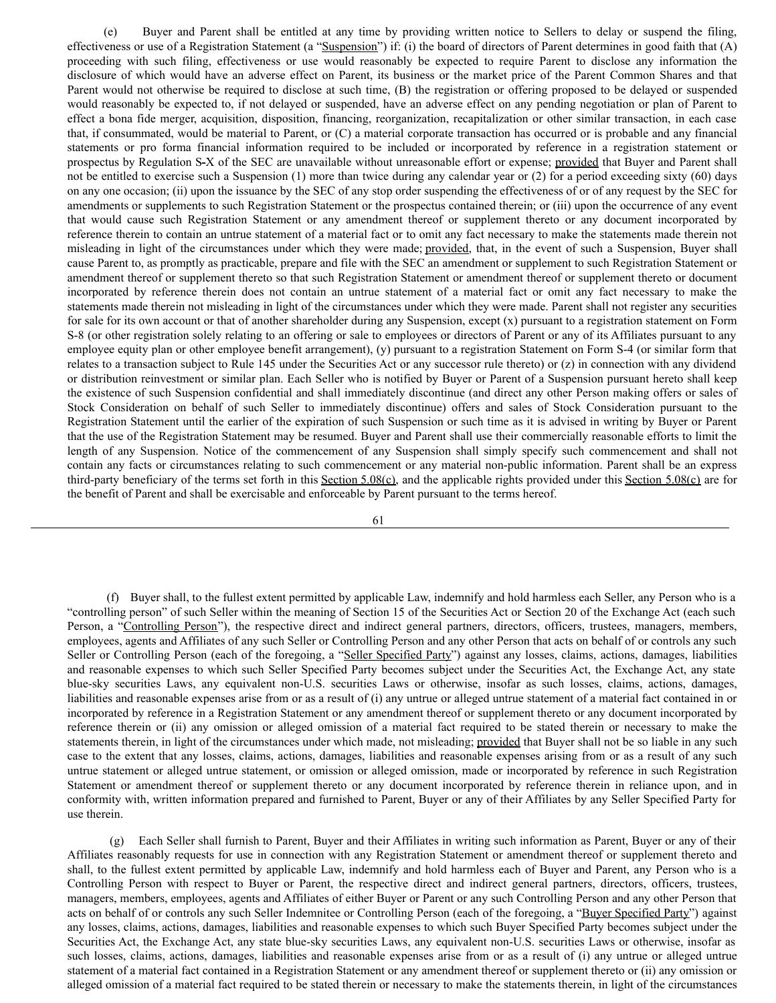(e) Buyer and Parent shall be entitled at any time by providing written notice to Sellers to delay or suspend the filing, effectiveness or use of a Registration Statement (a "Suspension") if: (i) the board of directors of Parent determines in good faith that (A) proceeding with such filing, effectiveness or use would reasonably be expected to require Parent to disclose any information the disclosure of which would have an adverse effect on Parent, its business or the market price of the Parent Common Shares and that Parent would not otherwise be required to disclose at such time, (B) the registration or offering proposed to be delayed or suspended would reasonably be expected to, if not delayed or suspended, have an adverse effect on any pending negotiation or plan of Parent to effect a bona fide merger, acquisition, disposition, financing, reorganization, recapitalization or other similar transaction, in each case that, if consummated, would be material to Parent, or (C) a material corporate transaction has occurred or is probable and any financial statements or pro forma financial information required to be included or incorporated by reference in a registration statement or prospectus by Regulation S**-**X of the SEC are unavailable without unreasonable effort or expense; provided that Buyer and Parent shall not be entitled to exercise such a Suspension (1) more than twice during any calendar year or (2) for a period exceeding sixty (60) days on any one occasion; (ii) upon the issuance by the SEC of any stop order suspending the effectiveness of or of any request by the SEC for amendments or supplements to such Registration Statement or the prospectus contained therein; or (iii) upon the occurrence of any event that would cause such Registration Statement or any amendment thereof or supplement thereto or any document incorporated by reference therein to contain an untrue statement of a material fact or to omit any fact necessary to make the statements made therein not misleading in light of the circumstances under which they were made; provided, that, in the event of such a Suspension, Buyer shall cause Parent to, as promptly as practicable, prepare and file with the SEC an amendment or supplement to such Registration Statement or amendment thereof or supplement thereto so that such Registration Statement or amendment thereof or supplement thereto or document incorporated by reference therein does not contain an untrue statement of a material fact or omit any fact necessary to make the statements made therein not misleading in light of the circumstances under which they were made. Parent shall not register any securities for sale for its own account or that of another shareholder during any Suspension, except (x) pursuant to a registration statement on Form S-8 (or other registration solely relating to an offering or sale to employees or directors of Parent or any of its Affiliates pursuant to any employee equity plan or other employee benefit arrangement), (y) pursuant to a registration Statement on Form S-4 (or similar form that relates to a transaction subject to Rule 145 under the Securities Act or any successor rule thereto) or (z) in connection with any dividend or distribution reinvestment or similar plan. Each Seller who is notified by Buyer or Parent of a Suspension pursuant hereto shall keep the existence of such Suspension confidential and shall immediately discontinue (and direct any other Person making offers or sales of Stock Consideration on behalf of such Seller to immediately discontinue) offers and sales of Stock Consideration pursuant to the Registration Statement until the earlier of the expiration of such Suspension or such time as it is advised in writing by Buyer or Parent that the use of the Registration Statement may be resumed. Buyer and Parent shall use their commercially reasonable efforts to limit the length of any Suspension. Notice of the commencement of any Suspension shall simply specify such commencement and shall not contain any facts or circumstances relating to such commencement or any material non-public information. Parent shall be an express third-party beneficiary of the terms set forth in this Section 5.08(c), and the applicable rights provided under this Section 5.08(c) are for the benefit of Parent and shall be exercisable and enforceable by Parent pursuant to the terms hereof.

61

(f) Buyer shall, to the fullest extent permitted by applicable Law, indemnify and hold harmless each Seller, any Person who is a "controlling person" of such Seller within the meaning of Section 15 of the Securities Act or Section 20 of the Exchange Act (each such Person, a "Controlling Person"), the respective direct and indirect general partners, directors, officers, trustees, managers, members, employees, agents and Affiliates of any such Seller or Controlling Person and any other Person that acts on behalf of or controls any such Seller or Controlling Person (each of the foregoing, a "Seller Specified Party") against any losses, claims, actions, damages, liabilities and reasonable expenses to which such Seller Specified Party becomes subject under the Securities Act, the Exchange Act, any state blue-sky securities Laws, any equivalent non-U.S. securities Laws or otherwise, insofar as such losses, claims, actions, damages, liabilities and reasonable expenses arise from or as a result of (i) any untrue or alleged untrue statement of a material fact contained in or incorporated by reference in a Registration Statement or any amendment thereof or supplement thereto or any document incorporated by reference therein or (ii) any omission or alleged omission of a material fact required to be stated therein or necessary to make the statements therein, in light of the circumstances under which made, not misleading; provided that Buyer shall not be so liable in any such case to the extent that any losses, claims, actions, damages, liabilities and reasonable expenses arising from or as a result of any such untrue statement or alleged untrue statement, or omission or alleged omission, made or incorporated by reference in such Registration Statement or amendment thereof or supplement thereto or any document incorporated by reference therein in reliance upon, and in conformity with, written information prepared and furnished to Parent, Buyer or any of their Affiliates by any Seller Specified Party for use therein.

(g) Each Seller shall furnish to Parent, Buyer and their Affiliates in writing such information as Parent, Buyer or any of their Affiliates reasonably requests for use in connection with any Registration Statement or amendment thereof or supplement thereto and shall, to the fullest extent permitted by applicable Law, indemnify and hold harmless each of Buyer and Parent, any Person who is a Controlling Person with respect to Buyer or Parent, the respective direct and indirect general partners, directors, officers, trustees, managers, members, employees, agents and Affiliates of either Buyer or Parent or any such Controlling Person and any other Person that acts on behalf of or controls any such Seller Indemnitee or Controlling Person (each of the foregoing, a "Buyer Specified Party") against any losses, claims, actions, damages, liabilities and reasonable expenses to which such Buyer Specified Party becomes subject under the Securities Act, the Exchange Act, any state blue-sky securities Laws, any equivalent non-U.S. securities Laws or otherwise, insofar as such losses, claims, actions, damages, liabilities and reasonable expenses arise from or as a result of (i) any untrue or alleged untrue statement of a material fact contained in a Registration Statement or any amendment thereof or supplement thereto or (ii) any omission or alleged omission of a material fact required to be stated therein or necessary to make the statements therein, in light of the circumstances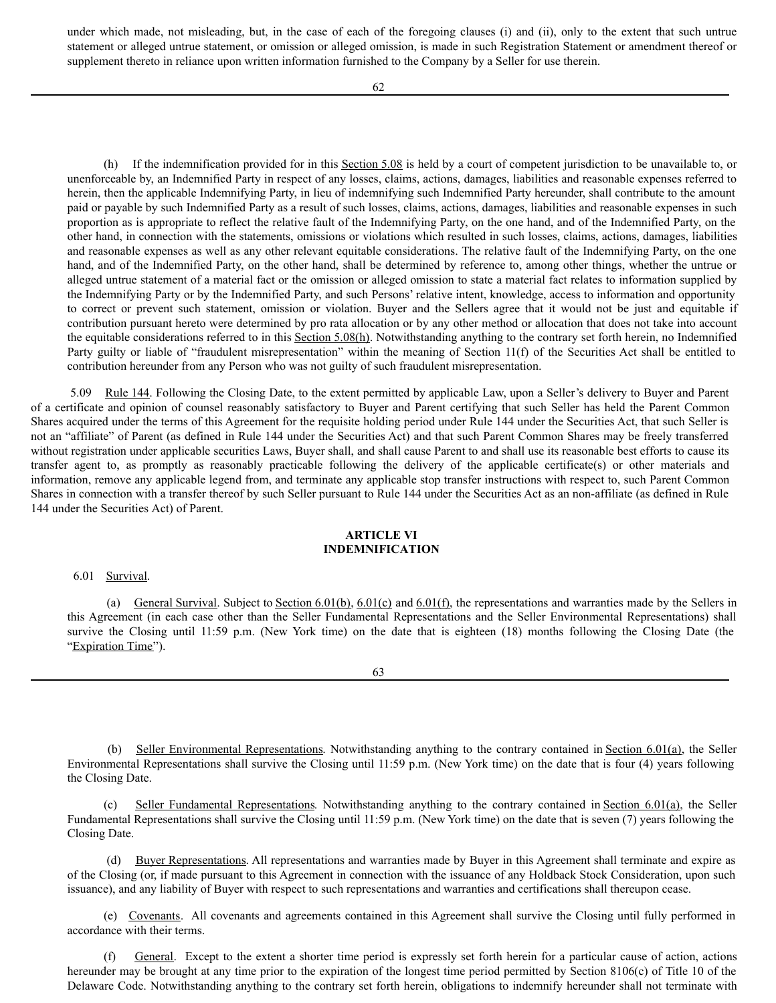under which made, not misleading, but, in the case of each of the foregoing clauses (i) and (ii), only to the extent that such untrue statement or alleged untrue statement, or omission or alleged omission, is made in such Registration Statement or amendment thereof or supplement thereto in reliance upon written information furnished to the Company by a Seller for use therein.

(h) If the indemnification provided for in this  $Section 5.08$  is held by a court of competent jurisdiction to be unavailable to, or unenforceable by, an Indemnified Party in respect of any losses, claims, actions, damages, liabilities and reasonable expenses referred to herein, then the applicable Indemnifying Party, in lieu of indemnifying such Indemnified Party hereunder, shall contribute to the amount paid or payable by such Indemnified Party as a result of such losses, claims, actions, damages, liabilities and reasonable expenses in such proportion as is appropriate to reflect the relative fault of the Indemnifying Party, on the one hand, and of the Indemnified Party, on the other hand, in connection with the statements, omissions or violations which resulted in such losses, claims, actions, damages, liabilities and reasonable expenses as well as any other relevant equitable considerations. The relative fault of the Indemnifying Party, on the one hand, and of the Indemnified Party, on the other hand, shall be determined by reference to, among other things, whether the untrue or alleged untrue statement of a material fact or the omission or alleged omission to state a material fact relates to information supplied by the Indemnifying Party or by the Indemnified Party, and such Persons' relative intent, knowledge, access to information and opportunity to correct or prevent such statement, omission or violation. Buyer and the Sellers agree that it would not be just and equitable if contribution pursuant hereto were determined by pro rata allocation or by any other method or allocation that does not take into account the equitable considerations referred to in this Section 5.08(h). Notwithstanding anything to the contrary set forth herein, no Indemnified Party guilty or liable of "fraudulent misrepresentation" within the meaning of Section 11(f) of the Securities Act shall be entitled to contribution hereunder from any Person who was not guilty of such fraudulent misrepresentation.

5.09 Rule 144. Following the Closing Date, to the extent permitted by applicable Law, upon a Seller's delivery to Buyer and Parent of a certificate and opinion of counsel reasonably satisfactory to Buyer and Parent certifying that such Seller has held the Parent Common Shares acquired under the terms of this Agreement for the requisite holding period under Rule 144 under the Securities Act, that such Seller is not an "affiliate" of Parent (as defined in Rule 144 under the Securities Act) and that such Parent Common Shares may be freely transferred without registration under applicable securities Laws, Buyer shall, and shall cause Parent to and shall use its reasonable best efforts to cause its transfer agent to, as promptly as reasonably practicable following the delivery of the applicable certificate(s) or other materials and information, remove any applicable legend from, and terminate any applicable stop transfer instructions with respect to, such Parent Common Shares in connection with a transfer thereof by such Seller pursuant to Rule 144 under the Securities Act as an non-affiliate (as defined in Rule 144 under the Securities Act) of Parent.

# **ARTICLE VI INDEMNIFICATION**

# 6.01 Survival.

(a) General Survival. Subject to Section 6.01(b), 6.01(c) and 6.01(f), the representations and warranties made by the Sellers in this Agreement (in each case other than the Seller Fundamental Representations and the Seller Environmental Representations) shall survive the Closing until 11:59 p.m. (New York time) on the date that is eighteen (18) months following the Closing Date (the "Expiration Time").

63

(b) Seller Environmental Representations. Notwithstanding anything to the contrary contained in Section 6.01(a), the Seller Environmental Representations shall survive the Closing until 11:59 p.m. (New York time) on the date that is four (4) years following the Closing Date.

Seller Fundamental Representations. Notwithstanding anything to the contrary contained in Section 6.01(a), the Seller Fundamental Representations shall survive the Closing until 11:59 p.m. (New York time) on the date that is seven (7) years following the Closing Date.

(d) Buyer Representations. All representations and warranties made by Buyer in this Agreement shall terminate and expire as of the Closing (or, if made pursuant to this Agreement in connection with the issuance of any Holdback Stock Consideration, upon such issuance), and any liability of Buyer with respect to such representations and warranties and certifications shall thereupon cease.

(e) Covenants. All covenants and agreements contained in this Agreement shall survive the Closing until fully performed in accordance with their terms.

(f) General. Except to the extent a shorter time period is expressly set forth herein for a particular cause of action, actions hereunder may be brought at any time prior to the expiration of the longest time period permitted by Section 8106(c) of Title 10 of the Delaware Code. Notwithstanding anything to the contrary set forth herein, obligations to indemnify hereunder shall not terminate with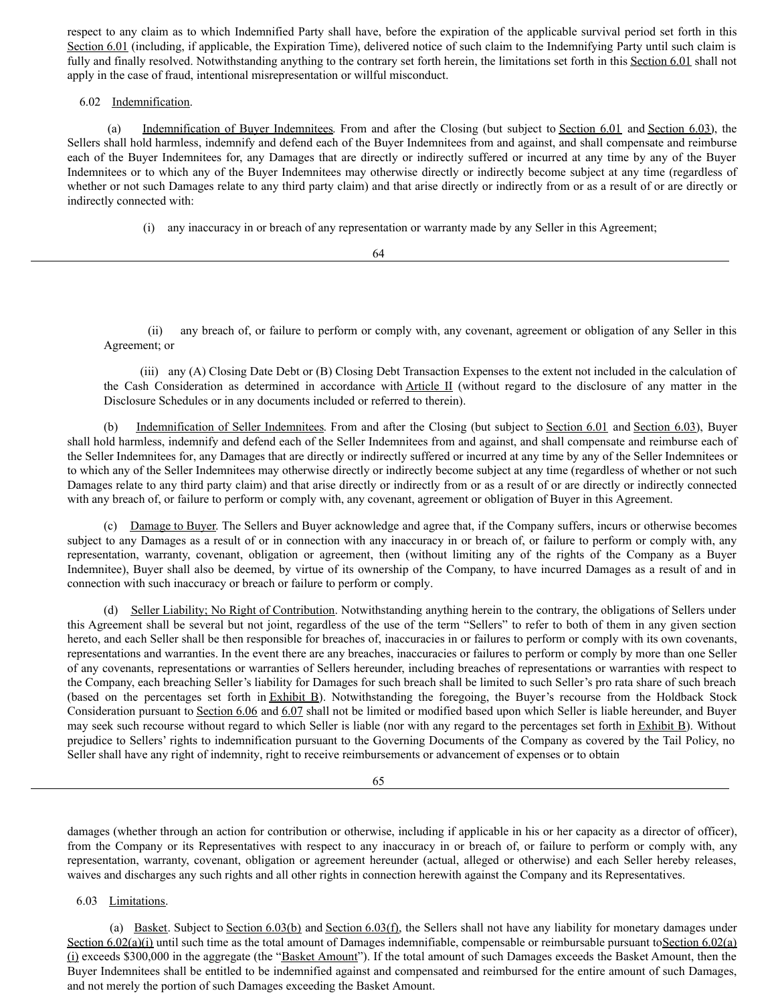respect to any claim as to which Indemnified Party shall have, before the expiration of the applicable survival period set forth in this Section 6.01 (including, if applicable, the Expiration Time), delivered notice of such claim to the Indemnifying Party until such claim is fully and finally resolved. Notwithstanding anything to the contrary set forth herein, the limitations set forth in this Section 6.01 shall not apply in the case of fraud, intentional misrepresentation or willful misconduct.

# 6.02 Indemnification.

(a) Indemnification of Buyer Indemnitees. From and after the Closing (but subject to Section 6.01 and Section 6.03), the Sellers shall hold harmless, indemnify and defend each of the Buyer Indemnitees from and against, and shall compensate and reimburse each of the Buyer Indemnitees for, any Damages that are directly or indirectly suffered or incurred at any time by any of the Buyer Indemnitees or to which any of the Buyer Indemnitees may otherwise directly or indirectly become subject at any time (regardless of whether or not such Damages relate to any third party claim) and that arise directly or indirectly from or as a result of or are directly or indirectly connected with:

(i) any inaccuracy in or breach of any representation or warranty made by any Seller in this Agreement;

64

(ii) any breach of, or failure to perform or comply with, any covenant, agreement or obligation of any Seller in this Agreement; or

(iii) any (A) Closing Date Debt or (B) Closing Debt Transaction Expenses to the extent not included in the calculation of the Cash Consideration as determined in accordance with Article II (without regard to the disclosure of any matter in the Disclosure Schedules or in any documents included or referred to therein).

(b) Indemnification of Seller Indemnitees. From and after the Closing (but subject to Section 6.01 and Section 6.03), Buyer shall hold harmless, indemnify and defend each of the Seller Indemnitees from and against, and shall compensate and reimburse each of the Seller Indemnitees for, any Damages that are directly or indirectly suffered or incurred at any time by any of the Seller Indemnitees or to which any of the Seller Indemnitees may otherwise directly or indirectly become subject at any time (regardless of whether or not such Damages relate to any third party claim) and that arise directly or indirectly from or as a result of or are directly or indirectly connected with any breach of, or failure to perform or comply with, any covenant, agreement or obligation of Buyer in this Agreement.

(c) Damage to Buyer. The Sellers and Buyer acknowledge and agree that, if the Company suffers, incurs or otherwise becomes subject to any Damages as a result of or in connection with any inaccuracy in or breach of, or failure to perform or comply with, any representation, warranty, covenant, obligation or agreement, then (without limiting any of the rights of the Company as a Buyer Indemnitee), Buyer shall also be deemed, by virtue of its ownership of the Company, to have incurred Damages as a result of and in connection with such inaccuracy or breach or failure to perform or comply.

(d) Seller Liability; No Right of Contribution. Notwithstanding anything herein to the contrary, the obligations of Sellers under this Agreement shall be several but not joint, regardless of the use of the term "Sellers" to refer to both of them in any given section hereto, and each Seller shall be then responsible for breaches of, inaccuracies in or failures to perform or comply with its own covenants, representations and warranties. In the event there are any breaches, inaccuracies or failures to perform or comply by more than one Seller of any covenants, representations or warranties of Sellers hereunder, including breaches of representations or warranties with respect to the Company, each breaching Seller's liability for Damages for such breach shall be limited to such Seller's pro rata share of such breach (based on the percentages set forth in Exhibit B). Notwithstanding the foregoing, the Buyer's recourse from the Holdback Stock Consideration pursuant to Section 6.06 and 6.07 shall not be limited or modified based upon which Seller is liable hereunder, and Buyer may seek such recourse without regard to which Seller is liable (nor with any regard to the percentages set forth in Exhibit B). Without prejudice to Sellers' rights to indemnification pursuant to the Governing Documents of the Company as covered by the Tail Policy, no Seller shall have any right of indemnity, right to receive reimbursements or advancement of expenses or to obtain

65

damages (whether through an action for contribution or otherwise, including if applicable in his or her capacity as a director of officer), from the Company or its Representatives with respect to any inaccuracy in or breach of, or failure to perform or comply with, any representation, warranty, covenant, obligation or agreement hereunder (actual, alleged or otherwise) and each Seller hereby releases, waives and discharges any such rights and all other rights in connection herewith against the Company and its Representatives.

# 6.03 Limitations.

(a) Basket. Subject to Section  $6.03(b)$  and Section  $6.03(f)$ , the Sellers shall not have any liability for monetary damages under Section 6.02(a)(i) until such time as the total amount of Damages indemnifiable, compensable or reimbursable pursuant toSection 6.02(a) (i) exceeds \$300,000 in the aggregate (the "Basket Amount"). If the total amount of such Damages exceeds the Basket Amount, then the Buyer Indemnitees shall be entitled to be indemnified against and compensated and reimbursed for the entire amount of such Damages, and not merely the portion of such Damages exceeding the Basket Amount.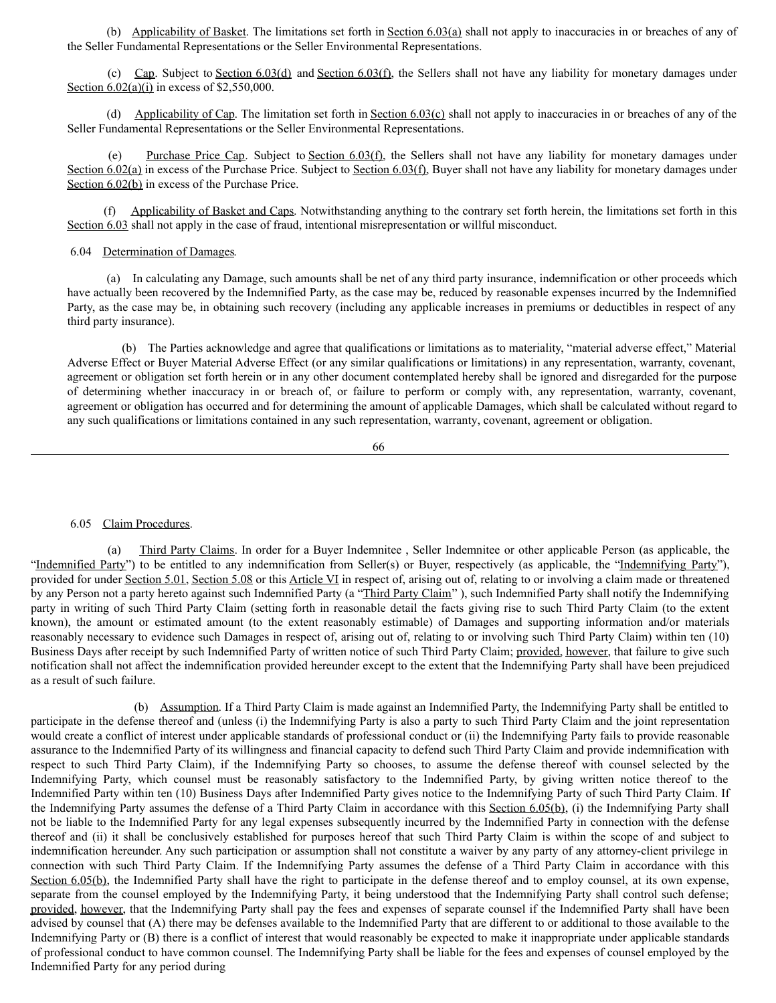(b) Applicability of Basket. The limitations set forth in Section 6.03(a) shall not apply to inaccuracies in or breaches of any of the Seller Fundamental Representations or the Seller Environmental Representations.

(c) Cap. Subject to Section 6.03(d) and Section 6.03(f), the Sellers shall not have any liability for monetary damages under Section 6.02(a)(i) in excess of \$2,550,000.

(d) Applicability of Cap. The limitation set forth in Section 6.03(c) shall not apply to inaccuracies in or breaches of any of the Seller Fundamental Representations or the Seller Environmental Representations.

Purchase Price Cap. Subject to Section 6.03(f), the Sellers shall not have any liability for monetary damages under Section 6.02(a) in excess of the Purchase Price. Subject to Section 6.03(f), Buyer shall not have any liability for monetary damages under Section 6.02(b) in excess of the Purchase Price.

(f) Applicability of Basket and Caps. Notwithstanding anything to the contrary set forth herein, the limitations set forth in this Section 6.03 shall not apply in the case of fraud, intentional misrepresentation or willful misconduct.

# 6.04 Determination of Damages.

(a) In calculating any Damage, such amounts shall be net of any third party insurance, indemnification or other proceeds which have actually been recovered by the Indemnified Party, as the case may be, reduced by reasonable expenses incurred by the Indemnified Party, as the case may be, in obtaining such recovery (including any applicable increases in premiums or deductibles in respect of any third party insurance).

(b) The Parties acknowledge and agree that qualifications or limitations as to materiality, "material adverse effect," Material Adverse Effect or Buyer Material Adverse Effect (or any similar qualifications or limitations) in any representation, warranty, covenant, agreement or obligation set forth herein or in any other document contemplated hereby shall be ignored and disregarded for the purpose of determining whether inaccuracy in or breach of, or failure to perform or comply with, any representation, warranty, covenant, agreement or obligation has occurred and for determining the amount of applicable Damages, which shall be calculated without regard to any such qualifications or limitations contained in any such representation, warranty, covenant, agreement or obligation.

66

6.05 Claim Procedures.

(a) Third Party Claims. In order for a Buyer Indemnitee , Seller Indemnitee or other applicable Person (as applicable, the "Indemnified Party") to be entitled to any indemnification from Seller(s) or Buyer, respectively (as applicable, the "Indemnifying Party"), provided for under Section 5.01, Section 5.08 or this Article VI in respect of, arising out of, relating to or involving a claim made or threatened by any Person not a party hereto against such Indemnified Party (a "Third Party Claim"), such Indemnified Party shall notify the Indemnifying party in writing of such Third Party Claim (setting forth in reasonable detail the facts giving rise to such Third Party Claim (to the extent known), the amount or estimated amount (to the extent reasonably estimable) of Damages and supporting information and/or materials reasonably necessary to evidence such Damages in respect of, arising out of, relating to or involving such Third Party Claim) within ten (10) Business Days after receipt by such Indemnified Party of written notice of such Third Party Claim; provided, however, that failure to give such notification shall not affect the indemnification provided hereunder except to the extent that the Indemnifying Party shall have been prejudiced as a result of such failure.

(b) Assumption. If a Third Party Claim is made against an Indemnified Party, the Indemnifying Party shall be entitled to participate in the defense thereof and (unless (i) the Indemnifying Party is also a party to such Third Party Claim and the joint representation would create a conflict of interest under applicable standards of professional conduct or (ii) the Indemnifying Party fails to provide reasonable assurance to the Indemnified Party of its willingness and financial capacity to defend such Third Party Claim and provide indemnification with respect to such Third Party Claim), if the Indemnifying Party so chooses, to assume the defense thereof with counsel selected by the Indemnifying Party, which counsel must be reasonably satisfactory to the Indemnified Party, by giving written notice thereof to the Indemnified Party within ten (10) Business Days after Indemnified Party gives notice to the Indemnifying Party of such Third Party Claim. If the Indemnifying Party assumes the defense of a Third Party Claim in accordance with this Section 6.05(b), (i) the Indemnifying Party shall not be liable to the Indemnified Party for any legal expenses subsequently incurred by the Indemnified Party in connection with the defense thereof and (ii) it shall be conclusively established for purposes hereof that such Third Party Claim is within the scope of and subject to indemnification hereunder. Any such participation or assumption shall not constitute a waiver by any party of any attorney-client privilege in connection with such Third Party Claim. If the Indemnifying Party assumes the defense of a Third Party Claim in accordance with this Section 6.05(b), the Indemnified Party shall have the right to participate in the defense thereof and to employ counsel, at its own expense, separate from the counsel employed by the Indemnifying Party, it being understood that the Indemnifying Party shall control such defense; provided, however, that the Indemnifying Party shall pay the fees and expenses of separate counsel if the Indemnified Party shall have been advised by counsel that (A) there may be defenses available to the Indemnified Party that are different to or additional to those available to the Indemnifying Party or (B) there is a conflict of interest that would reasonably be expected to make it inappropriate under applicable standards of professional conduct to have common counsel. The Indemnifying Party shall be liable for the fees and expenses of counsel employed by the Indemnified Party for any period during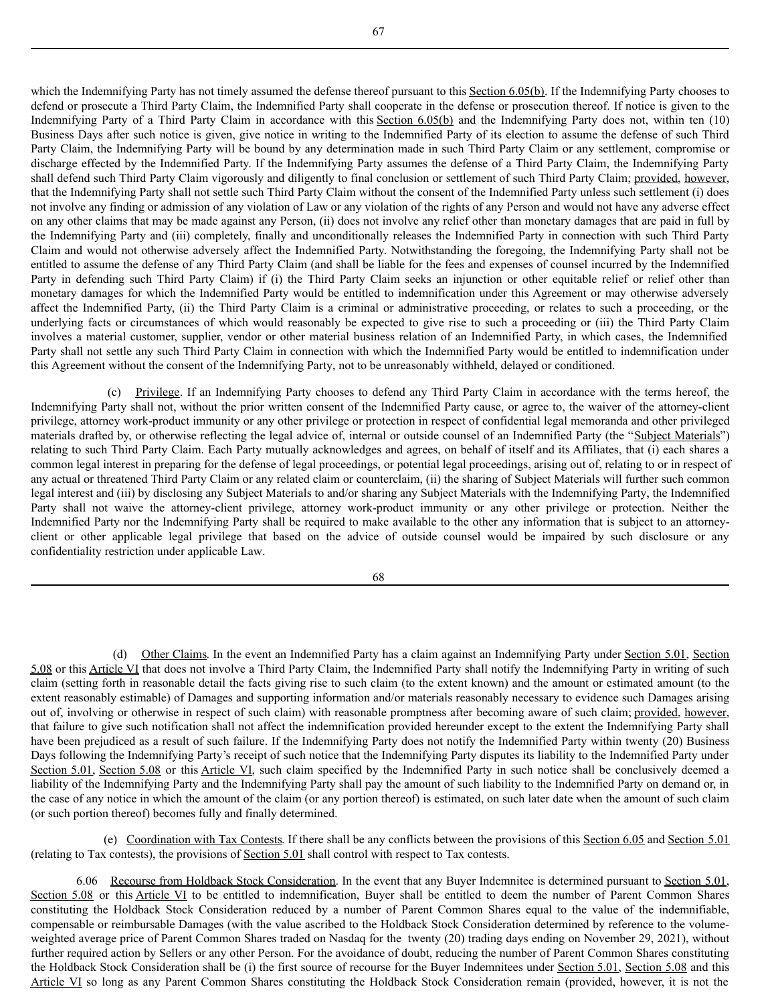67

which the Indemnifying Party has not timely assumed the defense thereof pursuant to this Section 6.05(b). If the Indemnifying Party chooses to defend or prosecute a Third Party Claim, the Indemnified Party shall cooperate in the defense or prosecution thereof. If notice is given to the Indemnifying Party of a Third Party Claim in accordance with this Section 6.05(b) and the Indemnifying Party does not, within ten (10) Business Days after such notice is given, give notice in writing to the Indemnified Party of its election to assume the defense of such Third Party Claim, the Indemnifying Party will be bound by any determination made in such Third Party Claim or any settlement, compromise or discharge effected by the Indemnified Party. If the Indemnifying Party assumes the defense of a Third Party Claim, the Indemnifying Party shall defend such Third Party Claim vigorously and diligently to final conclusion or settlement of such Third Party Claim; provided, however, that the Indemnifying Party shall not settle such Third Party Claim without the consent of the Indemnified Party unless such settlement (i) does not involve any finding or admission of any violation of Law or any violation of the rights of any Person and would not have any adverse effect on any other claims that may be made against any Person, (ii) does not involve any relief other than monetary damages that are paid in full by the Indemnifying Party and (iii) completely, finally and unconditionally releases the Indemnified Party in connection with such Third Party Claim and would not otherwise adversely affect the Indemnified Party. Notwithstanding the foregoing, the Indemnifying Party shall not be entitled to assume the defense of any Third Party Claim (and shall be liable for the fees and expenses of counsel incurred by the Indemnified Party in defending such Third Party Claim) if (i) the Third Party Claim seeks an injunction or other equitable relief or relief other than monetary damages for which the Indemnified Party would be entitled to indemnification under this Agreement or may otherwise adversely affect the Indemnified Party, (ii) the Third Party Claim is a criminal or administrative proceeding, or relates to such a proceeding, or the underlying facts or circumstances of which would reasonably be expected to give rise to such a proceeding or (iii) the Third Party Claim involves a material customer, supplier, vendor or other material business relation of an Indemnified Party, in which cases, the Indemnified Party shall not settle any such Third Party Claim in connection with which the Indemnified Party would be entitled to indemnification under this Agreement without the consent of the Indemnifying Party, not to be unreasonably withheld, delayed or conditioned.

(c) Privilege. If an Indemnifying Party chooses to defend any Third Party Claim in accordance with the terms hereof, the Indemnifying Party shall not, without the prior written consent of the Indemnified Party cause, or agree to, the waiver of the attorney-client privilege, attorney work-product immunity or any other privilege or protection in respect of confidential legal memoranda and other privileged materials drafted by, or otherwise reflecting the legal advice of, internal or outside counsel of an Indemnified Party (the "Subject Materials") relating to such Third Party Claim. Each Party mutually acknowledges and agrees, on behalf of itself and its Affiliates, that (i) each shares a common legal interest in preparing for the defense of legal proceedings, or potential legal proceedings, arising out of, relating to or in respect of any actual or threatened Third Party Claim or any related claim or counterclaim, (ii) the sharing of Subject Materials will further such common legal interest and (iii) by disclosing any Subject Materials to and/or sharing any Subject Materials with the Indemnifying Party, the Indemnified Party shall not waive the attorney-client privilege, attorney work-product immunity or any other privilege or protection. Neither the Indemnified Party nor the Indemnifying Party shall be required to make available to the other any information that is subject to an attorneyclient or other applicable legal privilege that based on the advice of outside counsel would be impaired by such disclosure or any confidentiality restriction under applicable Law.

68

(d) Other Claims. In the event an Indemnified Party has a claim against an Indemnifying Party under Section 5.01, Section 5.08 or this Article VI that does not involve a Third Party Claim, the Indemnified Party shall notify the Indemnifying Party in writing of such claim (setting forth in reasonable detail the facts giving rise to such claim (to the extent known) and the amount or estimated amount (to the extent reasonably estimable) of Damages and supporting information and/or materials reasonably necessary to evidence such Damages arising out of, involving or otherwise in respect of such claim) with reasonable promptness after becoming aware of such claim; provided, however, that failure to give such notification shall not affect the indemnification provided hereunder except to the extent the Indemnifying Party shall have been prejudiced as a result of such failure. If the Indemnifying Party does not notify the Indemnified Party within twenty (20) Business Days following the Indemnifying Party's receipt of such notice that the Indemnifying Party disputes its liability to the Indemnified Party under Section 5.01, Section 5.08 or this Article VI, such claim specified by the Indemnified Party in such notice shall be conclusively deemed a liability of the Indemnifying Party and the Indemnifying Party shall pay the amount of such liability to the Indemnified Party on demand or, in the case of any notice in which the amount of the claim (or any portion thereof) is estimated, on such later date when the amount of such claim (or such portion thereof) becomes fully and finally determined.

(e) Coordination with Tax Contests. If there shall be any conflicts between the provisions of this Section 6.05 and Section 5.01 (relating to Tax contests), the provisions of Section 5.01 shall control with respect to Tax contests.

6.06 Recourse from Holdback Stock Consideration. In the event that any Buyer Indemnitee is determined pursuant to Section 5.01, Section 5.08 or this Article VI to be entitled to indemnification, Buyer shall be entitled to deem the number of Parent Common Shares constituting the Holdback Stock Consideration reduced by a number of Parent Common Shares equal to the value of the indemnifiable, compensable or reimbursable Damages (with the value ascribed to the Holdback Stock Consideration determined by reference to the volumeweighted average price of Parent Common Shares traded on Nasdaq for the twenty (20) trading days ending on November 29, 2021), without further required action by Sellers or any other Person. For the avoidance of doubt, reducing the number of Parent Common Shares constituting the Holdback Stock Consideration shall be (i) the first source of recourse for the Buyer Indemnitees under Section 5.01, Section 5.08 and this Article VI so long as any Parent Common Shares constituting the Holdback Stock Consideration remain (provided, however, it is not the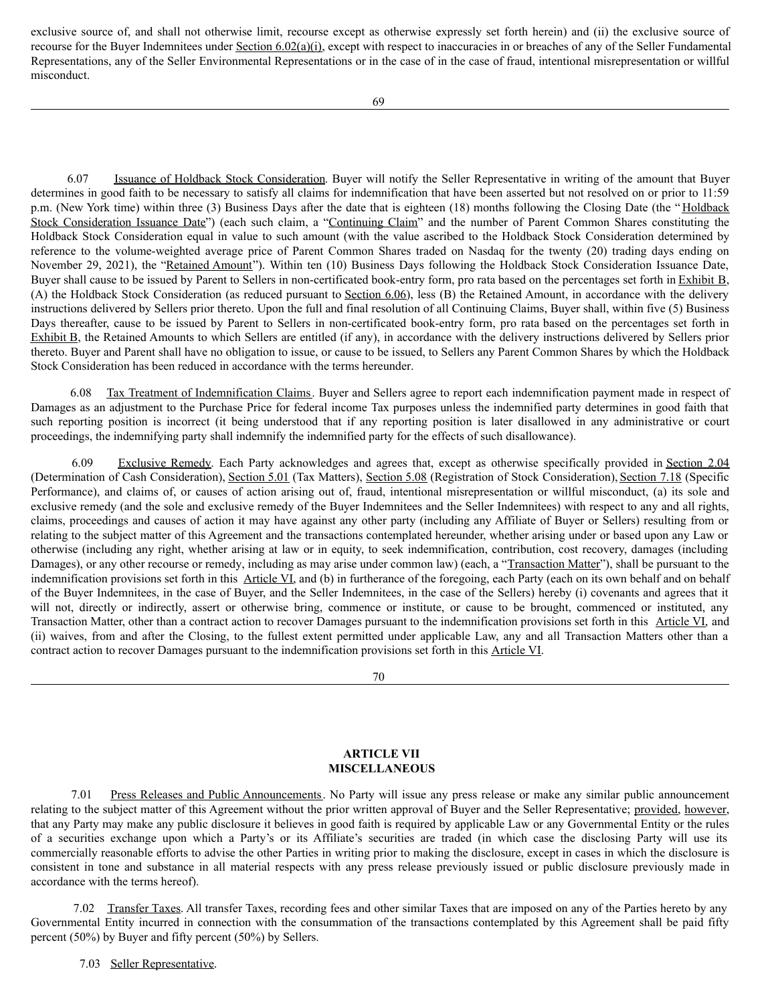exclusive source of, and shall not otherwise limit, recourse except as otherwise expressly set forth herein) and (ii) the exclusive source of recourse for the Buyer Indemnitees under Section 6.02(a)(i), except with respect to inaccuracies in or breaches of any of the Seller Fundamental Representations, any of the Seller Environmental Representations or in the case of in the case of fraud, intentional misrepresentation or willful misconduct.

6.07 Issuance of Holdback Stock Consideration. Buyer will notify the Seller Representative in writing of the amount that Buyer determines in good faith to be necessary to satisfy all claims for indemnification that have been asserted but not resolved on or prior to 11:59 p.m. (New York time) within three (3) Business Days after the date that is eighteen (18) months following the Closing Date (the " Holdback Stock Consideration Issuance Date") (each such claim, a "Continuing Claim" and the number of Parent Common Shares constituting the Holdback Stock Consideration equal in value to such amount (with the value ascribed to the Holdback Stock Consideration determined by reference to the volume-weighted average price of Parent Common Shares traded on Nasdaq for the twenty (20) trading days ending on November 29, 2021), the "Retained Amount"). Within ten (10) Business Days following the Holdback Stock Consideration Issuance Date, Buyer shall cause to be issued by Parent to Sellers in non-certificated book-entry form, pro rata based on the percentages set forth in Exhibit B, (A) the Holdback Stock Consideration (as reduced pursuant to Section 6.06), less (B) the Retained Amount, in accordance with the delivery instructions delivered by Sellers prior thereto. Upon the full and final resolution of all Continuing Claims, Buyer shall, within five (5) Business Days thereafter, cause to be issued by Parent to Sellers in non-certificated book-entry form, pro rata based on the percentages set forth in Exhibit B, the Retained Amounts to which Sellers are entitled (if any), in accordance with the delivery instructions delivered by Sellers prior thereto. Buyer and Parent shall have no obligation to issue, or cause to be issued, to Sellers any Parent Common Shares by which the Holdback Stock Consideration has been reduced in accordance with the terms hereunder.

6.08 Tax Treatment of Indemnification Claims. Buyer and Sellers agree to report each indemnification payment made in respect of Damages as an adjustment to the Purchase Price for federal income Tax purposes unless the indemnified party determines in good faith that such reporting position is incorrect (it being understood that if any reporting position is later disallowed in any administrative or court proceedings, the indemnifying party shall indemnify the indemnified party for the effects of such disallowance).

6.09 Exclusive Remedy. Each Party acknowledges and agrees that, except as otherwise specifically provided in Section 2.04 (Determination of Cash Consideration), Section 5.01 (Tax Matters), Section 5.08 (Registration of Stock Consideration), Section 7.18 (Specific Performance), and claims of, or causes of action arising out of, fraud, intentional misrepresentation or willful misconduct, (a) its sole and exclusive remedy (and the sole and exclusive remedy of the Buyer Indemnitees and the Seller Indemnitees) with respect to any and all rights, claims, proceedings and causes of action it may have against any other party (including any Affiliate of Buyer or Sellers) resulting from or relating to the subject matter of this Agreement and the transactions contemplated hereunder, whether arising under or based upon any Law or otherwise (including any right, whether arising at law or in equity, to seek indemnification, contribution, cost recovery, damages (including Damages), or any other recourse or remedy, including as may arise under common law) (each, a "Transaction Matter"), shall be pursuant to the indemnification provisions set forth in this Article VI, and (b) in furtherance of the foregoing, each Party (each on its own behalf and on behalf of the Buyer Indemnitees, in the case of Buyer, and the Seller Indemnitees, in the case of the Sellers) hereby (i) covenants and agrees that it will not, directly or indirectly, assert or otherwise bring, commence or institute, or cause to be brought, commenced or instituted, any Transaction Matter, other than a contract action to recover Damages pursuant to the indemnification provisions set forth in this Article VI, and (ii) waives, from and after the Closing, to the fullest extent permitted under applicable Law, any and all Transaction Matters other than a contract action to recover Damages pursuant to the indemnification provisions set forth in this Article VI.

70

# **ARTICLE VII MISCELLANEOUS**

7.01 Press Releases and Public Announcements. No Party will issue any press release or make any similar public announcement relating to the subject matter of this Agreement without the prior written approval of Buyer and the Seller Representative; provided, however, that any Party may make any public disclosure it believes in good faith is required by applicable Law or any Governmental Entity or the rules of a securities exchange upon which a Party's or its Affiliate's securities are traded (in which case the disclosing Party will use its commercially reasonable efforts to advise the other Parties in writing prior to making the disclosure, except in cases in which the disclosure is consistent in tone and substance in all material respects with any press release previously issued or public disclosure previously made in accordance with the terms hereof).

7.02 Transfer Taxes. All transfer Taxes, recording fees and other similar Taxes that are imposed on any of the Parties hereto by any Governmental Entity incurred in connection with the consummation of the transactions contemplated by this Agreement shall be paid fifty percent (50%) by Buyer and fifty percent (50%) by Sellers.

7.03 Seller Representative.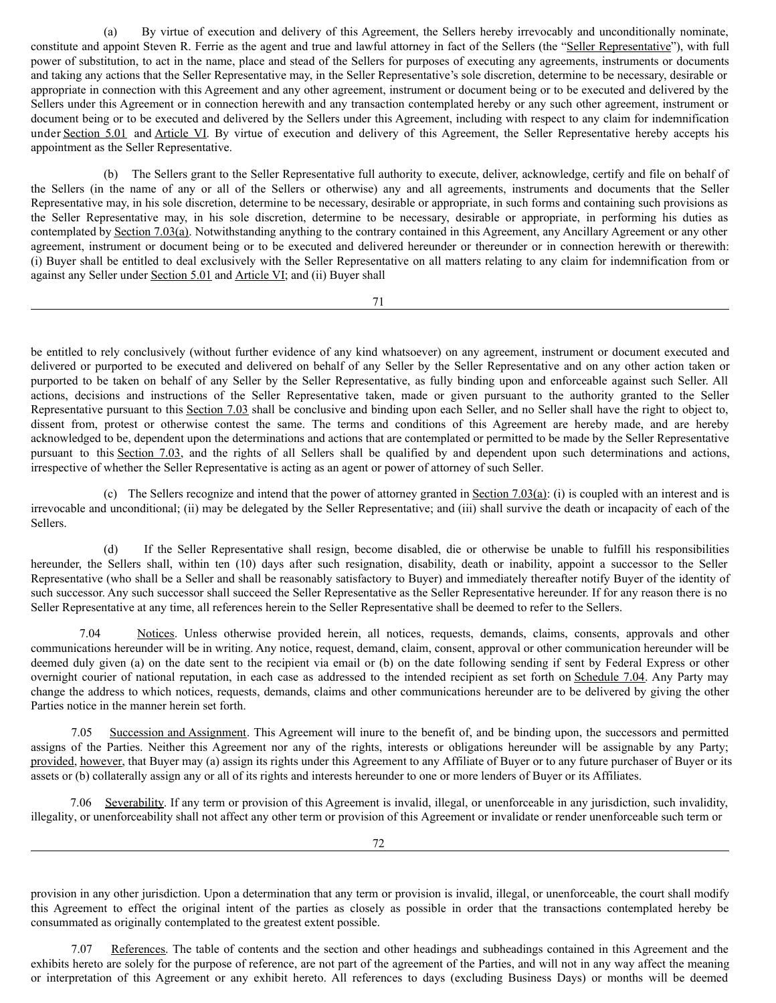(a) By virtue of execution and delivery of this Agreement, the Sellers hereby irrevocably and unconditionally nominate, constitute and appoint Steven R. Ferrie as the agent and true and lawful attorney in fact of the Sellers (the "Seller Representative"), with full power of substitution, to act in the name, place and stead of the Sellers for purposes of executing any agreements, instruments or documents and taking any actions that the Seller Representative may, in the Seller Representative's sole discretion, determine to be necessary, desirable or appropriate in connection with this Agreement and any other agreement, instrument or document being or to be executed and delivered by the Sellers under this Agreement or in connection herewith and any transaction contemplated hereby or any such other agreement, instrument or document being or to be executed and delivered by the Sellers under this Agreement, including with respect to any claim for indemnification under Section 5.01 and Article VI. By virtue of execution and delivery of this Agreement, the Seller Representative hereby accepts his appointment as the Seller Representative.

(b) The Sellers grant to the Seller Representative full authority to execute, deliver, acknowledge, certify and file on behalf of the Sellers (in the name of any or all of the Sellers or otherwise) any and all agreements, instruments and documents that the Seller Representative may, in his sole discretion, determine to be necessary, desirable or appropriate, in such forms and containing such provisions as the Seller Representative may, in his sole discretion, determine to be necessary, desirable or appropriate, in performing his duties as contemplated by Section 7.03(a). Notwithstanding anything to the contrary contained in this Agreement, any Ancillary Agreement or any other agreement, instrument or document being or to be executed and delivered hereunder or thereunder or in connection herewith or therewith: (i) Buyer shall be entitled to deal exclusively with the Seller Representative on all matters relating to any claim for indemnification from or against any Seller under Section 5.01 and Article VI; and (ii) Buyer shall

71

be entitled to rely conclusively (without further evidence of any kind whatsoever) on any agreement, instrument or document executed and delivered or purported to be executed and delivered on behalf of any Seller by the Seller Representative and on any other action taken or purported to be taken on behalf of any Seller by the Seller Representative, as fully binding upon and enforceable against such Seller. All actions, decisions and instructions of the Seller Representative taken, made or given pursuant to the authority granted to the Seller Representative pursuant to this Section 7.03 shall be conclusive and binding upon each Seller, and no Seller shall have the right to object to, dissent from, protest or otherwise contest the same. The terms and conditions of this Agreement are hereby made, and are hereby acknowledged to be, dependent upon the determinations and actions that are contemplated or permitted to be made by the Seller Representative pursuant to this Section 7.03, and the rights of all Sellers shall be qualified by and dependent upon such determinations and actions, irrespective of whether the Seller Representative is acting as an agent or power of attorney of such Seller.

(c) The Sellers recognize and intend that the power of attorney granted in Section 7.03(a): (i) is coupled with an interest and is irrevocable and unconditional; (ii) may be delegated by the Seller Representative; and (iii) shall survive the death or incapacity of each of the Sellers.

(d) If the Seller Representative shall resign, become disabled, die or otherwise be unable to fulfill his responsibilities hereunder, the Sellers shall, within ten (10) days after such resignation, disability, death or inability, appoint a successor to the Seller Representative (who shall be a Seller and shall be reasonably satisfactory to Buyer) and immediately thereafter notify Buyer of the identity of such successor. Any such successor shall succeed the Seller Representative as the Seller Representative hereunder. If for any reason there is no Seller Representative at any time, all references herein to the Seller Representative shall be deemed to refer to the Sellers.

7.04 Notices. Unless otherwise provided herein, all notices, requests, demands, claims, consents, approvals and other communications hereunder will be in writing. Any notice, request, demand, claim, consent, approval or other communication hereunder will be deemed duly given (a) on the date sent to the recipient via email or (b) on the date following sending if sent by Federal Express or other overnight courier of national reputation, in each case as addressed to the intended recipient as set forth on Schedule 7.04. Any Party may change the address to which notices, requests, demands, claims and other communications hereunder are to be delivered by giving the other Parties notice in the manner herein set forth.

7.05 Succession and Assignment. This Agreement will inure to the benefit of, and be binding upon, the successors and permitted assigns of the Parties. Neither this Agreement nor any of the rights, interests or obligations hereunder will be assignable by any Party; provided, however, that Buyer may (a) assign its rights under this Agreement to any Affiliate of Buyer or to any future purchaser of Buyer or its assets or (b) collaterally assign any or all of its rights and interests hereunder to one or more lenders of Buyer or its Affiliates.

7.06 Severability. If any term or provision of this Agreement is invalid, illegal, or unenforceable in any jurisdiction, such invalidity, illegality, or unenforceability shall not affect any other term or provision of this Agreement or invalidate or render unenforceable such term or

provision in any other jurisdiction. Upon a determination that any term or provision is invalid, illegal, or unenforceable, the court shall modify this Agreement to effect the original intent of the parties as closely as possible in order that the transactions contemplated hereby be consummated as originally contemplated to the greatest extent possible.

References. The table of contents and the section and other headings and subheadings contained in this Agreement and the exhibits hereto are solely for the purpose of reference, are not part of the agreement of the Parties, and will not in any way affect the meaning or interpretation of this Agreement or any exhibit hereto. All references to days (excluding Business Days) or months will be deemed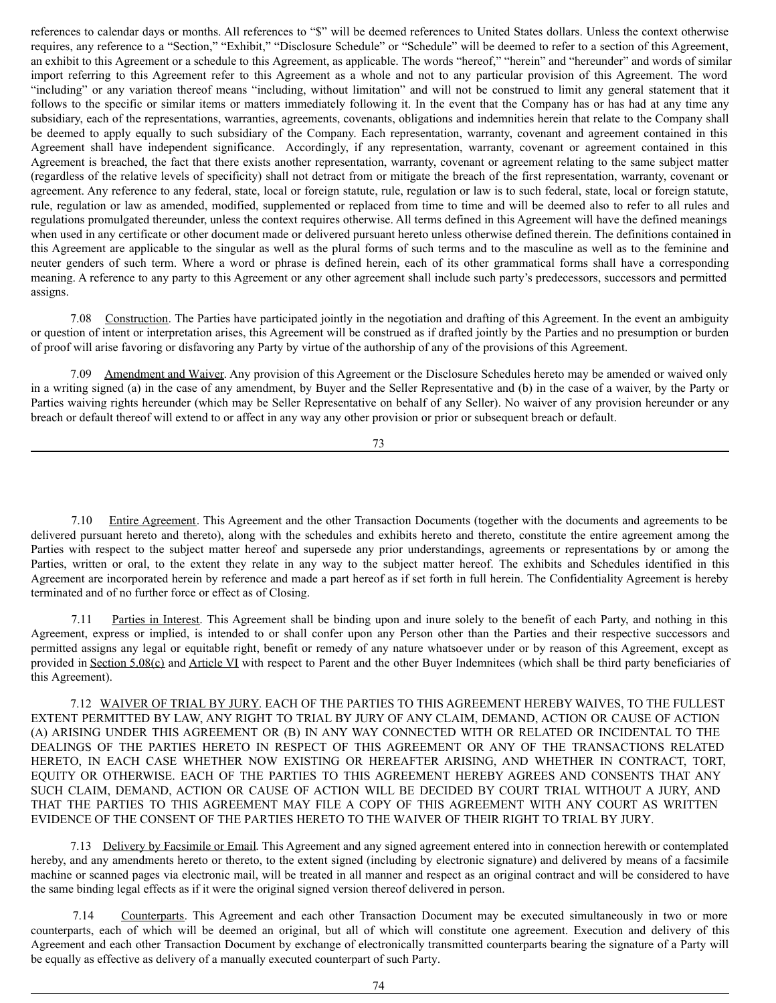references to calendar days or months. All references to "\$" will be deemed references to United States dollars. Unless the context otherwise requires, any reference to a "Section," "Exhibit," "Disclosure Schedule" or "Schedule" will be deemed to refer to a section of this Agreement, an exhibit to this Agreement or a schedule to this Agreement, as applicable. The words "hereof," "herein" and "hereunder" and words of similar import referring to this Agreement refer to this Agreement as a whole and not to any particular provision of this Agreement. The word "including" or any variation thereof means "including, without limitation" and will not be construed to limit any general statement that it follows to the specific or similar items or matters immediately following it. In the event that the Company has or has had at any time any subsidiary, each of the representations, warranties, agreements, covenants, obligations and indemnities herein that relate to the Company shall be deemed to apply equally to such subsidiary of the Company. Each representation, warranty, covenant and agreement contained in this Agreement shall have independent significance. Accordingly, if any representation, warranty, covenant or agreement contained in this Agreement is breached, the fact that there exists another representation, warranty, covenant or agreement relating to the same subject matter (regardless of the relative levels of specificity) shall not detract from or mitigate the breach of the first representation, warranty, covenant or agreement. Any reference to any federal, state, local or foreign statute, rule, regulation or law is to such federal, state, local or foreign statute, rule, regulation or law as amended, modified, supplemented or replaced from time to time and will be deemed also to refer to all rules and regulations promulgated thereunder, unless the context requires otherwise. All terms defined in this Agreement will have the defined meanings when used in any certificate or other document made or delivered pursuant hereto unless otherwise defined therein. The definitions contained in this Agreement are applicable to the singular as well as the plural forms of such terms and to the masculine as well as to the feminine and neuter genders of such term. Where a word or phrase is defined herein, each of its other grammatical forms shall have a corresponding meaning. A reference to any party to this Agreement or any other agreement shall include such party's predecessors, successors and permitted assigns.

7.08 Construction. The Parties have participated jointly in the negotiation and drafting of this Agreement. In the event an ambiguity or question of intent or interpretation arises, this Agreement will be construed as if drafted jointly by the Parties and no presumption or burden of proof will arise favoring or disfavoring any Party by virtue of the authorship of any of the provisions of this Agreement.

7.09 Amendment and Waiver. Any provision of this Agreement or the Disclosure Schedules hereto may be amended or waived only in a writing signed (a) in the case of any amendment, by Buyer and the Seller Representative and (b) in the case of a waiver, by the Party or Parties waiving rights hereunder (which may be Seller Representative on behalf of any Seller). No waiver of any provision hereunder or any breach or default thereof will extend to or affect in any way any other provision or prior or subsequent breach or default.

73

7.10 Entire Agreement. This Agreement and the other Transaction Documents (together with the documents and agreements to be delivered pursuant hereto and thereto), along with the schedules and exhibits hereto and thereto, constitute the entire agreement among the Parties with respect to the subject matter hereof and supersede any prior understandings, agreements or representations by or among the Parties, written or oral, to the extent they relate in any way to the subject matter hereof. The exhibits and Schedules identified in this Agreement are incorporated herein by reference and made a part hereof as if set forth in full herein. The Confidentiality Agreement is hereby terminated and of no further force or effect as of Closing.

7.11 Parties in Interest. This Agreement shall be binding upon and inure solely to the benefit of each Party, and nothing in this Agreement, express or implied, is intended to or shall confer upon any Person other than the Parties and their respective successors and permitted assigns any legal or equitable right, benefit or remedy of any nature whatsoever under or by reason of this Agreement, except as provided in Section  $5.08(c)$  and Article VI with respect to Parent and the other Buyer Indemnitees (which shall be third party beneficiaries of this Agreement).

7.12 WAIVER OF TRIAL BY JURY. EACH OF THE PARTIES TO THIS AGREEMENT HEREBY WAIVES, TO THE FULLEST EXTENT PERMITTED BY LAW, ANY RIGHT TO TRIAL BY JURY OF ANY CLAIM, DEMAND, ACTION OR CAUSE OF ACTION (A) ARISING UNDER THIS AGREEMENT OR (B) IN ANY WAY CONNECTED WITH OR RELATED OR INCIDENTAL TO THE DEALINGS OF THE PARTIES HERETO IN RESPECT OF THIS AGREEMENT OR ANY OF THE TRANSACTIONS RELATED HERETO, IN EACH CASE WHETHER NOW EXISTING OR HEREAFTER ARISING, AND WHETHER IN CONTRACT, TORT, EQUITY OR OTHERWISE. EACH OF THE PARTIES TO THIS AGREEMENT HEREBY AGREES AND CONSENTS THAT ANY SUCH CLAIM, DEMAND, ACTION OR CAUSE OF ACTION WILL BE DECIDED BY COURT TRIAL WITHOUT A JURY, AND THAT THE PARTIES TO THIS AGREEMENT MAY FILE A COPY OF THIS AGREEMENT WITH ANY COURT AS WRITTEN EVIDENCE OF THE CONSENT OF THE PARTIES HERETO TO THE WAIVER OF THEIR RIGHT TO TRIAL BY JURY.

7.13 Delivery by Facsimile or Email. This Agreement and any signed agreement entered into in connection herewith or contemplated hereby, and any amendments hereto or thereto, to the extent signed (including by electronic signature) and delivered by means of a facsimile machine or scanned pages via electronic mail, will be treated in all manner and respect as an original contract and will be considered to have the same binding legal effects as if it were the original signed version thereof delivered in person.

7.14 Counterparts. This Agreement and each other Transaction Document may be executed simultaneously in two or more counterparts, each of which will be deemed an original, but all of which will constitute one agreement. Execution and delivery of this Agreement and each other Transaction Document by exchange of electronically transmitted counterparts bearing the signature of a Party will be equally as effective as delivery of a manually executed counterpart of such Party.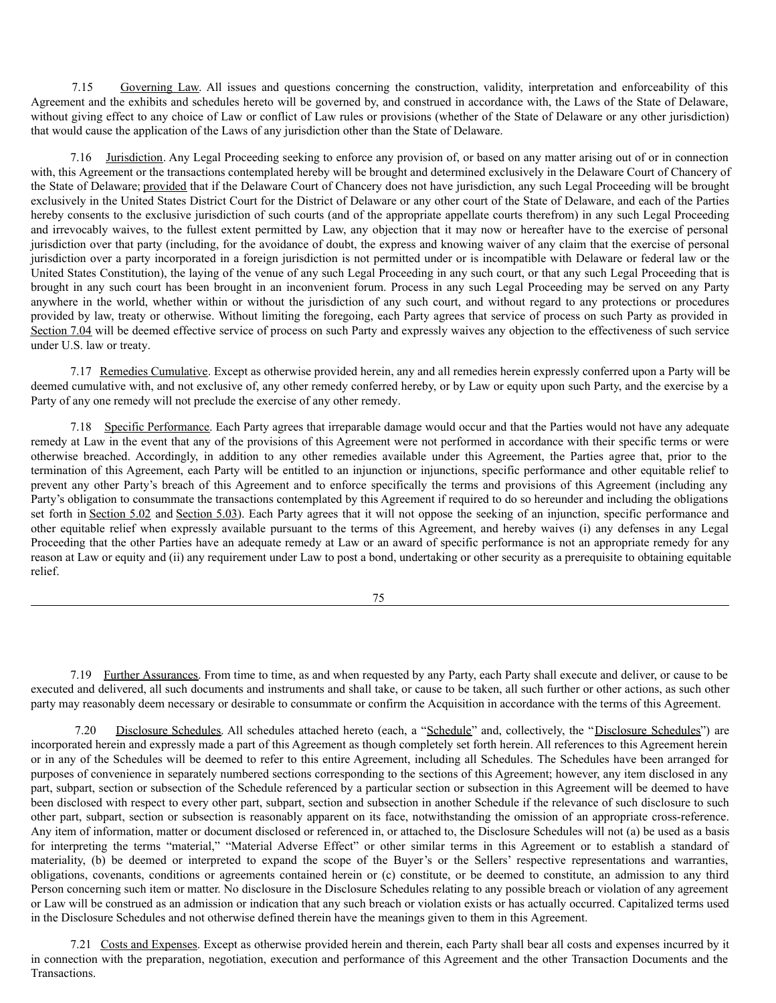7.15 Governing Law. All issues and questions concerning the construction, validity, interpretation and enforceability of this Agreement and the exhibits and schedules hereto will be governed by, and construed in accordance with, the Laws of the State of Delaware, without giving effect to any choice of Law or conflict of Law rules or provisions (whether of the State of Delaware or any other jurisdiction) that would cause the application of the Laws of any jurisdiction other than the State of Delaware.

7.16 Jurisdiction. Any Legal Proceeding seeking to enforce any provision of, or based on any matter arising out of or in connection with, this Agreement or the transactions contemplated hereby will be brought and determined exclusively in the Delaware Court of Chancery of the State of Delaware; provided that if the Delaware Court of Chancery does not have jurisdiction, any such Legal Proceeding will be brought exclusively in the United States District Court for the District of Delaware or any other court of the State of Delaware, and each of the Parties hereby consents to the exclusive jurisdiction of such courts (and of the appropriate appellate courts therefrom) in any such Legal Proceeding and irrevocably waives, to the fullest extent permitted by Law, any objection that it may now or hereafter have to the exercise of personal jurisdiction over that party (including, for the avoidance of doubt, the express and knowing waiver of any claim that the exercise of personal jurisdiction over a party incorporated in a foreign jurisdiction is not permitted under or is incompatible with Delaware or federal law or the United States Constitution), the laying of the venue of any such Legal Proceeding in any such court, or that any such Legal Proceeding that is brought in any such court has been brought in an inconvenient forum. Process in any such Legal Proceeding may be served on any Party anywhere in the world, whether within or without the jurisdiction of any such court, and without regard to any protections or procedures provided by law, treaty or otherwise. Without limiting the foregoing, each Party agrees that service of process on such Party as provided in Section 7.04 will be deemed effective service of process on such Party and expressly waives any objection to the effectiveness of such service under U.S. law or treaty.

7.17 Remedies Cumulative. Except as otherwise provided herein, any and all remedies herein expressly conferred upon a Party will be deemed cumulative with, and not exclusive of, any other remedy conferred hereby, or by Law or equity upon such Party, and the exercise by a Party of any one remedy will not preclude the exercise of any other remedy.

7.18 Specific Performance. Each Party agrees that irreparable damage would occur and that the Parties would not have any adequate remedy at Law in the event that any of the provisions of this Agreement were not performed in accordance with their specific terms or were otherwise breached. Accordingly, in addition to any other remedies available under this Agreement, the Parties agree that, prior to the termination of this Agreement, each Party will be entitled to an injunction or injunctions, specific performance and other equitable relief to prevent any other Party's breach of this Agreement and to enforce specifically the terms and provisions of this Agreement (including any Party's obligation to consummate the transactions contemplated by this Agreement if required to do so hereunder and including the obligations set forth in Section 5.02 and Section 5.03). Each Party agrees that it will not oppose the seeking of an injunction, specific performance and other equitable relief when expressly available pursuant to the terms of this Agreement, and hereby waives (i) any defenses in any Legal Proceeding that the other Parties have an adequate remedy at Law or an award of specific performance is not an appropriate remedy for any reason at Law or equity and (ii) any requirement under Law to post a bond, undertaking or other security as a prerequisite to obtaining equitable relief.

75

7.19 Further Assurances. From time to time, as and when requested by any Party, each Party shall execute and deliver, or cause to be executed and delivered, all such documents and instruments and shall take, or cause to be taken, all such further or other actions, as such other party may reasonably deem necessary or desirable to consummate or confirm the Acquisition in accordance with the terms of this Agreement.

7.20 Disclosure Schedules. All schedules attached hereto (each, a "Schedule" and, collectively, the "Disclosure Schedules") are incorporated herein and expressly made a part of this Agreement as though completely set forth herein. All references to this Agreement herein or in any of the Schedules will be deemed to refer to this entire Agreement, including all Schedules. The Schedules have been arranged for purposes of convenience in separately numbered sections corresponding to the sections of this Agreement; however, any item disclosed in any part, subpart, section or subsection of the Schedule referenced by a particular section or subsection in this Agreement will be deemed to have been disclosed with respect to every other part, subpart, section and subsection in another Schedule if the relevance of such disclosure to such other part, subpart, section or subsection is reasonably apparent on its face, notwithstanding the omission of an appropriate cross-reference. Any item of information, matter or document disclosed or referenced in, or attached to, the Disclosure Schedules will not (a) be used as a basis for interpreting the terms "material," "Material Adverse Effect" or other similar terms in this Agreement or to establish a standard of materiality, (b) be deemed or interpreted to expand the scope of the Buyer's or the Sellers' respective representations and warranties, obligations, covenants, conditions or agreements contained herein or (c) constitute, or be deemed to constitute, an admission to any third Person concerning such item or matter. No disclosure in the Disclosure Schedules relating to any possible breach or violation of any agreement or Law will be construed as an admission or indication that any such breach or violation exists or has actually occurred. Capitalized terms used in the Disclosure Schedules and not otherwise defined therein have the meanings given to them in this Agreement.

7.21 Costs and Expenses. Except as otherwise provided herein and therein, each Party shall bear all costs and expenses incurred by it in connection with the preparation, negotiation, execution and performance of this Agreement and the other Transaction Documents and the Transactions.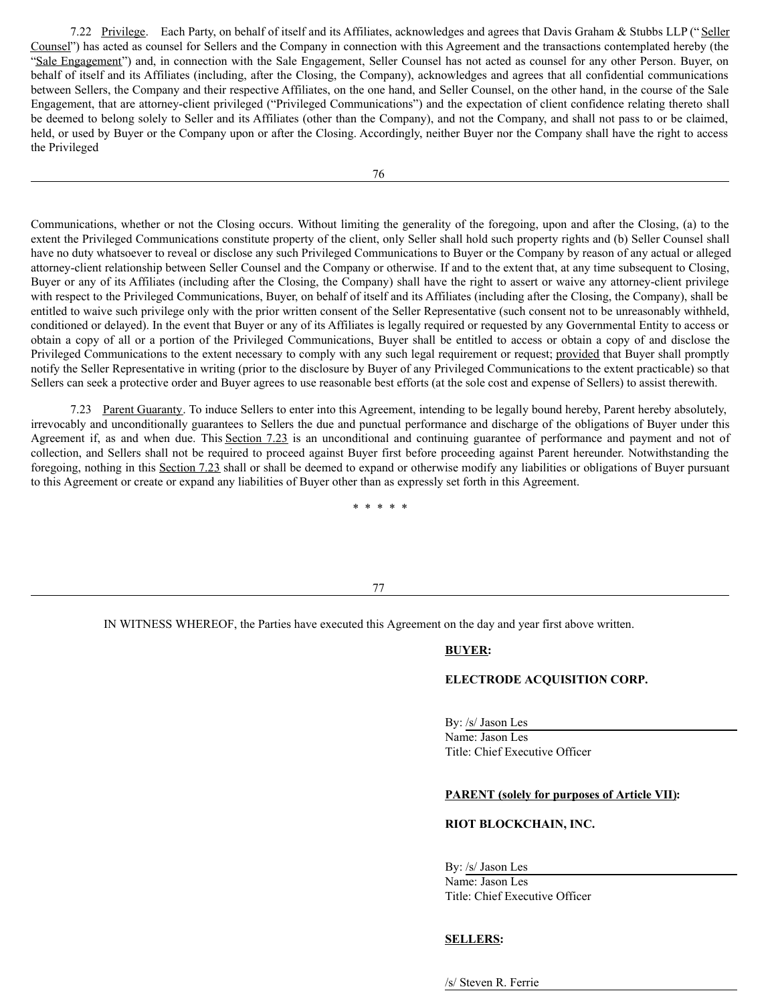7.22 Privilege. Each Party, on behalf of itself and its Affiliates, acknowledges and agrees that Davis Graham & Stubbs LLP ("Seller Counsel") has acted as counsel for Sellers and the Company in connection with this Agreement and the transactions contemplated hereby (the "Sale Engagement") and, in connection with the Sale Engagement, Seller Counsel has not acted as counsel for any other Person. Buyer, on behalf of itself and its Affiliates (including, after the Closing, the Company), acknowledges and agrees that all confidential communications between Sellers, the Company and their respective Affiliates, on the one hand, and Seller Counsel, on the other hand, in the course of the Sale Engagement, that are attorney-client privileged ("Privileged Communications") and the expectation of client confidence relating thereto shall be deemed to belong solely to Seller and its Affiliates (other than the Company), and not the Company, and shall not pass to or be claimed, held, or used by Buyer or the Company upon or after the Closing. Accordingly, neither Buyer nor the Company shall have the right to access the Privileged

Communications, whether or not the Closing occurs. Without limiting the generality of the foregoing, upon and after the Closing, (a) to the extent the Privileged Communications constitute property of the client, only Seller shall hold such property rights and (b) Seller Counsel shall have no duty whatsoever to reveal or disclose any such Privileged Communications to Buyer or the Company by reason of any actual or alleged attorney-client relationship between Seller Counsel and the Company or otherwise. If and to the extent that, at any time subsequent to Closing, Buyer or any of its Affiliates (including after the Closing, the Company) shall have the right to assert or waive any attorney-client privilege with respect to the Privileged Communications, Buyer, on behalf of itself and its Affiliates (including after the Closing, the Company), shall be entitled to waive such privilege only with the prior written consent of the Seller Representative (such consent not to be unreasonably withheld, conditioned or delayed). In the event that Buyer or any of its Affiliates is legally required or requested by any Governmental Entity to access or obtain a copy of all or a portion of the Privileged Communications, Buyer shall be entitled to access or obtain a copy of and disclose the Privileged Communications to the extent necessary to comply with any such legal requirement or request; provided that Buyer shall promptly notify the Seller Representative in writing (prior to the disclosure by Buyer of any Privileged Communications to the extent practicable) so that Sellers can seek a protective order and Buyer agrees to use reasonable best efforts (at the sole cost and expense of Sellers) to assist therewith.

7.23 Parent Guaranty. To induce Sellers to enter into this Agreement, intending to be legally bound hereby, Parent hereby absolutely, irrevocably and unconditionally guarantees to Sellers the due and punctual performance and discharge of the obligations of Buyer under this Agreement if, as and when due. This Section 7.23 is an unconditional and continuing guarantee of performance and payment and not of collection, and Sellers shall not be required to proceed against Buyer first before proceeding against Parent hereunder. Notwithstanding the foregoing, nothing in this Section 7.23 shall or shall be deemed to expand or otherwise modify any liabilities or obligations of Buyer pursuant to this Agreement or create or expand any liabilities of Buyer other than as expressly set forth in this Agreement.

\* \* \* \* \*

## 77

IN WITNESS WHEREOF, the Parties have executed this Agreement on the day and year first above written.

# **BUYER:**

# **ELECTRODE ACQUISITION CORP.**

By: /s/ Jason Les Name: Jason Les Title: Chief Executive Officer

## **PARENT (solely for purposes of Article VII):**

# **RIOT BLOCKCHAIN, INC.**

By: /s/ Jason Les

Name: Jason Les Title: Chief Executive Officer

# **SELLERS:**

/s/ Steven R. Ferrie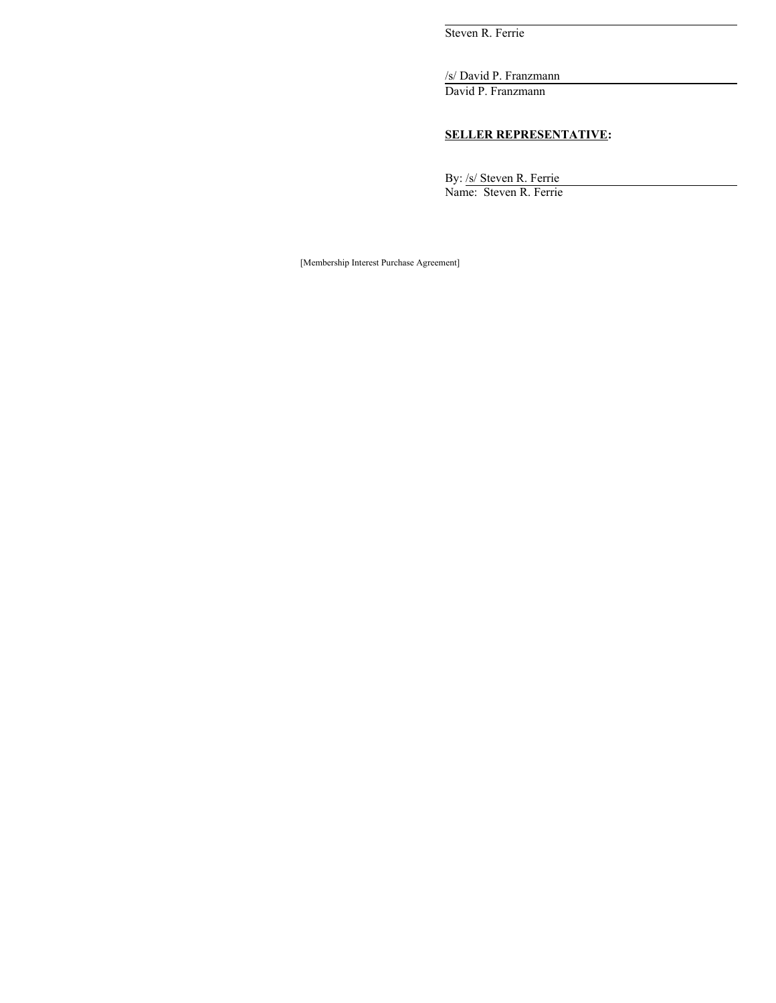Steven R. Ferrie

/s/ David P. Franzmann

David P. Franzmann

# **SELLER REPRESENTATIVE:**

By: /s/ Steven R. Ferrie Name: Steven R. Ferrie

[Membership Interest Purchase Agreement]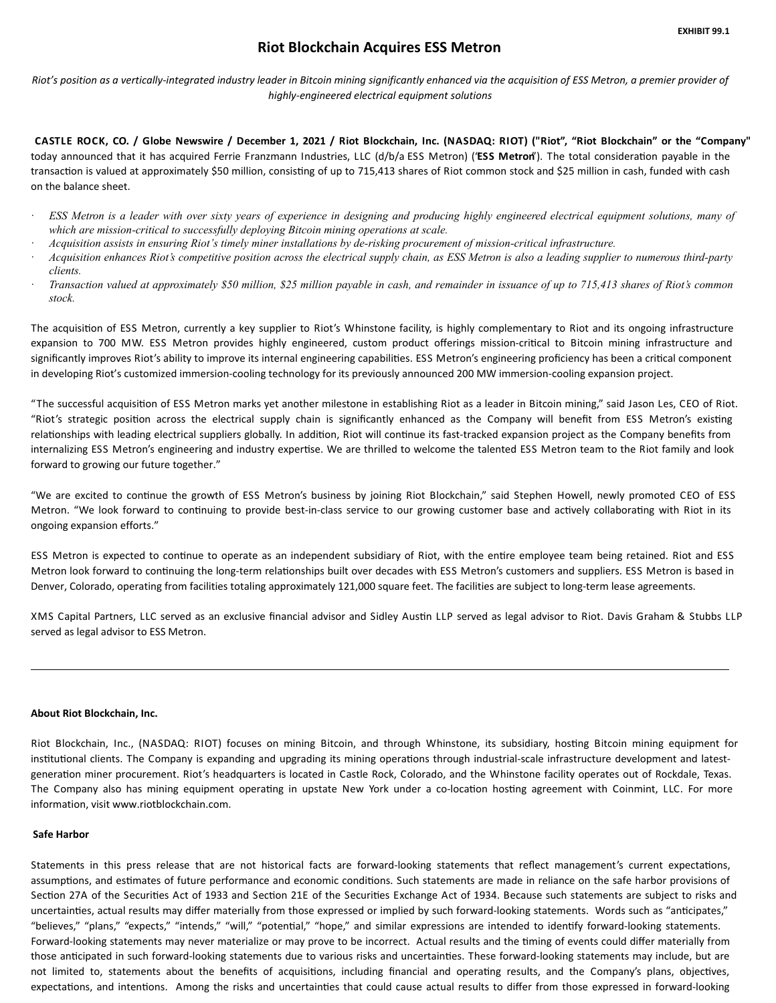# **Riot Blockchain Acquires ESS Metron**

<span id="page-53-0"></span>Riot's position as a vertically-integrated industry leader in Bitcoin mining significantly enhanced via the acquisition of ESS Metron, a premier provider of *highly-engineered electrical equipment solutions*

CASTLE ROCK, CO. / Globe Newswire / December 1, 2021 / Riot Blockchain, Inc. (NASDAQ: RIOT) ("Riot", "Riot Blockchain" or the "Company" today announced that it has acquired Ferrie Franzmann Industries, LLC (d/b/a ESS Metron) ('ESS Metron'). The total consideration payable in the transaction is valued at approximately \$50 million, consisting of up to 715,413 shares of Riot common stock and \$25 million in cash, funded with cash on the balance sheet.

- ESS Metron is a leader with over sixty years of experience in designing and producing highly engineered electrical equipment solutions, many of *which are mission-critical to successfully deploying Bitcoin mining operations at scale.*
- Acquisition assists in ensuring Riot's timely miner installations by de-risking procurement of mission-critical infrastructure.
- Acquisition enhances Riot's competitive position across the electrical supply chain, as ESS Metron is also a leading supplier to numerous third-party *clients.*
- Transaction valued at approximately \$50 million, \$25 million payable in cash, and remainder in issuance of up to 715,413 shares of Riot's common *stock.*

The acquisition of ESS Metron, currently a key supplier to Riot's Whinstone facility, is highly complementary to Riot and its ongoing infrastructure expansion to 700 MW. ESS Metron provides highly engineered, custom product offerings mission-critical to Bitcoin mining infrastructure and significantly improves Riot's ability to improve its internal engineering capabilities. ESS Metron's engineering proficiency has been a critical component in developing Riot's customized immersion-cooling technology for its previously announced 200 MW immersion-cooling expansion project.

"The successful acquisition of ESS Metron marks yet another milestone in establishing Riot as a leader in Bitcoin mining," said Jason Les, CEO of Riot. "Riot's strategic position across the electrical supply chain is significantly enhanced as the Company will benefit from ESS Metron's existing relationships with leading electrical suppliers globally. In addition, Riot will continue its fast-tracked expansion project as the Company benefits from internalizing ESS Metron's engineering and industry expertise. We are thrilled to welcome the talented ESS Metron team to the Riot family and look forward to growing our future together."

"We are excited to continue the growth of ESS Metron's business by joining Riot Blockchain," said Stephen Howell, newly promoted CEO of ESS Metron. "We look forward to continuing to provide best-in-class service to our growing customer base and actively collaborating with Riot in its ongoing expansion efforts."

ESS Metron is expected to continue to operate as an independent subsidiary of Riot, with the entire employee team being retained. Riot and ESS Metron look forward to continuing the long-term relationships built over decades with ESS Metron's customers and suppliers. ESS Metron is based in Denver, Colorado, operating from facilities totaling approximately 121,000 square feet. The facilities are subject to long-term lease agreements.

XMS Capital Partners, LLC served as an exclusive financial advisor and Sidley Austin LLP served as legal advisor to Riot. Davis Graham & Stubbs LLP served as legal advisor to ESS Metron.

## **About Riot Blockchain, Inc.**

Riot Blockchain, Inc., (NASDAQ: RIOT) focuses on mining Bitcoin, and through Whinstone, its subsidiary, hosting Bitcoin mining equipment for institutional clients. The Company is expanding and upgrading its mining operations through industrial-scale infrastructure development and latestgeneration miner procurement. Riot's headquarters is located in Castle Rock, Colorado, and the Whinstone facility operates out of Rockdale, Texas. The Company also has mining equipment operating in upstate New York under a co-location hosting agreement with Coinmint, LLC. For more information, visit www.riotblockchain.com.

## **Safe Harbor**

Statements in this press release that are not historical facts are forward-looking statements that reflect management's current expectations, assumptions, and estimates of future performance and economic conditions. Such statements are made in reliance on the safe harbor provisions of Section 27A of the Securities Act of 1933 and Section 21E of the Securities Exchange Act of 1934. Because such statements are subject to risks and uncertainties, actual results may differ materially from those expressed or implied by such forward-looking statements. Words such as "anticipates," "believes," "plans," "expects," "intends," "will," "potential," "hope," and similar expressions are intended to identify forward-looking statements. Forward-looking statements may never materialize or may prove to be incorrect. Actual results and the timing of events could differ materially from those anticipated in such forward-looking statements due to various risks and uncertainties. These forward-looking statements may include, but are not limited to, statements about the benefits of acquisitions, including financial and operating results, and the Company's plans, objectives, expectations, and intentions. Among the risks and uncertainties that could cause actual results to differ from those expressed in forward-looking